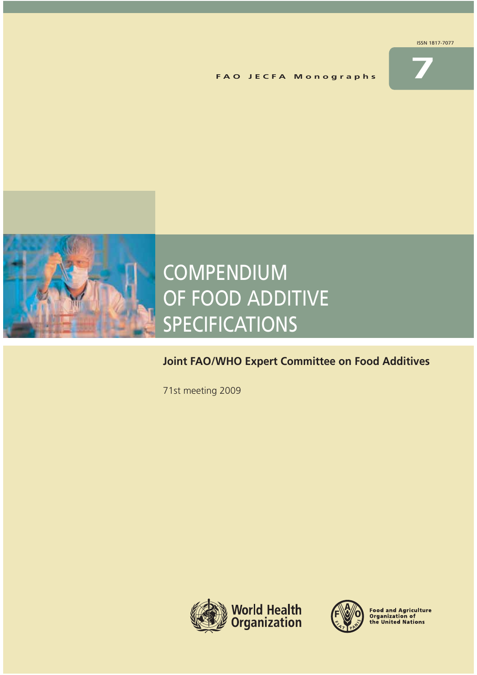

**F A O J E C F A M o n o g r a p h s** 



# COMPENDIUM COMPENDIUM OF FOOD ADDITIVE OF FOOD ADDITIVE SPECIFICATIONS SPECIFICATIONS

# **Joint FAO/WHO Expert Committee on Food Additives Joint FAO/WHO Expert Committee on Food Additives**

71st meeting 2009 71st meeting 2009





Food and Agriculture<br>Organization of<br>the United Nations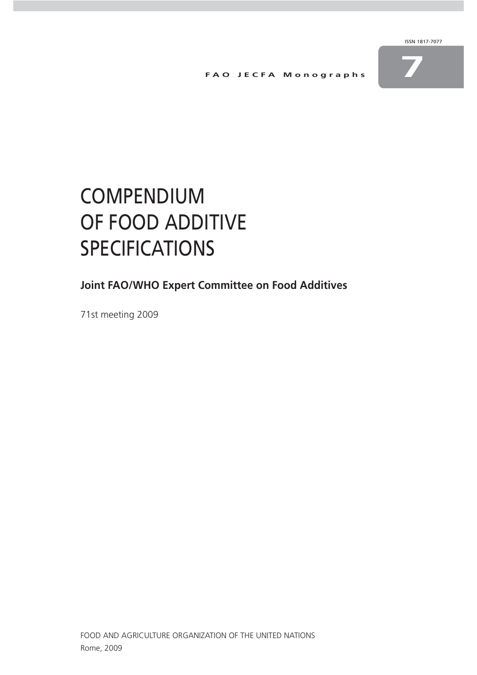**F A O J E C F A M o n o g r a p h s 7**



# COMPENDIUM OF FOOD ADDITIVE **SPECIFICATIONS**

**Joint FAO/WHO Expert Committee on Food Additives**

71st meeting 2009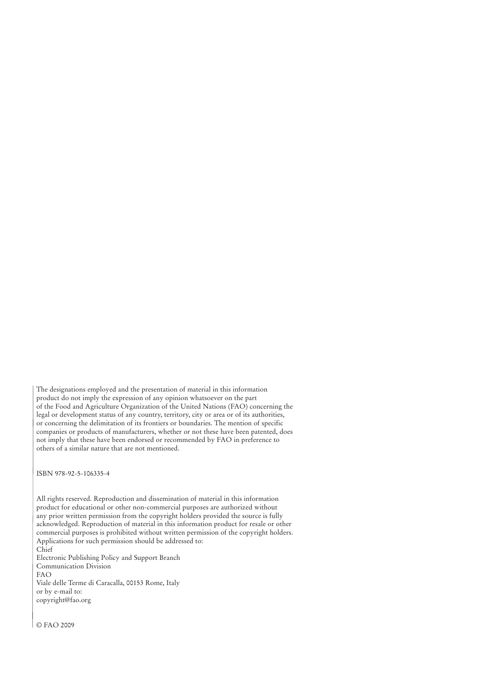The designations employed and the presentation of material in this information product do not imply the expression of any opinion whatsoever on the part of the Food and Agriculture Organization of the United Nations (FAO) concerning the legal or development status of any country, territory, city or area or of its authorities, or concerning the delimitation of its frontiers or boundaries. The mention of specific companies or products of manufacturers, whether or not these have been patented, does not imply that these have been endorsed or recommended by FAO in preference to others of a similar nature that are not mentioned.

ISBN 978-92-5-106335-4

All rights reserved. Reproduction and dissemination of material in this information product for educational or other non-commercial purposes are authorized without any prior written permission from the copyright holders provided the source is fully acknowledged. Reproduction of material in this information product for resale or other commercial purposes is prohibited without written permission of the copyright holders. Applications for such permission should be addressed to: Chief

Electronic Publishing Policy and Support Branch Communication Division FAO Viale delle Terme di Caracalla, 00153 Rome, Italy or by e-mail to: copyright@fao.org

© FAO 2009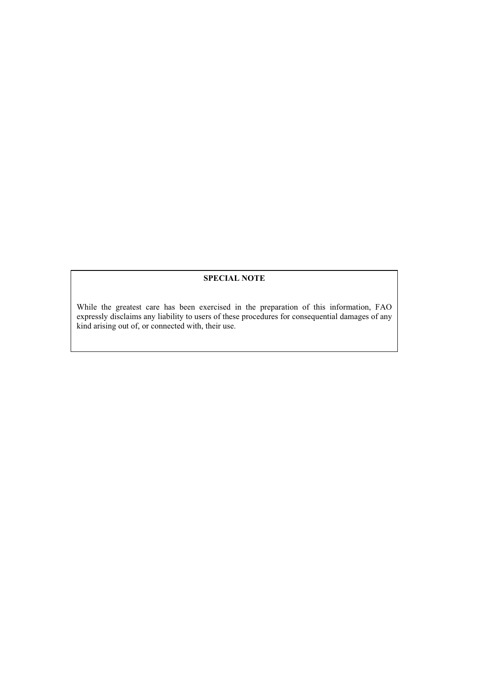# **SPECIAL NOTE**

While the greatest care has been exercised in the preparation of this information, FAO expressly disclaims any liability to users of these procedures for consequential damages of any kind arising out of, or connected with, their use.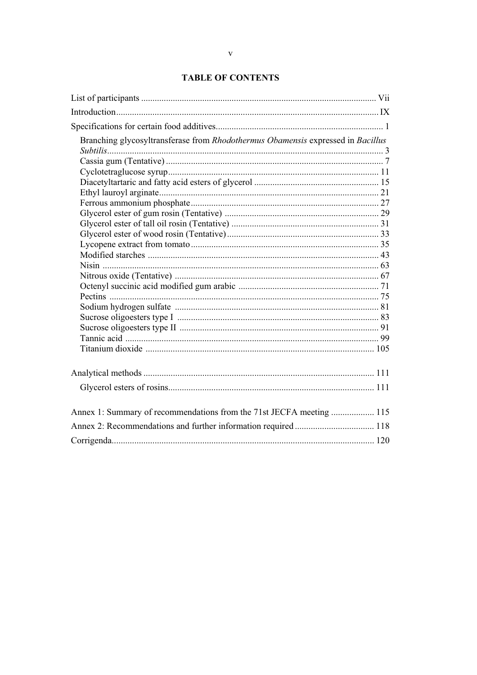# **TABLE OF CONTENTS**

| Branching glycosyltransferase from Rhodothermus Obamensis expressed in Bacillus |  |
|---------------------------------------------------------------------------------|--|
|                                                                                 |  |
|                                                                                 |  |
| Annex 1: Summary of recommendations from the 71st JECFA meeting  115            |  |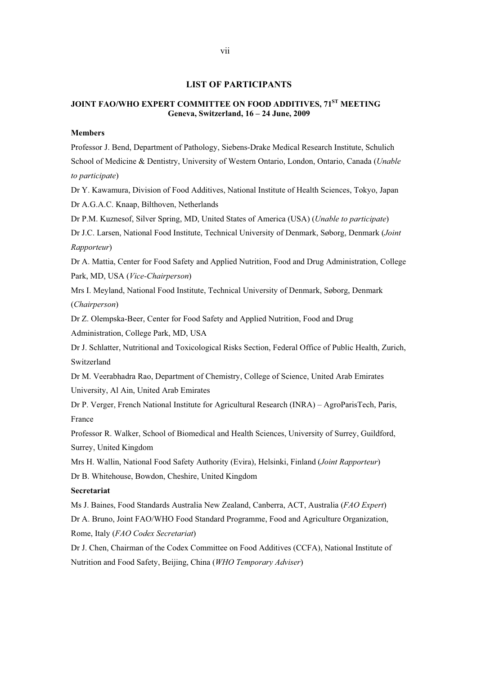# **LIST OF PARTICIPANTS**

# **JOINT FAO/WHO EXPERT COMMITTEE ON FOOD ADDITIVES, 71ST MEETING Geneva, Switzerland, 16 – 24 June, 2009**

# **Members**

Professor J. Bend, Department of Pathology, Siebens-Drake Medical Research Institute, Schulich School of Medicine & Dentistry, University of Western Ontario, London, Ontario, Canada (*Unable to participate*)

Dr Y. Kawamura, Division of Food Additives, National Institute of Health Sciences, Tokyo, Japan Dr A.G.A.C. Knaap, Bilthoven, Netherlands

Dr P.M. Kuznesof, Silver Spring, MD, United States of America (USA) (*Unable to participate*)

Dr J.C. Larsen, National Food Institute, Technical University of Denmark, Søborg, Denmark (*Joint Rapporteur*)

Dr A. Mattia, Center for Food Safety and Applied Nutrition, Food and Drug Administration, College Park, MD, USA (*Vice-Chairperson*)

Mrs I. Meyland, National Food Institute, Technical University of Denmark, Søborg, Denmark (*Chairperson*)

Dr Z. Olempska-Beer, Center for Food Safety and Applied Nutrition, Food and Drug Administration, College Park, MD, USA

Dr J. Schlatter, Nutritional and Toxicological Risks Section, Federal Office of Public Health, Zurich, Switzerland

Dr M. Veerabhadra Rao, Department of Chemistry, College of Science, United Arab Emirates University, Al Ain, United Arab Emirates

Dr P. Verger, French National Institute for Agricultural Research (INRA) – AgroParisTech, Paris, France

Professor R. Walker, School of Biomedical and Health Sciences, University of Surrey, Guildford, Surrey, United Kingdom

Mrs H. Wallin, National Food Safety Authority (Evira), Helsinki, Finland (*Joint Rapporteur*) Dr B. Whitehouse, Bowdon, Cheshire, United Kingdom

# **Secretariat**

Ms J. Baines, Food Standards Australia New Zealand, Canberra, ACT, Australia (*FAO Expert*) Dr A. Bruno, Joint FAO/WHO Food Standard Programme, Food and Agriculture Organization, Rome, Italy (*FAO Codex Secretariat*)

Dr J. Chen, Chairman of the Codex Committee on Food Additives (CCFA), National Institute of Nutrition and Food Safety, Beijing, China (*WHO Temporary Adviser*)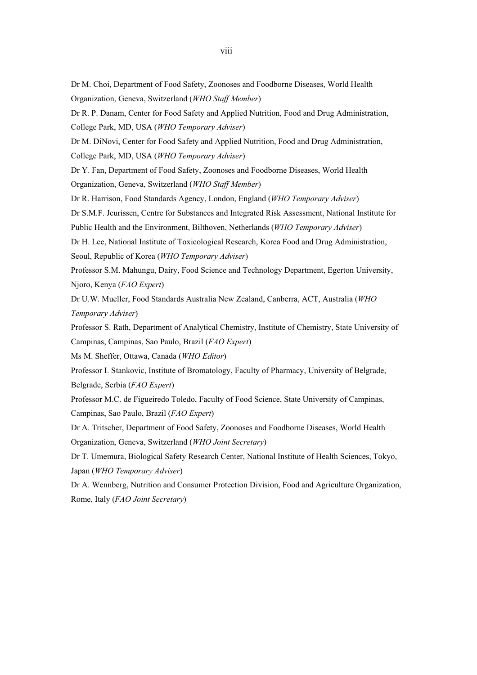Dr M. Choi, Department of Food Safety, Zoonoses and Foodborne Diseases, World Health Organization, Geneva, Switzerland (*WHO Staff Member*)

Dr R. P. Danam, Center for Food Safety and Applied Nutrition, Food and Drug Administration, College Park, MD, USA (*WHO Temporary Adviser*)

Dr M. DiNovi, Center for Food Safety and Applied Nutrition, Food and Drug Administration, College Park, MD, USA (*WHO Temporary Adviser*)

Dr Y. Fan, Department of Food Safety, Zoonoses and Foodborne Diseases, World Health Organization, Geneva, Switzerland (*WHO Staff Member*)

Dr R. Harrison, Food Standards Agency, London, England (*WHO Temporary Adviser*)

Dr S.M.F. Jeurissen, Centre for Substances and Integrated Risk Assessment, National Institute for Public Health and the Environment, Bilthoven, Netherlands (*WHO Temporary Adviser*)

Dr H. Lee, National Institute of Toxicological Research, Korea Food and Drug Administration, Seoul, Republic of Korea (*WHO Temporary Adviser*)

Professor S.M. Mahungu, Dairy, Food Science and Technology Department, Egerton University, Njoro, Kenya (*FAO Expert*)

Dr U.W. Mueller, Food Standards Australia New Zealand, Canberra, ACT, Australia (*WHO Temporary Adviser*)

Professor S. Rath, Department of Analytical Chemistry, Institute of Chemistry, State University of Campinas, Campinas, Sao Paulo, Brazil (*FAO Expert*)

Ms M. Sheffer, Ottawa, Canada (*WHO Editor*)

Professor I. Stankovic, Institute of Bromatology, Faculty of Pharmacy, University of Belgrade, Belgrade, Serbia (*FAO Expert*)

Professor M.C. de Figueiredo Toledo, Faculty of Food Science, State University of Campinas, Campinas, Sao Paulo, Brazil (*FAO Expert*)

Dr A. Tritscher, Department of Food Safety, Zoonoses and Foodborne Diseases, World Health Organization, Geneva, Switzerland (*WHO Joint Secretary*)

Dr T. Umemura, Biological Safety Research Center, National Institute of Health Sciences, Tokyo, Japan (*WHO Temporary Adviser*)

Dr A. Wennberg, Nutrition and Consumer Protection Division, Food and Agriculture Organization, Rome, Italy (*FAO Joint Secretary*)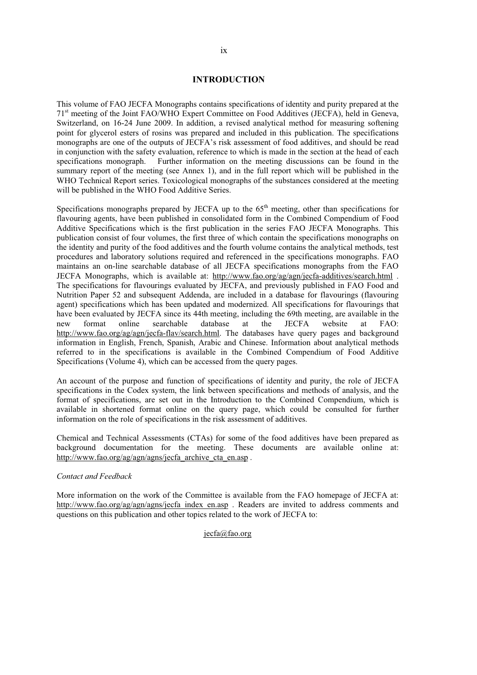# **INTRODUCTION**

This volume of FAO JECFA Monographs contains specifications of identity and purity prepared at the 71st meeting of the Joint FAO/WHO Expert Committee on Food Additives (JECFA), held in Geneva, Switzerland, on 16-24 June 2009. In addition, a revised analytical method for measuring softening point for glycerol esters of rosins was prepared and included in this publication. The specifications monographs are one of the outputs of JECFA's risk assessment of food additives, and should be read in conjunction with the safety evaluation, reference to which is made in the section at the head of each specifications monograph. Further information on the meeting discussions can be found in the summary report of the meeting (see Annex 1), and in the full report which will be published in the WHO Technical Report series. Toxicological monographs of the substances considered at the meeting will be published in the WHO Food Additive Series.

Specifications monographs prepared by JECFA up to the  $65<sup>th</sup>$  meeting, other than specifications for flavouring agents, have been published in consolidated form in the Combined Compendium of Food Additive Specifications which is the first publication in the series FAO JECFA Monographs. This publication consist of four volumes, the first three of which contain the specifications monographs on the identity and purity of the food additives and the fourth volume contains the analytical methods, test procedures and laboratory solutions required and referenced in the specifications monographs. FAO maintains an on-line searchable database of all JECFA specifications monographs from the FAO JECFA Monographs, which is available at: http://www.fao.org/ag/agn/jecfa-additives/search.html . The specifications for flavourings evaluated by JECFA, and previously published in FAO Food and Nutrition Paper 52 and subsequent Addenda, are included in a database for flavourings (flavouring agent) specifications which has been updated and modernized. All specifications for flavourings that have been evaluated by JECFA since its 44th meeting, including the 69th meeting, are available in the new format online searchable database at the JECFA website at FAO: http://www.fao.org/ag/agn/jecfa-flav/search.html. The databases have query pages and background information in English, French, Spanish, Arabic and Chinese. Information about analytical methods referred to in the specifications is available in the Combined Compendium of Food Additive Specifications (Volume 4), which can be accessed from the query pages.

An account of the purpose and function of specifications of identity and purity, the role of JECFA specifications in the Codex system, the link between specifications and methods of analysis, and the format of specifications, are set out in the Introduction to the Combined Compendium, which is available in shortened format online on the query page, which could be consulted for further information on the role of specifications in the risk assessment of additives.

Chemical and Technical Assessments (CTAs) for some of the food additives have been prepared as background documentation for the meeting. These documents are available online at: http://www.fao.org/ag/agn/agns/jecfa\_archive\_cta\_en.asp.

# *Contact and Feedback*

More information on the work of the Committee is available from the FAO homepage of JECFA at: http://www.fao.org/ag/agn/agns/jecfa\_index\_en.asp . Readers are invited to address comments and questions on this publication and other topics related to the work of JECFA to:

# jecfa@fao.org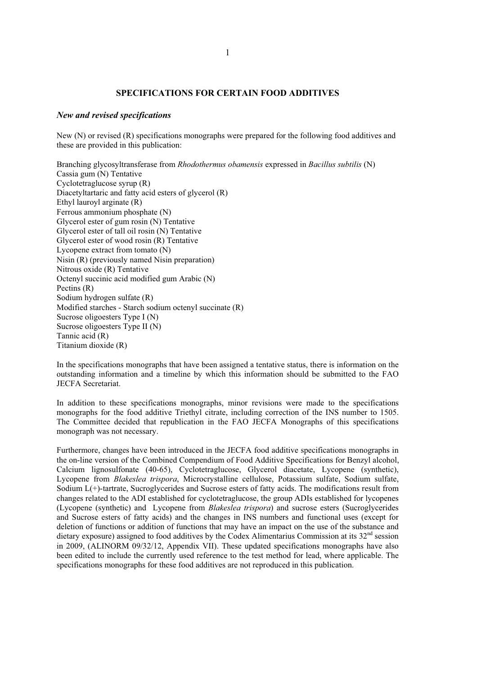# **SPECIFICATIONS FOR CERTAIN FOOD ADDITIVES**

# *New and revised specifications*

New (N) or revised (R) specifications monographs were prepared for the following food additives and these are provided in this publication:

Branching glycosyltransferase from *Rhodothermus obamensis* expressed in *Bacillus subtilis* (N) Cassia gum (N) Tentative Cyclotetraglucose syrup (R) Diacetyltartaric and fatty acid esters of glycerol (R) Ethyl lauroyl arginate (R) Ferrous ammonium phosphate (N) Glycerol ester of gum rosin (N) Tentative Glycerol ester of tall oil rosin (N) Tentative Glycerol ester of wood rosin (R) Tentative Lycopene extract from tomato (N) Nisin (R) (previously named Nisin preparation) Nitrous oxide (R) Tentative Octenyl succinic acid modified gum Arabic (N) Pectins (R) Sodium hydrogen sulfate (R) Modified starches - Starch sodium octenyl succinate (R) Sucrose oligoesters Type I (N) Sucrose oligoesters Type II (N) Tannic acid (R) Titanium dioxide (R)

In the specifications monographs that have been assigned a tentative status, there is information on the outstanding information and a timeline by which this information should be submitted to the FAO JECFA Secretariat.

In addition to these specifications monographs, minor revisions were made to the specifications monographs for the food additive Triethyl citrate, including correction of the INS number to 1505. The Committee decided that republication in the FAO JECFA Monographs of this specifications monograph was not necessary.

Furthermore, changes have been introduced in the JECFA food additive specifications monographs in the on-line version of the Combined Compendium of Food Additive Specifications for Benzyl alcohol, Calcium lignosulfonate (40-65), Cyclotetraglucose, Glycerol diacetate, Lycopene (synthetic), Lycopene from *Blakeslea trispora*, Microcrystalline cellulose, Potassium sulfate, Sodium sulfate, Sodium L(+)-tartrate, Sucroglycerides and Sucrose esters of fatty acids. The modifications result from changes related to the ADI established for cyclotetraglucose, the group ADIs established for lycopenes (Lycopene (synthetic) and Lycopene from *Blakeslea trispora*) and sucrose esters (Sucroglycerides and Sucrose esters of fatty acids) and the changes in INS numbers and functional uses (except for deletion of functions or addition of functions that may have an impact on the use of the substance and dietary exposure) assigned to food additives by the Codex Alimentarius Commission at its  $32<sup>nd</sup>$  session in 2009, (ALINORM 09/32/12, Appendix VII). These updated specifications monographs have also been edited to include the currently used reference to the test method for lead, where applicable. The specifications monographs for these food additives are not reproduced in this publication.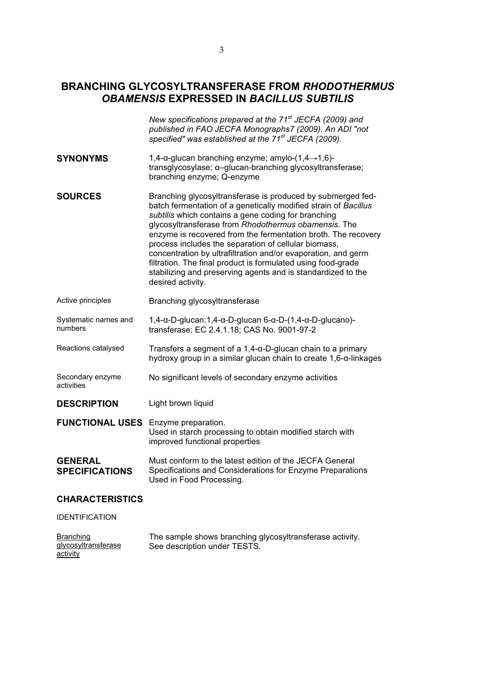# **BRANCHING GLYCOSYLTRANSFERASE FROM** *RHODOTHERMUS OBAMENSIS* **EXPRESSED IN** *BACILLUS SUBTILIS*

|                                            | New specifications prepared at the 71 <sup>st</sup> JECFA (2009) and<br>published in FAO JECFA Monographs7 (2009). An ADI "not<br>specified" was established at the 71 <sup>st</sup> JECFA (2009).                                                                                                                                                                                                                                                                                                                                                                                           |
|--------------------------------------------|----------------------------------------------------------------------------------------------------------------------------------------------------------------------------------------------------------------------------------------------------------------------------------------------------------------------------------------------------------------------------------------------------------------------------------------------------------------------------------------------------------------------------------------------------------------------------------------------|
| <b>SYNONYMS</b>                            | 1,4-α-glucan branching enzyme; amylo- $(1,4\rightarrow1,6)$ -<br>transglycosylase; α-glucan-branching glycosyltransferase;<br>branching enzyme; Q-enzyme                                                                                                                                                                                                                                                                                                                                                                                                                                     |
| <b>SOURCES</b>                             | Branching glycosyltransferase is produced by submerged fed-<br>batch fermentation of a genetically modified strain of Bacillus<br>subtilis which contains a gene coding for branching<br>glycosyltransferase from Rhodothermus obamensis. The<br>enzyme is recovered from the fermentation broth. The recovery<br>process includes the separation of cellular biomass,<br>concentration by ultrafiltration and/or evaporation, and germ<br>filtration. The final product is formulated using food-grade<br>stabilizing and preserving agents and is standardized to the<br>desired activity. |
| Active principles                          | Branching glycosyltransferase                                                                                                                                                                                                                                                                                                                                                                                                                                                                                                                                                                |
| Systematic names and<br>numbers            | $1,4$ - $\alpha$ -D-glucan:1,4- $\alpha$ -D-glucan 6- $\alpha$ -D- $(1,4$ - $\alpha$ -D-glucano)-<br>transferase; EC 2.4.1.18; CAS No. 9001-97-2                                                                                                                                                                                                                                                                                                                                                                                                                                             |
| Reactions catalysed                        | Transfers a segment of a $1,4$ - $\alpha$ -D-glucan chain to a primary<br>hydroxy group in a similar glucan chain to create 1,6-α-linkages                                                                                                                                                                                                                                                                                                                                                                                                                                                   |
| Secondary enzyme<br>activities             | No significant levels of secondary enzyme activities                                                                                                                                                                                                                                                                                                                                                                                                                                                                                                                                         |
| <b>DESCRIPTION</b>                         | Light brown liquid                                                                                                                                                                                                                                                                                                                                                                                                                                                                                                                                                                           |
| <b>FUNCTIONAL USES</b> Enzyme preparation. | Used in starch processing to obtain modified starch with<br>improved functional properties                                                                                                                                                                                                                                                                                                                                                                                                                                                                                                   |
| <b>GENERAL</b><br><b>SPECIFICATIONS</b>    | Must conform to the latest edition of the JECFA General<br>Specifications and Considerations for Enzyme Preparations<br>Used in Food Processing.                                                                                                                                                                                                                                                                                                                                                                                                                                             |
| <b>CHARACTERISTICS</b>                     |                                                                                                                                                                                                                                                                                                                                                                                                                                                                                                                                                                                              |
| <b>IDENTIFICATION</b>                      |                                                                                                                                                                                                                                                                                                                                                                                                                                                                                                                                                                                              |
| <u>Branching</u><br>glycosyltransferase    | The sample shows branching glycosyltransferase activity.<br>See description under TESTS.                                                                                                                                                                                                                                                                                                                                                                                                                                                                                                     |

activity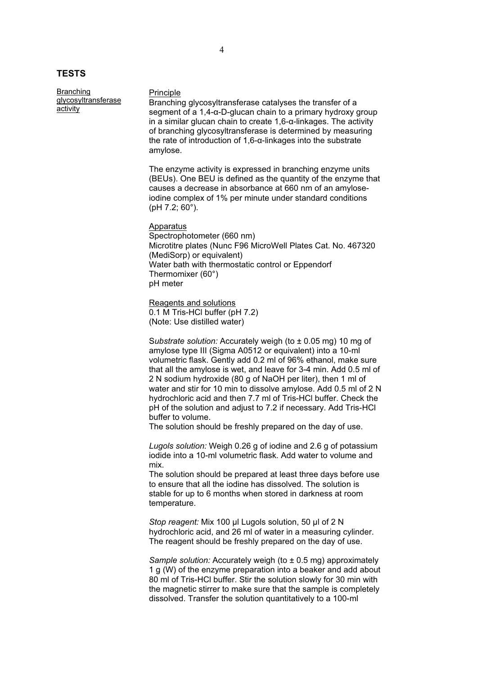# **TESTS**

Branching glycosyltransferase activity

#### Principle

Branching glycosyltransferase catalyses the transfer of a segment of a  $1,4$ - $\alpha$ -D-glucan chain to a primary hydroxy group in a similar glucan chain to create  $1,6$ - $\alpha$ -linkages. The activity of branching glycosyltransferase is determined by measuring the rate of introduction of  $1,6$ - $\alpha$ -linkages into the substrate amylose.

The enzyme activity is expressed in branching enzyme units (BEUs). One BEU is defined as the quantity of the enzyme that causes a decrease in absorbance at 660 nm of an amyloseiodine complex of 1% per minute under standard conditions (pH 7.2; 60°).

Apparatus Spectrophotometer (660 nm) Microtitre plates (Nunc F96 MicroWell Plates Cat. No. 467320 (MediSorp) or equivalent) Water bath with thermostatic control or Eppendorf Thermomixer (60°) pH meter

Reagents and solutions 0.1 M Tris-HCl buffer (pH 7.2) (Note: Use distilled water)

S*ubstrate solution:* Accurately weigh (to ± 0.05 mg) 10 mg of amylose type III (Sigma A0512 or equivalent) into a 10-ml volumetric flask. Gently add 0.2 ml of 96% ethanol, make sure that all the amylose is wet, and leave for 3-4 min. Add 0.5 ml of 2 N sodium hydroxide (80 g of NaOH per liter), then 1 ml of water and stir for 10 min to dissolve amylose. Add 0.5 ml of 2 N hydrochloric acid and then 7.7 ml of Tris-HCl buffer. Check the pH of the solution and adjust to 7.2 if necessary. Add Tris-HCl buffer to volume.

The solution should be freshly prepared on the day of use.

*Lugols solution:* Weigh 0.26 g of iodine and 2.6 g of potassium iodide into a 10-ml volumetric flask. Add water to volume and mix.

The solution should be prepared at least three days before use to ensure that all the iodine has dissolved. The solution is stable for up to 6 months when stored in darkness at room temperature.

*Stop reagent:* Mix 100 ȝl Lugols solution, 50 μl of 2 N hydrochloric acid, and 26 ml of water in a measuring cylinder. The reagent should be freshly prepared on the day of use.

*Sample solution:* Accurately weigh (to  $\pm$  0.5 mg) approximately 1 g (W) of the enzyme preparation into a beaker and add about 80 ml of Tris-HCl buffer. Stir the solution slowly for 30 min with the magnetic stirrer to make sure that the sample is completely dissolved. Transfer the solution quantitatively to a 100-ml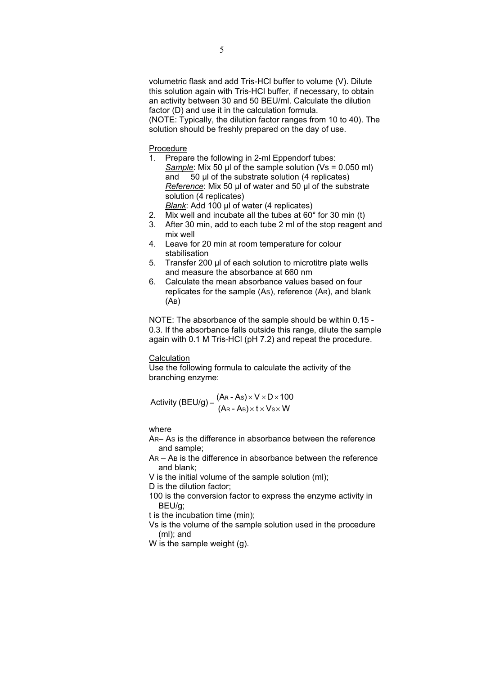volumetric flask and add Tris-HCl buffer to volume (V). Dilute this solution again with Tris-HCl buffer, if necessary, to obtain an activity between 30 and 50 BEU/ml. Calculate the dilution factor (D) and use it in the calculation formula. (NOTE: Typically, the dilution factor ranges from 10 to 40). The solution should be freshly prepared on the day of use.

- Procedure<br>1. Prepa Prepare the following in 2-ml Eppendorf tubes: *Sample*: Mix 50 μl of the sample solution (Vs = 0.050 ml) and 50 μl of the substrate solution (4 replicates) *Reference*: Mix 50 μl of water and 50 μl of the substrate solution (4 replicates) *Blank*: Add 100 µl of water (4 replicates)
- 2. Mix well and incubate all the tubes at 60° for 30 min (t)
- 3. After 30 min, add to each tube 2 ml of the stop reagent and mix well
- 4. Leave for 20 min at room temperature for colour stabilisation
- 5. Transfer 200 µl of each solution to microtitre plate wells and measure the absorbance at 660 nm
- 6. Calculate the mean absorbance values based on four replicates for the sample (AS), reference (AR), and blank (AB)

NOTE: The absorbance of the sample should be within 0.15 - 0.3. If the absorbance falls outside this range, dilute the sample again with 0.1 M Tris-HCl (pH 7.2) and repeat the procedure.

#### **Calculation**

Use the following formula to calculate the activity of the branching enzyme:

Activity (BEU/g) = 
$$
\frac{(Ar - As) \times V \times D \times 100}{(Ar - As) \times t \times V s \times W}
$$

# where

AR– AS is the difference in absorbance between the reference and sample;

- AR AB is the difference in absorbance between the reference and blank;
- V is the initial volume of the sample solution (ml);

D is the dilution factor;

- 100 is the conversion factor to express the enzyme activity in BEU/g;
- t is the incubation time (min);
- Vs is the volume of the sample solution used in the procedure (ml); and
- W is the sample weight (g).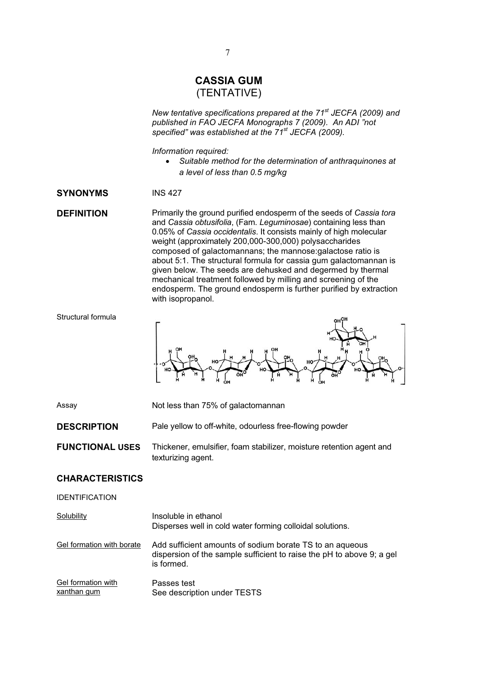# **CASSIA GUM**  (TENTATIVE)

*New tentative specifications prepared at the 71st JECFA (2009) and published in FAO JECFA Monographs 7 (2009). An ADI "not specified" was established at the 71st JECFA (2009).* 

*Information required:* 

x *Suitable method for the determination of anthraquinones at a level of less than 0.5 mg/kg* 

# **SYNONYMS** INS 427

**DEFINITION** Primarily the ground purified endosperm of the seeds of *Cassia tora* and *Cassia obtusifolia*, (Fam. *Leguminosae*) containing less than 0.05% of *Cassia occidentalis*. It consists mainly of high molecular weight (approximately 200,000-300,000) polysaccharides composed of galactomannans; the mannose:galactose ratio is about 5:1. The structural formula for cassia gum galactomannan is given below. The seeds are dehusked and degermed by thermal mechanical treatment followed by milling and screening of the endosperm. The ground endosperm is further purified by extraction with isopropanol.



Assay Not less than 75% of galactomannan

**DESCRIPTION** Pale yellow to off-white, odourless free-flowing powder

**FUNCTIONAL USES** Thickener, emulsifier, foam stabilizer, moisture retention agent and texturizing agent.

# **CHARACTERISTICS**

IDENTIFICATION

| Solubility                        | Insoluble in ethanol<br>Disperses well in cold water forming colloidal solutions.                                                               |
|-----------------------------------|-------------------------------------------------------------------------------------------------------------------------------------------------|
| Gel formation with borate         | Add sufficient amounts of sodium borate TS to an aqueous<br>dispersion of the sample sufficient to raise the pH to above 9; a gel<br>is formed. |
| Gel formation with<br>xanthan gum | Passes test<br>See description under TESTS                                                                                                      |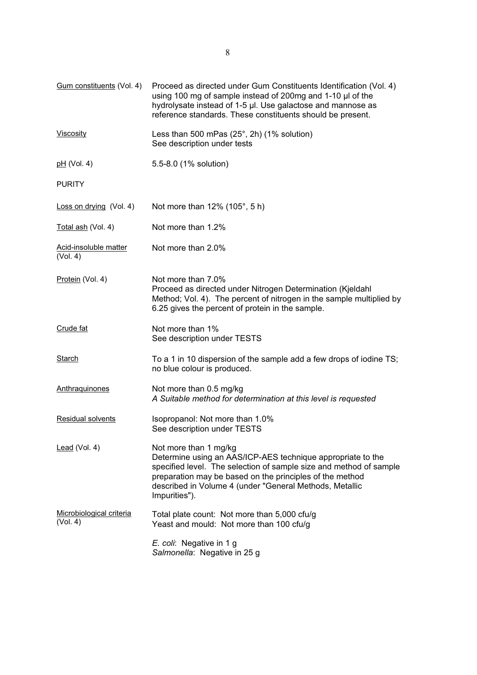| Gum constituents (Vol. 4)            | Proceed as directed under Gum Constituents Identification (Vol. 4)<br>using 100 mg of sample instead of 200mg and 1-10 µl of the<br>hydrolysate instead of 1-5 µl. Use galactose and mannose as<br>reference standards. These constituents should be present.                                      |  |
|--------------------------------------|----------------------------------------------------------------------------------------------------------------------------------------------------------------------------------------------------------------------------------------------------------------------------------------------------|--|
| <b>Viscosity</b>                     | Less than 500 mPas $(25^{\circ}, 2h)$ (1% solution)<br>See description under tests                                                                                                                                                                                                                 |  |
| <u>pH</u> (Vol. 4)                   | 5.5-8.0 (1% solution)                                                                                                                                                                                                                                                                              |  |
| <b>PURITY</b>                        |                                                                                                                                                                                                                                                                                                    |  |
| Loss on drying (Vol. 4)              | Not more than 12% (105°, 5 h)                                                                                                                                                                                                                                                                      |  |
| Total ash (Vol. 4)                   | Not more than 1.2%                                                                                                                                                                                                                                                                                 |  |
| Acid-insoluble matter<br>(Vol. 4)    | Not more than 2.0%                                                                                                                                                                                                                                                                                 |  |
| Protein (Vol. 4)                     | Not more than 7.0%<br>Proceed as directed under Nitrogen Determination (Kjeldahl<br>Method; Vol. 4). The percent of nitrogen in the sample multiplied by<br>6.25 gives the percent of protein in the sample.                                                                                       |  |
| Crude fat                            | Not more than 1%<br>See description under TESTS                                                                                                                                                                                                                                                    |  |
| <b>Starch</b>                        | To a 1 in 10 dispersion of the sample add a few drops of iodine TS;<br>no blue colour is produced.                                                                                                                                                                                                 |  |
| Anthraquinones                       | Not more than 0.5 mg/kg<br>A Suitable method for determination at this level is requested                                                                                                                                                                                                          |  |
| <b>Residual solvents</b>             | Isopropanol: Not more than 1.0%<br>See description under TESTS                                                                                                                                                                                                                                     |  |
| $lead$ (Vol. 4)                      | Not more than 1 mg/kg<br>Determine using an AAS/ICP-AES technique appropriate to the<br>specified level. The selection of sample size and method of sample<br>preparation may be based on the principles of the method<br>described in Volume 4 (under "General Methods, Metallic<br>Impurities"). |  |
| Microbiological criteria<br>(Vol. 4) | Total plate count: Not more than 5,000 cfu/g<br>Yeast and mould: Not more than 100 cfu/g                                                                                                                                                                                                           |  |
|                                      | E. coli: Negative in 1 g<br>Salmonella: Negative in 25 g                                                                                                                                                                                                                                           |  |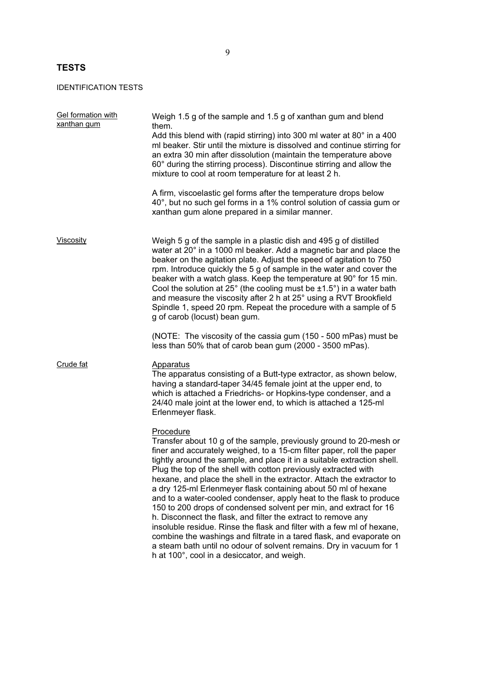# **TESTS**

IDENTIFICATION TESTS

| Gel formation with<br>xanthan gum | Weigh 1.5 g of the sample and 1.5 g of xanthan gum and blend<br>them.                                                                                                                                                                                                                                                                                                                                                                                                                                                                                                                                                                                                                                                                                                                                                                                                                                                                  |
|-----------------------------------|----------------------------------------------------------------------------------------------------------------------------------------------------------------------------------------------------------------------------------------------------------------------------------------------------------------------------------------------------------------------------------------------------------------------------------------------------------------------------------------------------------------------------------------------------------------------------------------------------------------------------------------------------------------------------------------------------------------------------------------------------------------------------------------------------------------------------------------------------------------------------------------------------------------------------------------|
|                                   | Add this blend with (rapid stirring) into 300 ml water at 80° in a 400<br>ml beaker. Stir until the mixture is dissolved and continue stirring for<br>an extra 30 min after dissolution (maintain the temperature above<br>60° during the stirring process). Discontinue stirring and allow the<br>mixture to cool at room temperature for at least 2 h.                                                                                                                                                                                                                                                                                                                                                                                                                                                                                                                                                                               |
|                                   | A firm, viscoelastic gel forms after the temperature drops below<br>40°, but no such gel forms in a 1% control solution of cassia gum or<br>xanthan gum alone prepared in a similar manner.                                                                                                                                                                                                                                                                                                                                                                                                                                                                                                                                                                                                                                                                                                                                            |
| Viscosity                         | Weigh 5 g of the sample in a plastic dish and 495 g of distilled<br>water at 20° in a 1000 ml beaker. Add a magnetic bar and place the<br>beaker on the agitation plate. Adjust the speed of agitation to 750<br>rpm. Introduce quickly the 5 g of sample in the water and cover the<br>beaker with a watch glass. Keep the temperature at 90° for 15 min.<br>Cool the solution at $25^\circ$ (the cooling must be $\pm 1.5^\circ$ ) in a water bath<br>and measure the viscosity after 2 h at 25° using a RVT Brookfield<br>Spindle 1, speed 20 rpm. Repeat the procedure with a sample of 5<br>g of carob (locust) bean gum.                                                                                                                                                                                                                                                                                                         |
|                                   | (NOTE: The viscosity of the cassia gum (150 - 500 mPas) must be<br>less than 50% that of carob bean gum (2000 - 3500 mPas).                                                                                                                                                                                                                                                                                                                                                                                                                                                                                                                                                                                                                                                                                                                                                                                                            |
| Crude fat                         | <b>Apparatus</b><br>The apparatus consisting of a Butt-type extractor, as shown below,<br>having a standard-taper 34/45 female joint at the upper end, to<br>which is attached a Friedrichs- or Hopkins-type condenser, and a<br>24/40 male joint at the lower end, to which is attached a 125-ml<br>Erlenmeyer flask.                                                                                                                                                                                                                                                                                                                                                                                                                                                                                                                                                                                                                 |
|                                   | Procedure<br>Transfer about 10 g of the sample, previously ground to 20-mesh or<br>finer and accurately weighed, to a 15-cm filter paper, roll the paper<br>tightly around the sample, and place it in a suitable extraction shell.<br>Plug the top of the shell with cotton previously extracted with<br>hexane, and place the shell in the extractor. Attach the extractor to<br>a dry 125-ml Erlenmeyer flask containing about 50 ml of hexane<br>and to a water-cooled condenser, apply heat to the flask to produce<br>150 to 200 drops of condensed solvent per min, and extract for 16<br>h. Disconnect the flask, and filter the extract to remove any<br>insoluble residue. Rinse the flask and filter with a few ml of hexane,<br>combine the washings and filtrate in a tared flask, and evaporate on<br>a steam bath until no odour of solvent remains. Dry in vacuum for 1<br>h at 100°, cool in a desiccator, and weigh. |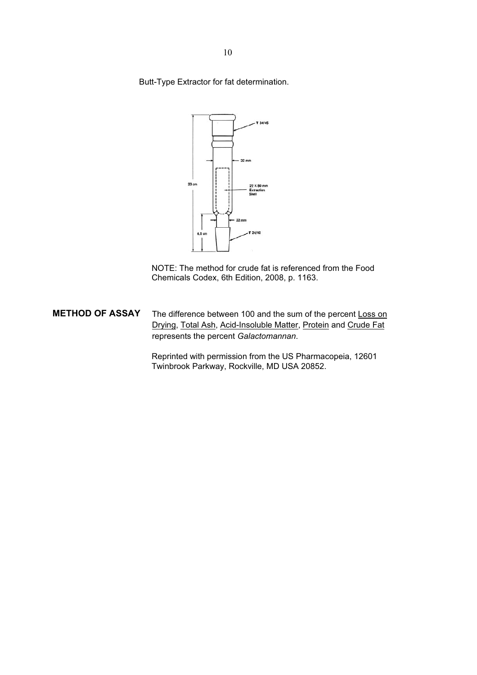Butt-Type Extractor for fat determination.



NOTE: The method for crude fat is referenced from the Food Chemicals Codex, 6th Edition, 2008, p. 1163.

**METHOD OF ASSAY** The difference between 100 and the sum of the percent Loss on Drying, Total Ash, Acid-Insoluble Matter, Protein and Crude Fat represents the percent *Galactomannan*.

> Reprinted with permission from the US Pharmacopeia, 12601 Twinbrook Parkway, Rockville, MD USA 20852.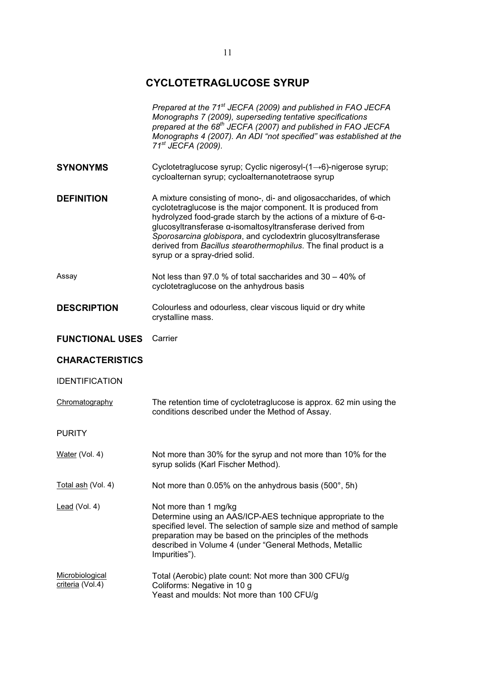# **CYCLOTETRAGLUCOSE SYRUP**

|                                     | Prepared at the 71 <sup>st</sup> JECFA (2009) and published in FAO JECFA<br>Monographs 7 (2009), superseding tentative specifications<br>prepared at the 68 <sup>th</sup> JECFA (2007) and published in FAO JECFA<br>Monographs 4 (2007). An ADI "not specified" was established at the<br>71 <sup>st</sup> JECFA (2009).                                                                                                                 |  |
|-------------------------------------|-------------------------------------------------------------------------------------------------------------------------------------------------------------------------------------------------------------------------------------------------------------------------------------------------------------------------------------------------------------------------------------------------------------------------------------------|--|
| <b>SYNONYMS</b>                     | Cyclotetraglucose syrup; Cyclic nigerosyl-(1→6)-nigerose syrup;<br>cycloalternan syrup; cycloalternanotetraose syrup                                                                                                                                                                                                                                                                                                                      |  |
| <b>DEFINITION</b>                   | A mixture consisting of mono-, di- and oligosaccharides, of which<br>cyclotetraglucose is the major component. It is produced from<br>hydrolyzed food-grade starch by the actions of a mixture of 6-a-<br>glucosyltransferase α-isomaltosyltransferase derived from<br>Sporosarcina globispora, and cyclodextrin glucosyltransferase<br>derived from Bacillus stearothermophilus. The final product is a<br>syrup or a spray-dried solid. |  |
| Assay                               | Not less than 97.0 % of total saccharides and 30 - 40% of<br>cyclotetraglucose on the anhydrous basis                                                                                                                                                                                                                                                                                                                                     |  |
| <b>DESCRIPTION</b>                  | Colourless and odourless, clear viscous liquid or dry white<br>crystalline mass.                                                                                                                                                                                                                                                                                                                                                          |  |
| <b>FUNCTIONAL USES</b>              | Carrier                                                                                                                                                                                                                                                                                                                                                                                                                                   |  |
| <b>CHARACTERISTICS</b>              |                                                                                                                                                                                                                                                                                                                                                                                                                                           |  |
| <b>IDENTIFICATION</b>               |                                                                                                                                                                                                                                                                                                                                                                                                                                           |  |
| Chromatography                      | The retention time of cyclotetraglucose is approx. 62 min using the<br>conditions described under the Method of Assay.                                                                                                                                                                                                                                                                                                                    |  |
| <b>PURITY</b>                       |                                                                                                                                                                                                                                                                                                                                                                                                                                           |  |
| Water (Vol. 4)                      | Not more than 30% for the syrup and not more than 10% for the<br>syrup solids (Karl Fischer Method).                                                                                                                                                                                                                                                                                                                                      |  |
| Total ash (Vol. 4)                  | Not more than $0.05\%$ on the anhydrous basis (500 $^{\circ}$ , 5h)                                                                                                                                                                                                                                                                                                                                                                       |  |
| $lead (Vol. 4)$                     | Not more than 1 mg/kg<br>Determine using an AAS/ICP-AES technique appropriate to the<br>specified level. The selection of sample size and method of sample<br>preparation may be based on the principles of the methods<br>described in Volume 4 (under "General Methods, Metallic<br>Impurities").                                                                                                                                       |  |
| Microbiological<br>criteria (Vol.4) | Total (Aerobic) plate count: Not more than 300 CFU/g<br>Coliforms: Negative in 10 g<br>Yeast and moulds: Not more than 100 CFU/g                                                                                                                                                                                                                                                                                                          |  |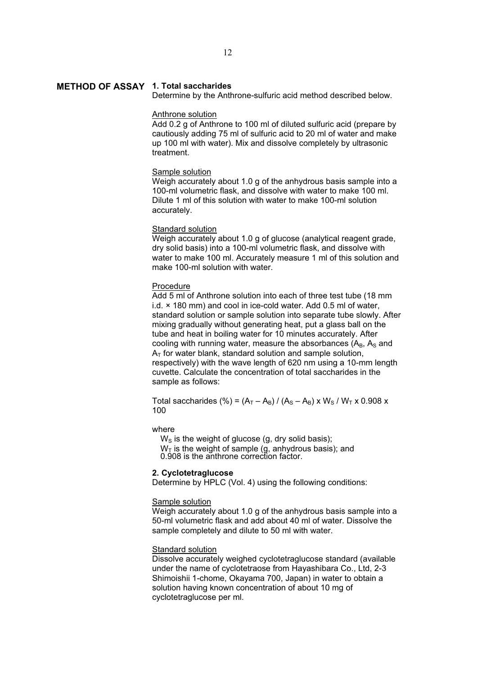# **METHOD OF ASSAY 1. Total saccharides**

Determine by the Anthrone-sulfuric acid method described below.

# Anthrone solution

Add 0.2 g of Anthrone to 100 ml of diluted sulfuric acid (prepare by cautiously adding 75 ml of sulfuric acid to 20 ml of water and make up 100 ml with water). Mix and dissolve completely by ultrasonic treatment.

#### Sample solution

Weigh accurately about 1.0 g of the anhydrous basis sample into a 100-ml volumetric flask, and dissolve with water to make 100 ml. Dilute 1 ml of this solution with water to make 100-ml solution accurately.

# **Standard solution**

Weigh accurately about 1.0 g of glucose (analytical reagent grade, dry solid basis) into a 100-ml volumetric flask, and dissolve with water to make 100 ml. Accurately measure 1 ml of this solution and make 100-ml solution with water.

# Procedure

Add 5 ml of Anthrone solution into each of three test tube (18 mm i.d. × 180 mm) and cool in ice-cold water. Add 0.5 ml of water, standard solution or sample solution into separate tube slowly. After mixing gradually without generating heat, put a glass ball on the tube and heat in boiling water for 10 minutes accurately. After cooling with running water, measure the absorbances  $(A_B, A_S, A_S)$  $A<sub>T</sub>$  for water blank, standard solution and sample solution, respectively) with the wave length of 620 nm using a 10-mm length cuvette. Calculate the concentration of total saccharides in the sample as follows:

Total saccharides (%) =  $(A_T - A_B) / (A_S - A_B) \times W_S / W_T \times 0.908 \times$ 100

# where

 $W<sub>S</sub>$  is the weight of glucose (g, dry solid basis);

 $W<sub>T</sub>$  is the weight of sample (g, anhydrous basis); and

0.908 is the anthrone correction factor.

# **2. Cyclotetraglucose**

Determine by HPLC (Vol. 4) using the following conditions:

# Sample solution

Weigh accurately about 1.0 g of the anhydrous basis sample into a 50-ml volumetric flask and add about 40 ml of water. Dissolve the sample completely and dilute to 50 ml with water.

# Standard solution

Dissolve accurately weighed cyclotetraglucose standard (available under the name of cyclotetraose from Hayashibara Co., Ltd, 2-3 Shimoishii 1-chome, Okayama 700, Japan) in water to obtain a solution having known concentration of about 10 mg of cyclotetraglucose per ml.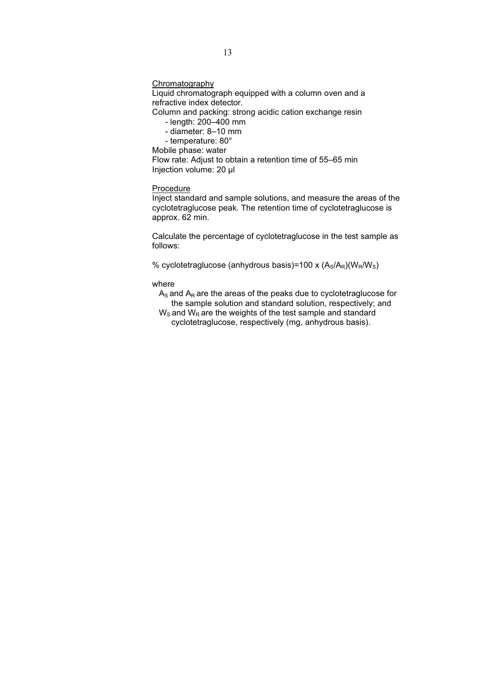**Chromatography** 

Liquid chromatograph equipped with a column oven and a refractive index detector.

Column and packing: strong acidic cation exchange resin

- length: 200–400 mm
- diameter: 8–10 mm
- temperature: 80°

Mobile phase: water

Flow rate: Adjust to obtain a retention time of 55–65 min Injection volume: 20 μl

# Procedure

Inject standard and sample solutions, and measure the areas of the cyclotetraglucose peak. The retention time of cyclotetraglucose is approx. 62 min.

Calculate the percentage of cyclotetraglucose in the test sample as follows:

% cyclotetraglucose (anhydrous basis)=100 x  $(A_S/A_R)(W_R/W_S)$ 

#### where

- $A_S$  and  $A_R$  are the areas of the peaks due to cyclotetraglucose for the sample solution and standard solution, respectively; and
- $W<sub>S</sub>$  and  $W<sub>R</sub>$  are the weights of the test sample and standard cyclotetraglucose, respectively (mg, anhydrous basis).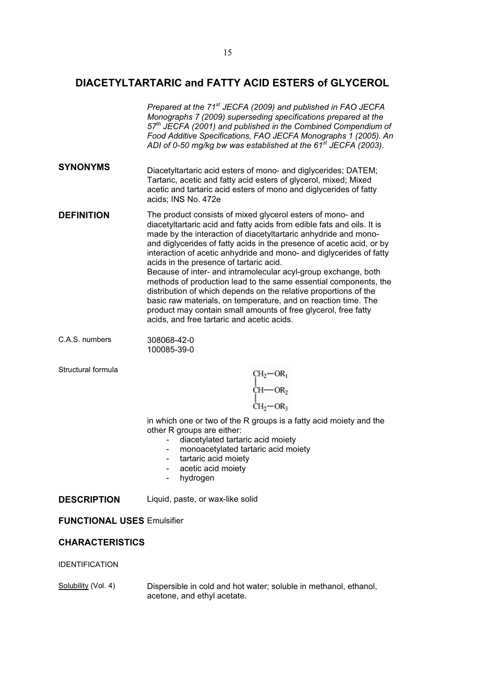# **DIACETYLTARTARIC and FATTY ACID ESTERS of GLYCEROL**

|                    | Prepared at the 71 <sup>st</sup> JECFA (2009) and published in FAO JECFA<br>Monographs 7 (2009) superseding specifications prepared at the<br>$57th$ JECFA (2001) and published in the Combined Compendium of<br>Food Additive Specifications, FAO JECFA Monographs 1 (2005). An<br>ADI of 0-50 mg/kg bw was established at the 61 <sup>st</sup> JECFA (2003).                                                                                                                                                                                                                                                                                                                                                                                                                                 |  |
|--------------------|------------------------------------------------------------------------------------------------------------------------------------------------------------------------------------------------------------------------------------------------------------------------------------------------------------------------------------------------------------------------------------------------------------------------------------------------------------------------------------------------------------------------------------------------------------------------------------------------------------------------------------------------------------------------------------------------------------------------------------------------------------------------------------------------|--|
| <b>SYNONYMS</b>    | Diacetyltartaric acid esters of mono- and diglycerides; DATEM;<br>Tartaric, acetic and fatty acid esters of glycerol, mixed; Mixed<br>acetic and tartaric acid esters of mono and diglycerides of fatty<br>acids; INS No. 472e                                                                                                                                                                                                                                                                                                                                                                                                                                                                                                                                                                 |  |
| <b>DEFINITION</b>  | The product consists of mixed glycerol esters of mono- and<br>diacetyltartaric acid and fatty acids from edible fats and oils. It is<br>made by the interaction of diacetyltartaric anhydride and mono-<br>and diglycerides of fatty acids in the presence of acetic acid, or by<br>interaction of acetic anhydride and mono- and diglycerides of fatty<br>acids in the presence of tartaric acid.<br>Because of inter- and intramolecular acyl-group exchange, both<br>methods of production lead to the same essential components, the<br>distribution of which depends on the relative proportions of the<br>basic raw materials, on temperature, and on reaction time. The<br>product may contain small amounts of free glycerol, free fatty<br>acids, and free tartaric and acetic acids. |  |
| C.A.S. numbers     | 308068-42-0<br>100085-39-0                                                                                                                                                                                                                                                                                                                                                                                                                                                                                                                                                                                                                                                                                                                                                                     |  |
| Structural formula | $CH_2-OR_1$<br>$CH$ - OR <sub>2</sub><br>$CH_2-OR_3$<br>in which one or two of the R groups is a fatty acid moiety and the<br>other R groups are either:<br>diacetylated tartaric acid moiety<br>monoacetylated tartaric acid moiety<br>tartaric acid moiety                                                                                                                                                                                                                                                                                                                                                                                                                                                                                                                                   |  |

- 
- acetic acid moiety
- hydrogen

**DESCRIPTION** Liquid, paste, or wax-like solid

# **FUNCTIONAL USES** Emulsifier

# **CHARACTERISTICS**

# IDENTIFICATION

Solubility (Vol. 4) Dispersible in cold and hot water; soluble in methanol, ethanol, acetone, and ethyl acetate.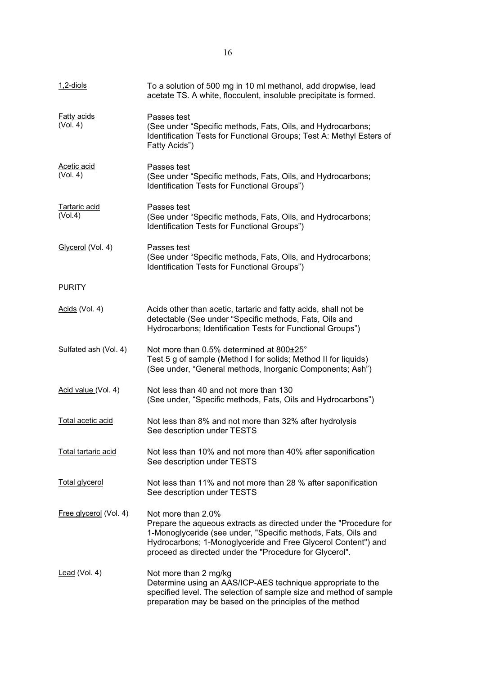| <u>1,2-diols</u>               | To a solution of 500 mg in 10 ml methanol, add dropwise, lead<br>acetate TS. A white, flocculent, insoluble precipitate is formed.                                                                                                                                                   |  |
|--------------------------------|--------------------------------------------------------------------------------------------------------------------------------------------------------------------------------------------------------------------------------------------------------------------------------------|--|
| <b>Fatty acids</b><br>(Vol. 4) | Passes test<br>(See under "Specific methods, Fats, Oils, and Hydrocarbons;<br>Identification Tests for Functional Groups; Test A: Methyl Esters of<br>Fatty Acids")                                                                                                                  |  |
| <b>Acetic acid</b><br>(Vol. 4) | Passes test<br>(See under "Specific methods, Fats, Oils, and Hydrocarbons;<br>Identification Tests for Functional Groups")                                                                                                                                                           |  |
| Tartaric acid<br>(Vol.4)       | Passes test<br>(See under "Specific methods, Fats, Oils, and Hydrocarbons;<br>Identification Tests for Functional Groups")                                                                                                                                                           |  |
| Glycerol (Vol. 4)              | Passes test<br>(See under "Specific methods, Fats, Oils, and Hydrocarbons;<br>Identification Tests for Functional Groups")                                                                                                                                                           |  |
| <b>PURITY</b>                  |                                                                                                                                                                                                                                                                                      |  |
| Acids (Vol. 4)                 | Acids other than acetic, tartaric and fatty acids, shall not be<br>detectable (See under "Specific methods, Fats, Oils and<br>Hydrocarbons; Identification Tests for Functional Groups")                                                                                             |  |
| Sulfated ash (Vol. 4)          | Not more than 0.5% determined at 800±25°<br>Test 5 g of sample (Method I for solids; Method II for liquids)<br>(See under, "General methods, Inorganic Components; Ash")                                                                                                             |  |
| Acid value (Vol. 4)            | Not less than 40 and not more than 130<br>(See under, "Specific methods, Fats, Oils and Hydrocarbons")                                                                                                                                                                               |  |
| Total acetic acid              | Not less than 8% and not more than 32% after hydrolysis<br>See description under TESTS                                                                                                                                                                                               |  |
| Total tartaric acid            | Not less than 10% and not more than 40% after saponification<br>See description under TESTS                                                                                                                                                                                          |  |
| <b>Total glycerol</b>          | Not less than 11% and not more than 28 % after saponification<br>See description under TESTS                                                                                                                                                                                         |  |
| Free glycerol (Vol. 4)         | Not more than 2.0%<br>Prepare the aqueous extracts as directed under the "Procedure for<br>1-Monoglyceride (see under, "Specific methods, Fats, Oils and<br>Hydrocarbons; 1-Monoglyceride and Free Glycerol Content") and<br>proceed as directed under the "Procedure for Glycerol". |  |
| $lead (Vol. 4)$                | Not more than 2 mg/kg<br>Determine using an AAS/ICP-AES technique appropriate to the<br>specified level. The selection of sample size and method of sample<br>preparation may be based on the principles of the method                                                               |  |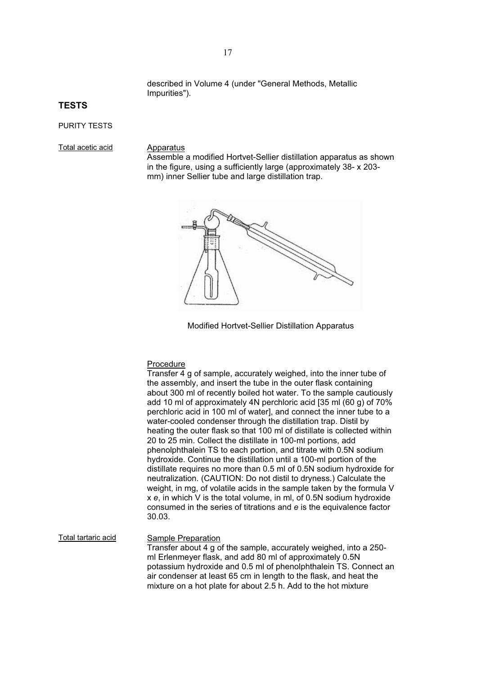described in Volume 4 (under "General Methods, Metallic Impurities").

# **TESTS**

# PURITY TESTS

Total acetic acid Apparatus

Assemble a modified Hortvet-Sellier distillation apparatus as shown in the figure, using a sufficiently large (approximately 38- x 203 mm) inner Sellier tube and large distillation trap.



Modified Hortvet-Sellier Distillation Apparatus

#### Procedure

Transfer 4 g of sample, accurately weighed, into the inner tube of the assembly, and insert the tube in the outer flask containing about 300 ml of recently boiled hot water. To the sample cautiously add 10 ml of approximately 4N perchloric acid [35 ml (60 g) of 70% perchloric acid in 100 ml of water], and connect the inner tube to a water-cooled condenser through the distillation trap. Distil by heating the outer flask so that 100 ml of distillate is collected within 20 to 25 min. Collect the distillate in 100-ml portions, add phenolphthalein TS to each portion, and titrate with 0.5N sodium hydroxide. Continue the distillation until a 100-ml portion of the distillate requires no more than 0.5 ml of 0.5N sodium hydroxide for neutralization. (CAUTION: Do not distil to dryness.) Calculate the weight, in mg, of volatile acids in the sample taken by the formula V x *e*, in which V is the total volume, in ml, of 0.5N sodium hydroxide consumed in the series of titrations and *e* is the equivalence factor 30.03.

Total tartaric acid Sample Preparation Transfer about 4 g of the sample, accurately weighed, into a 250 ml Erlenmeyer flask, and add 80 ml of approximately 0.5N potassium hydroxide and 0.5 ml of phenolphthalein TS. Connect an air condenser at least 65 cm in length to the flask, and heat the mixture on a hot plate for about 2.5 h. Add to the hot mixture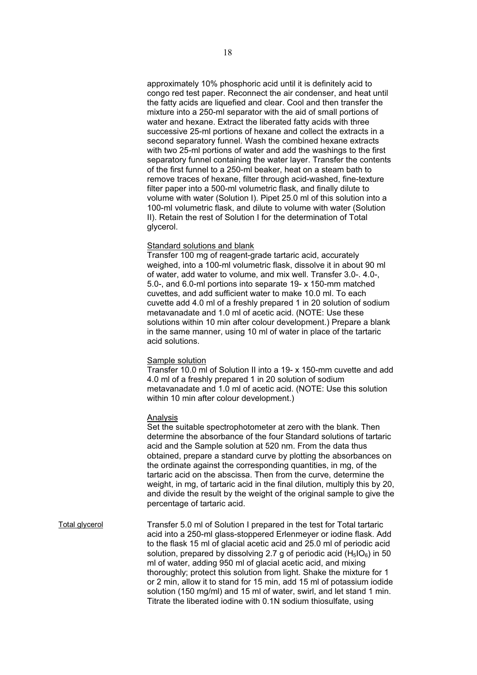approximately 10% phosphoric acid until it is definitely acid to congo red test paper. Reconnect the air condenser, and heat until the fatty acids are liquefied and clear. Cool and then transfer the mixture into a 250-ml separator with the aid of small portions of water and hexane. Extract the liberated fatty acids with three successive 25-ml portions of hexane and collect the extracts in a second separatory funnel. Wash the combined hexane extracts with two 25-ml portions of water and add the washings to the first separatory funnel containing the water layer. Transfer the contents of the first funnel to a 250-ml beaker, heat on a steam bath to remove traces of hexane, filter through acid-washed, fine-texture filter paper into a 500-ml volumetric flask, and finally dilute to volume with water (Solution I). Pipet 25.0 ml of this solution into a 100-ml volumetric flask, and dilute to volume with water (Solution II). Retain the rest of Solution I for the determination of Total glycerol.

# Standard solutions and blank

Transfer 100 mg of reagent-grade tartaric acid, accurately weighed, into a 100-ml volumetric flask, dissolve it in about 90 ml of water, add water to volume, and mix well. Transfer 3.0-. 4.0-, 5.0-, and 6.0-ml portions into separate 19- x 150-mm matched cuvettes, and add sufficient water to make 10.0 ml. To each cuvette add 4.0 ml of a freshly prepared 1 in 20 solution of sodium metavanadate and 1.0 ml of acetic acid. (NOTE: Use these solutions within 10 min after colour development.) Prepare a blank in the same manner, using 10 ml of water in place of the tartaric acid solutions.

# Sample solution

Transfer 10.0 ml of Solution II into a 19- x 150-mm cuvette and add 4.0 ml of a freshly prepared 1 in 20 solution of sodium metavanadate and 1.0 ml of acetic acid. (NOTE: Use this solution within 10 min after colour development.)

#### Analysis

Set the suitable spectrophotometer at zero with the blank. Then determine the absorbance of the four Standard solutions of tartaric acid and the Sample solution at 520 nm. From the data thus obtained, prepare a standard curve by plotting the absorbances on the ordinate against the corresponding quantities, in mg, of the tartaric acid on the abscissa. Then from the curve, determine the weight, in mg, of tartaric acid in the final dilution, multiply this by 20, and divide the result by the weight of the original sample to give the percentage of tartaric acid.

Total glycerol Transfer 5.0 ml of Solution I prepared in the test for Total tartaric acid into a 250-ml glass-stoppered Erlenmeyer or iodine flask. Add to the flask 15 ml of glacial acetic acid and 25.0 ml of periodic acid solution, prepared by dissolving 2.7 g of periodic acid  $(H<sub>5</sub>IO<sub>6</sub>)$  in 50 ml of water, adding 950 ml of glacial acetic acid, and mixing thoroughly; protect this solution from light. Shake the mixture for 1 or 2 min, allow it to stand for 15 min, add 15 ml of potassium iodide solution (150 mg/ml) and 15 ml of water, swirl, and let stand 1 min. Titrate the liberated iodine with 0.1N sodium thiosulfate, using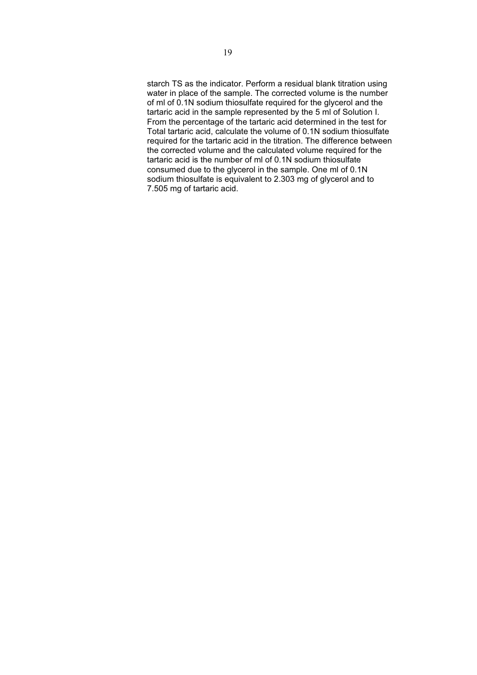starch TS as the indicator. Perform a residual blank titration using water in place of the sample. The corrected volume is the number of ml of 0.1N sodium thiosulfate required for the glycerol and the tartaric acid in the sample represented by the 5 ml of Solution I. From the percentage of the tartaric acid determined in the test for Total tartaric acid, calculate the volume of 0.1N sodium thiosulfate required for the tartaric acid in the titration. The difference between the corrected volume and the calculated volume required for the tartaric acid is the number of ml of 0.1N sodium thiosulfate consumed due to the glycerol in the sample. One ml of 0.1N sodium thiosulfate is equivalent to 2.303 mg of glycerol and to 7.505 mg of tartaric acid.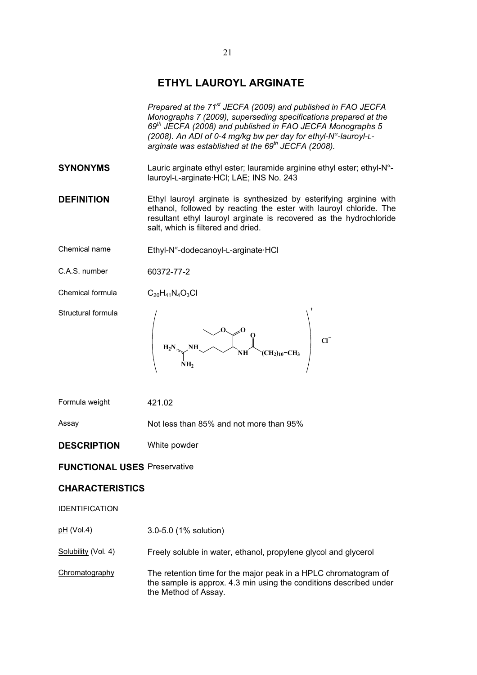# **ETHYL LAUROYL ARGINATE**

*Prepared at the 71st JECFA (2009) and published in FAO JECFA Monographs 7 (2009), superseding specifications prepared at the 69th JECFA (2008) and published in FAO JECFA Monographs 5 (2008). An ADI of 0-4 mg/kg bw per day for ethyl-N<sup>«</sup>-lauroyl-Larginate was established at the 69th JECFA (2008).* 

- **SYNONYMS** Lauric arginate ethyl ester; lauramide arginine ethyl ester; ethyl-N<sup>a</sup>lauroyl-L-arginate·HCl; LAE; INS No. 243
- **DEFINITION** Ethyl lauroyl arginate is synthesized by esterifying arginine with ethanol, followed by reacting the ester with lauroyl chloride. The resultant ethyl lauroyl arginate is recovered as the hydrochloride salt, which is filtered and dried.
- Chemical name  $E$ thyl-N<sup>a</sup>-dodecanoyl-L-arginate·HCl
- C.A.S. number 60372-77-2
- Chemical formula  $C_{20}H_{41}N_4O_3Cl$

Structural formula



| Formula weight | 421.02 |
|----------------|--------|
|----------------|--------|

Assay Not less than 85% and not more than 95%

# **DESCRIPTION** White powder

# **FUNCTIONAL USES** Preservative

# **CHARACTERISTICS**

# IDENTIFICATION

- pH (Vol.4) 3.0-5.0 (1% solution)
- Solubility (Vol. 4) Freely soluble in water, ethanol, propylene glycol and glycerol
- Chromatography The retention time for the major peak in a HPLC chromatogram of the sample is approx. 4.3 min using the conditions described under the Method of Assay.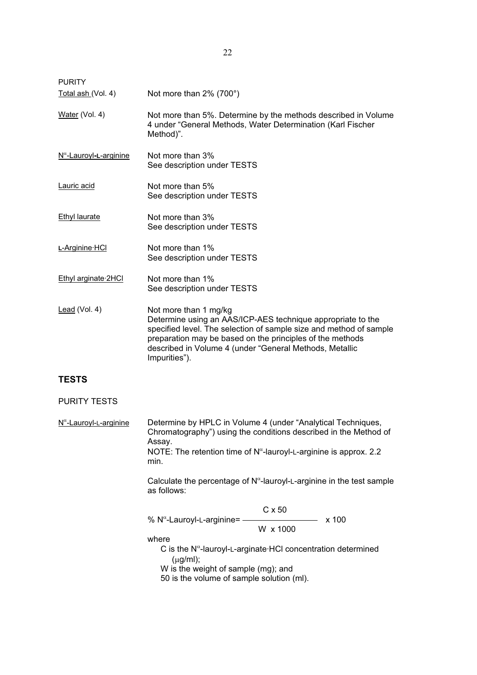| <b>PURITY</b>                    |                                                                                                                                                                                                                                                                                                     |  |
|----------------------------------|-----------------------------------------------------------------------------------------------------------------------------------------------------------------------------------------------------------------------------------------------------------------------------------------------------|--|
| Total ash (Vol. 4)               | Not more than 2% (700°)                                                                                                                                                                                                                                                                             |  |
| Water (Vol. 4)                   | Not more than 5%. Determine by the methods described in Volume<br>4 under "General Methods, Water Determination (Karl Fischer<br>Method)".                                                                                                                                                          |  |
| $N^{\alpha}$ -Lauroyl-L-arginine | Not more than 3%<br>See description under TESTS                                                                                                                                                                                                                                                     |  |
| Lauric acid                      | Not more than 5%<br>See description under TESTS                                                                                                                                                                                                                                                     |  |
| <b>Ethyl laurate</b>             | Not more than 3%<br>See description under TESTS                                                                                                                                                                                                                                                     |  |
| L-Arginine HCI                   | Not more than 1%<br>See description under TESTS                                                                                                                                                                                                                                                     |  |
| Ethyl arginate 2HCI              | Not more than 1%<br>See description under TESTS                                                                                                                                                                                                                                                     |  |
| Lead (Vol. 4)                    | Not more than 1 mg/kg<br>Determine using an AAS/ICP-AES technique appropriate to the<br>specified level. The selection of sample size and method of sample<br>preparation may be based on the principles of the methods<br>described in Volume 4 (under "General Methods, Metallic<br>Impurities"). |  |
| <b>TESTS</b>                     |                                                                                                                                                                                                                                                                                                     |  |
| <b>PURITY TESTS</b>              |                                                                                                                                                                                                                                                                                                     |  |
| $N^{\alpha}$ -Lauroyl-L-arginine | Determine by HPLC in Volume 4 (under "Analytical Techniques,<br>Chromatography") using the conditions described in the Method of<br>Assay.<br>NOTE: The retention time of $N^{\alpha}$ -lauroyl-L-arginine is approx. 2.2<br>min.                                                                   |  |
|                                  | Calculate the percentage of $N^{\alpha}$ -lauroyl-L-arginine in the test sample<br>as follows:                                                                                                                                                                                                      |  |
|                                  | $C \times 50$<br>% N <sup>a</sup> -Lauroyl-L-arginine= $-$<br>x 100<br>W x 1000<br>where<br>C is the N <sup>a</sup> -lauroyl-L-arginate HCI concentration determined                                                                                                                                |  |

(μg/ml);

W is the weight of sample (mg); and

50 is the volume of sample solution (ml).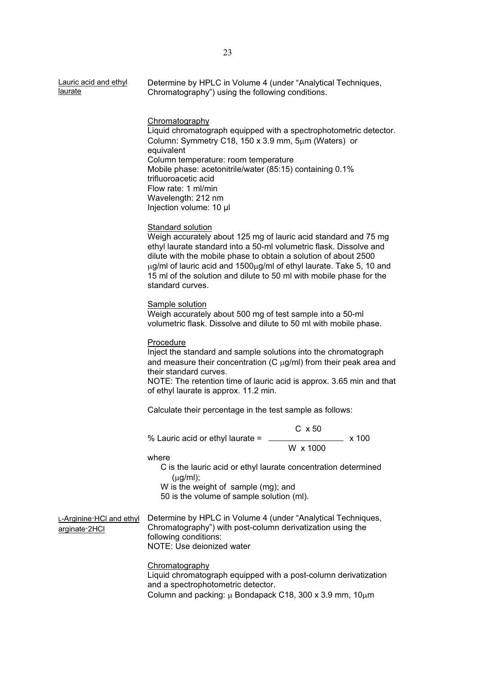| Lauric acid and ethyl | Determine by HPLC in Volume 4 (under "Analytical Techniques, |
|-----------------------|--------------------------------------------------------------|
| <u>laurate</u>        | Chromatography") using the following conditions.             |
|                       |                                                              |

Chromatography Liquid chromatograph equipped with a spectrophotometric detector. Column: Symmetry C18, 150 x 3.9 mm,  $5\mu$ m (Waters) or equivalent Column temperature: room temperature Mobile phase: acetonitrile/water (85:15) containing 0.1% trifluoroacetic acid Flow rate: 1 ml/min Wavelength: 212 nm Injection volume: 10 ȝl

# Standard solution

Weigh accurately about 125 mg of lauric acid standard and 75 mg ethyl laurate standard into a 50-ml volumetric flask. Dissolve and dilute with the mobile phase to obtain a solution of about 2500  $\mu$ g/ml of lauric acid and 1500 $\mu$ g/ml of ethyl laurate. Take 5, 10 and 15 ml of the solution and dilute to 50 ml with mobile phase for the standard curves.

#### Sample solution

Weigh accurately about 500 mg of test sample into a 50-ml volumetric flask. Dissolve and dilute to 50 ml with mobile phase.

# Procedure

Inject the standard and sample solutions into the chromatograph and measure their concentration  $(C \mu q/m)$  from their peak area and their standard curves.

NOTE: The retention time of lauric acid is approx. 3.65 min and that of ethyl laurate is approx. 11.2 min.

Calculate their percentage in the test sample as follows:

% Lauric acid or ethyl laurate =  $\frac{1}{2}$  x 100

W x 1000

C x 50

where

C is the lauric acid or ethyl laurate concentration determined  $(\mu q/ml)$ ;

W is the weight of sample (mg); and

50 is the volume of sample solution (ml).

L-Arginine·HCl and ethyl arginate·2HCl

Determine by HPLC in Volume 4 (under "Analytical Techniques, Chromatography") with post-column derivatization using the following conditions: NOTE: Use deionized water

Chromatography

Liquid chromatograph equipped with a post-column derivatization and a spectrophotometric detector. Column and packing:  $\mu$  Bondapack C18, 300 x 3.9 mm, 10 $\mu$ m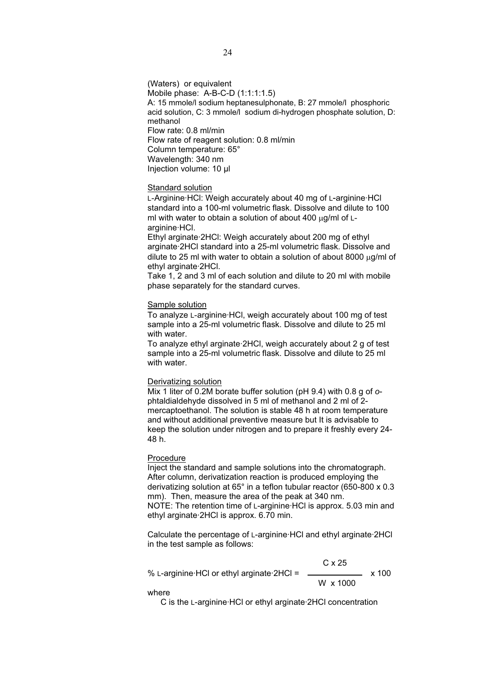(Waters) or equivalent Mobile phase: A-B-C-D (1:1:1:1.5) A: 15 mmole/l sodium heptanesulphonate, B: 27 mmole/l phosphoric acid solution, C: 3 mmole/l sodium di-hydrogen phosphate solution, D: methanol Flow rate: 0.8 ml/min Flow rate of reagent solution: 0.8 ml/min Column temperature: 65° Wavelength: 340 nm Injection volume: 10 ȝl

#### Standard solution

L-Arginine·HCl: Weigh accurately about 40 mg of L-arginine·HCl standard into a 100-ml volumetric flask. Dissolve and dilute to 100 ml with water to obtain a solution of about 400  $\mu$ g/ml of Larginine·HCl.

Ethyl arginate·2HCl: Weigh accurately about 200 mg of ethyl arginate·2HCl standard into a 25-ml volumetric flask. Dissolve and dilute to 25 ml with water to obtain a solution of about 8000  $\mu$ g/ml of ethyl arginate·2HCl.

Take 1, 2 and 3 ml of each solution and dilute to 20 ml with mobile phase separately for the standard curves.

# Sample solution

To analyze L-arginine·HCl, weigh accurately about 100 mg of test sample into a 25-ml volumetric flask. Dissolve and dilute to 25 ml with water.

To analyze ethyl arginate·2HCl, weigh accurately about 2 g of test sample into a 25-ml volumetric flask. Dissolve and dilute to 25 ml with water.

#### Derivatizing solution

Mix 1 liter of 0.2M borate buffer solution (pH 9.4) with 0.8 g of *o*phtaldialdehyde dissolved in 5 ml of methanol and 2 ml of 2 mercaptoethanol. The solution is stable 48 h at room temperature and without additional preventive measure but It is advisable to keep the solution under nitrogen and to prepare it freshly every 24- 48 h.

# Procedure

Inject the standard and sample solutions into the chromatograph. After column, derivatization reaction is produced employing the derivatizing solution at 65° in a teflon tubular reactor (650-800 x 0.3 mm). Then, measure the area of the peak at 340 nm. NOTE: The retention time of L-arginine·HCl is approx. 5.03 min and ethyl arginate·2HCl is approx. 6.70 min.

Calculate the percentage of L-arginine·HCl and ethyl arginate·2HCl in the test sample as follows:

 $C \times 25$  $%$  L-arginine HCl or ethyl arginate 2HCl =  $\frac{1}{2}$  x 100 W x 1000

where

C is the L-arginine·HCl or ethyl arginate·2HCl concentration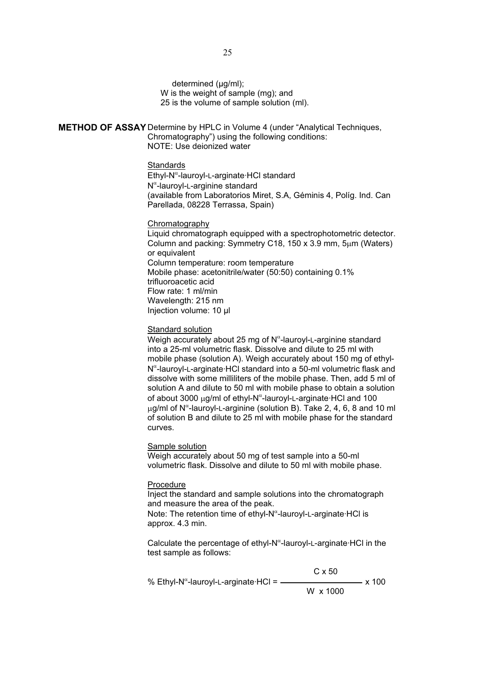determined (μg/ml); W is the weight of sample (mg); and 25 is the volume of sample solution (ml).

**METHOD OF ASSAY** Determine by HPLC in Volume 4 (under "Analytical Techniques, Chromatography") using the following conditions: NOTE: Use deionized water

## **Standards**

Ethyl-N<sup>«</sup>-lauroyl-L-arginate·HCl standard N<sup>a</sup>-lauroyl-L-arginine standard (available from Laboratorios Miret, S.A, Géminis 4, Políg. Ind. Can Parellada, 08228 Terrassa, Spain)

# Chromatography

Liquid chromatograph equipped with a spectrophotometric detector. Column and packing: Symmetry C18, 150 x 3.9 mm,  $5\mu$ m (Waters) or equivalent Column temperature: room temperature Mobile phase: acetonitrile/water (50:50) containing 0.1% trifluoroacetic acid Flow rate: 1 ml/min Wavelength: 215 nm Injection volume: 10 ȝl

## Standard solution

Weigh accurately about 25 mg of  $N^{\alpha}$ -lauroyl-L-arginine standard into a 25-ml volumetric flask. Dissolve and dilute to 25 ml with mobile phase (solution A). Weigh accurately about 150 mg of ethyl-N<sup>a</sup>-lauroyl-L-arginate·HCl standard into a 50-ml volumetric flask and dissolve with some milliliters of the mobile phase. Then, add 5 ml of solution A and dilute to 50 ml with mobile phase to obtain a solution of about 3000 µg/ml of ethyl-N<sup>a</sup>-lauroyl-L-arginate·HCl and 100 µg/ml of N<sup>a</sup>-lauroyl-L-arginine (solution B). Take 2, 4, 6, 8 and 10 ml of solution B and dilute to 25 ml with mobile phase for the standard curves.

#### Sample solution

Weigh accurately about 50 mg of test sample into a 50-ml volumetric flask. Dissolve and dilute to 50 ml with mobile phase.

#### Procedure

Inject the standard and sample solutions into the chromatograph and measure the area of the peak.

Note: The retention time of ethyl-N<sup>«</sup>-lauroyl-L-arginate·HCl is approx. 4.3 min.

Calculate the percentage of ethyl-N<sup>a</sup>-lauroyl-L-arginate·HCl in the test sample as follows:

|                                                      | $C \times 50$ |           |
|------------------------------------------------------|---------------|-----------|
| % Ethyl-N <sup>«</sup> -lauroyl-L-arginate·HCl = $-$ |               | · x 100 · |
|                                                      | W x 1000      |           |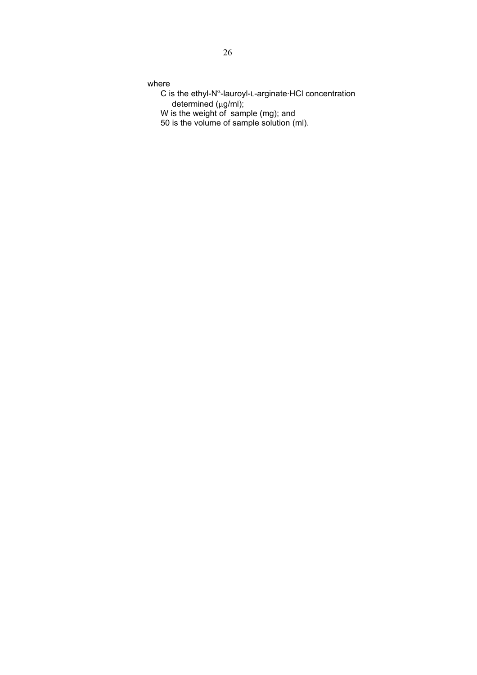where

- $C$  is the ethyl-N<sup> $\alpha$ </sup>-lauroyl-L-arginate HCl concentration  $d$ etermined ( $\mu$ g/ml);
- W is the weight of sample (mg); and
- 50 is the volume of sample solution (ml).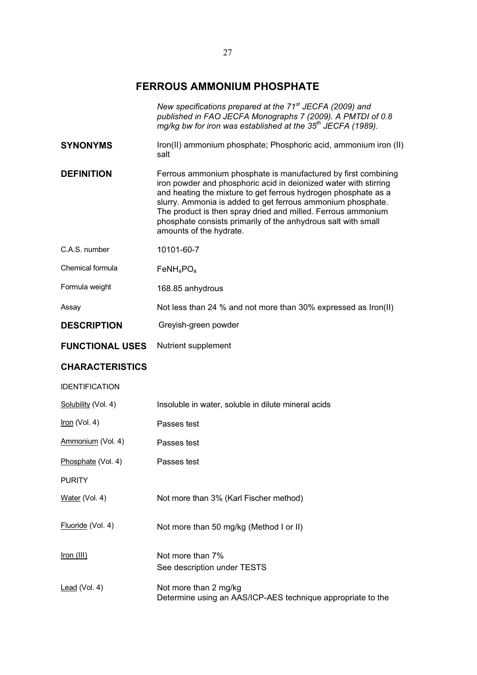# **FERROUS AMMONIUM PHOSPHATE**

|                        | New specifications prepared at the 71 <sup>st</sup> JECFA (2009) and<br>published in FAO JECFA Monographs 7 (2009). A PMTDI of 0.8<br>mg/kg bw for iron was established at the 35 <sup>th</sup> JECFA (1989).                                                                                                                                                                                                                  |
|------------------------|--------------------------------------------------------------------------------------------------------------------------------------------------------------------------------------------------------------------------------------------------------------------------------------------------------------------------------------------------------------------------------------------------------------------------------|
| <b>SYNONYMS</b>        | Iron(II) ammonium phosphate; Phosphoric acid, ammonium iron (II)<br>salt                                                                                                                                                                                                                                                                                                                                                       |
| <b>DEFINITION</b>      | Ferrous ammonium phosphate is manufactured by first combining<br>iron powder and phosphoric acid in deionized water with stirring<br>and heating the mixture to get ferrous hydrogen phosphate as a<br>slurry. Ammonia is added to get ferrous ammonium phosphate.<br>The product is then spray dried and milled. Ferrous ammonium<br>phosphate consists primarily of the anhydrous salt with small<br>amounts of the hydrate. |
| C.A.S. number          | 10101-60-7                                                                                                                                                                                                                                                                                                                                                                                                                     |
| Chemical formula       | $FeNH_4PO_4$                                                                                                                                                                                                                                                                                                                                                                                                                   |
| Formula weight         | 168.85 anhydrous                                                                                                                                                                                                                                                                                                                                                                                                               |
| Assay                  | Not less than 24 % and not more than 30% expressed as Iron(II)                                                                                                                                                                                                                                                                                                                                                                 |
| <b>DESCRIPTION</b>     | Greyish-green powder                                                                                                                                                                                                                                                                                                                                                                                                           |
| <b>FUNCTIONAL USES</b> | Nutrient supplement                                                                                                                                                                                                                                                                                                                                                                                                            |
| <b>CHARACTERISTICS</b> |                                                                                                                                                                                                                                                                                                                                                                                                                                |
| <b>IDENTIFICATION</b>  |                                                                                                                                                                                                                                                                                                                                                                                                                                |
| Solubility (Vol. 4)    | Insoluble in water, soluble in dilute mineral acids                                                                                                                                                                                                                                                                                                                                                                            |
| Iron (Vol. 4)          | Passes test                                                                                                                                                                                                                                                                                                                                                                                                                    |
| Ammonium (Vol. 4)      | Passes test                                                                                                                                                                                                                                                                                                                                                                                                                    |
| Phosphate (Vol. 4)     | Passes test                                                                                                                                                                                                                                                                                                                                                                                                                    |
| <b>PURITY</b>          |                                                                                                                                                                                                                                                                                                                                                                                                                                |
| Water (Vol. 4)         | Not more than 3% (Karl Fischer method)                                                                                                                                                                                                                                                                                                                                                                                         |
| Fluoride (Vol. 4)      | Not more than 50 mg/kg (Method I or II)                                                                                                                                                                                                                                                                                                                                                                                        |
| Iron (III)             | Not more than 7%<br>See description under TESTS                                                                                                                                                                                                                                                                                                                                                                                |
| Lead (Vol. 4)          | Not more than 2 mg/kg<br>Determine using an AAS/ICP-AES technique appropriate to the                                                                                                                                                                                                                                                                                                                                           |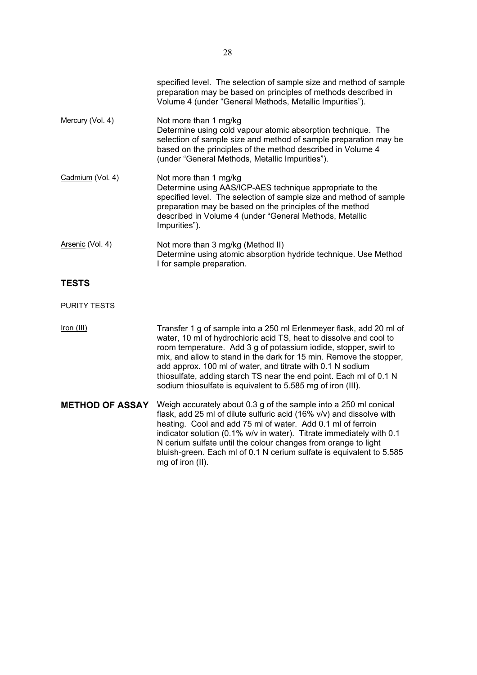|                     | specified level. The selection of sample size and method of sample<br>preparation may be based on principles of methods described in<br>Volume 4 (under "General Methods, Metallic Impurities").                                                                                                |
|---------------------|-------------------------------------------------------------------------------------------------------------------------------------------------------------------------------------------------------------------------------------------------------------------------------------------------|
| Mercury (Vol. 4)    | Not more than 1 mg/kg<br>Determine using cold vapour atomic absorption technique. The<br>selection of sample size and method of sample preparation may be<br>based on the principles of the method described in Volume 4<br>(under "General Methods, Metallic Impurities").                     |
| Cadmium (Vol. 4)    | Not more than 1 mg/kg<br>Determine using AAS/ICP-AES technique appropriate to the<br>specified level. The selection of sample size and method of sample<br>preparation may be based on the principles of the method<br>described in Volume 4 (under "General Methods, Metallic<br>Impurities"). |
| Arsenic (Vol. 4)    | Not more than 3 mg/kg (Method II)<br>Determine using atomic absorption hydride technique. Use Method<br>I for sample preparation.                                                                                                                                                               |
| <b>TESTS</b>        |                                                                                                                                                                                                                                                                                                 |
| <b>PURITY TESTS</b> |                                                                                                                                                                                                                                                                                                 |

Iron (III) Transfer 1 g of sample into a 250 ml Erlenmeyer flask, add 20 ml of water, 10 ml of hydrochloric acid TS, heat to dissolve and cool to room temperature. Add 3 g of potassium iodide, stopper, swirl to mix, and allow to stand in the dark for 15 min. Remove the stopper, add approx. 100 ml of water, and titrate with 0.1 N sodium thiosulfate, adding starch TS near the end point. Each ml of 0.1 N sodium thiosulfate is equivalent to 5.585 mg of iron (III).

**METHOD OF ASSAY** Weigh accurately about 0.3 g of the sample into a 250 ml conical flask, add 25 ml of dilute sulfuric acid (16% v/v) and dissolve with heating. Cool and add 75 ml of water. Add 0.1 ml of ferroin indicator solution (0.1% w/v in water). Titrate immediately with 0.1 N cerium sulfate until the colour changes from orange to light bluish-green. Each ml of 0.1 N cerium sulfate is equivalent to 5.585 mg of iron (II).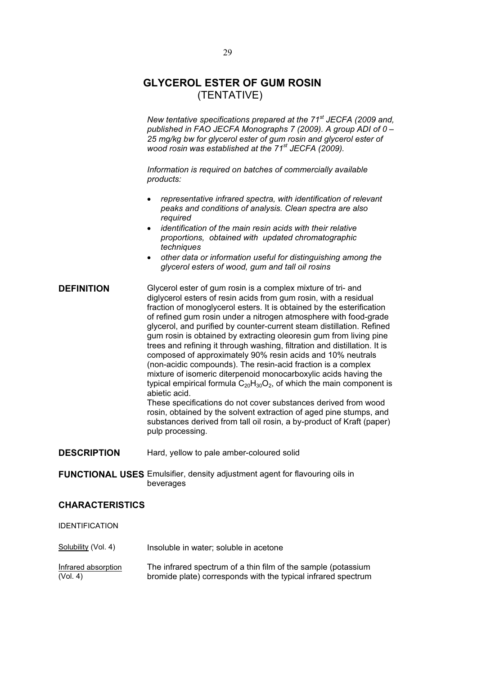# **GLYCEROL ESTER OF GUM ROSIN**  (TENTATIVE)

*New tentative specifications prepared at the 71st JECFA (2009 and, published in FAO JECFA Monographs 7 (2009). A group ADI of 0 – 25 mg/kg bw for glycerol ester of gum rosin and glycerol ester of wood rosin was established at the 71st JECFA (2009).* 

*Information is required on batches of commercially available products:* 

- **•** *representative infrared spectra, with identification of relevant peaks and conditions of analysis. Clean spectra are also required*
- x *identification of the main resin acids with their relative proportions, obtained with updated chromatographic techniques*
- x *other data or information useful for distinguishing among the glycerol esters of wood, gum and tall oil rosins*

# **DEFINITION** Glycerol ester of gum rosin is a complex mixture of tri- and diglycerol esters of resin acids from gum rosin, with a residual fraction of monoglycerol esters. It is obtained by the esterification of refined gum rosin under a nitrogen atmosphere with food-grade glycerol, and purified by counter-current steam distillation. Refined gum rosin is obtained by extracting oleoresin gum from living pine trees and refining it through washing, filtration and distillation. It is composed of approximately 90% resin acids and 10% neutrals (non-acidic compounds). The resin-acid fraction is a complex mixture of isomeric diterpenoid monocarboxylic acids having the typical empirical formula  $C_{20}H_{30}O_2$ , of which the main component is abietic acid. These specifications do not cover substances derived from wood rosin, obtained by the solvent extraction of aged pine stumps, and substances derived from tall oil rosin, a by-product of Kraft (paper) pulp processing. **DESCRIPTION** Hard, yellow to pale amber-coloured solid

**FUNCTIONAL USES** Emulsifier, density adjustment agent for flavouring oils in beverages

# **CHARACTERISTICS**

| <b>IDENTIFICATION</b>           |                                                                                                                                |
|---------------------------------|--------------------------------------------------------------------------------------------------------------------------------|
| Solubility (Vol. 4)             | Insoluble in water; soluble in acetone                                                                                         |
| Infrared absorption<br>(Vol. 4) | The infrared spectrum of a thin film of the sample (potassium<br>bromide plate) corresponds with the typical infrared spectrum |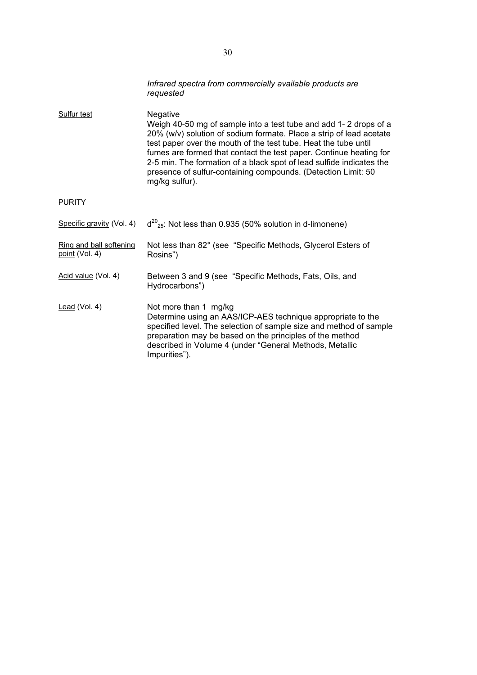|                                           | Infrared spectra from commercially available products are<br>requested                                                                                                                                                                                                                                                                                                                                                                                  |
|-------------------------------------------|---------------------------------------------------------------------------------------------------------------------------------------------------------------------------------------------------------------------------------------------------------------------------------------------------------------------------------------------------------------------------------------------------------------------------------------------------------|
| <b>Sulfur test</b>                        | Negative<br>Weigh 40-50 mg of sample into a test tube and add 1-2 drops of a<br>20% (w/v) solution of sodium formate. Place a strip of lead acetate<br>test paper over the mouth of the test tube. Heat the tube until<br>fumes are formed that contact the test paper. Continue heating for<br>2-5 min. The formation of a black spot of lead sulfide indicates the<br>presence of sulfur-containing compounds. (Detection Limit: 50<br>mg/kg sulfur). |
| <b>PURITY</b>                             |                                                                                                                                                                                                                                                                                                                                                                                                                                                         |
| Specific gravity (Vol. 4)                 | $d^{20}_{25}$ : Not less than 0.935 (50% solution in d-limonene)                                                                                                                                                                                                                                                                                                                                                                                        |
| Ring and ball softening<br>point (Vol. 4) | Not less than 82° (see "Specific Methods, Glycerol Esters of<br>Rosins")                                                                                                                                                                                                                                                                                                                                                                                |
| Acid value (Vol. 4)                       | Between 3 and 9 (see "Specific Methods, Fats, Oils, and<br>Hydrocarbons")                                                                                                                                                                                                                                                                                                                                                                               |
| Lead (Vol. 4)                             | Not more than 1 mg/kg<br>Determine using an AAS/ICP-AES technique appropriate to the<br>specified level. The selection of sample size and method of sample<br>preparation may be based on the principles of the method<br>described in Volume 4 (under "General Methods, Metallic<br>Impurities").                                                                                                                                                      |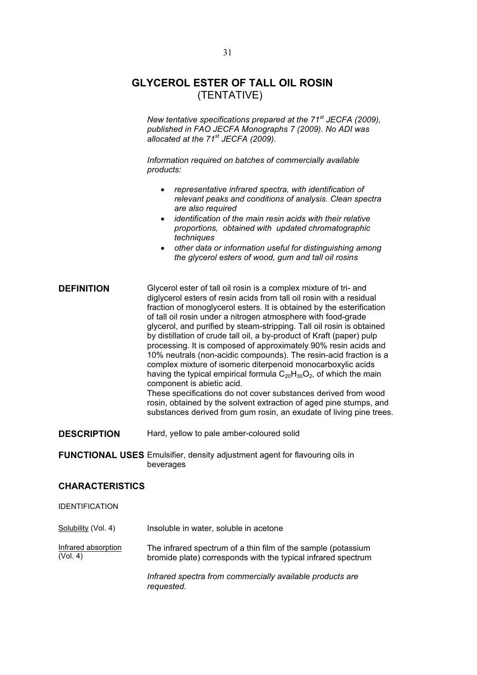# **GLYCEROL ESTER OF TALL OIL ROSIN**  (TENTATIVE)

*New tentative specifications prepared at the 71st JECFA (2009), published in FAO JECFA Monographs 7 (2009). No ADI was allocated at the 71st JECFA (2009).* 

*Information required on batches of commercially available products:* 

- x *representative infrared spectra, with identification of relevant peaks and conditions of analysis. Clean spectra are also required*
- x *identification of the main resin acids with their relative proportions, obtained with updated chromatographic techniques*
- x *other data or information useful for distinguishing among the glycerol esters of wood, gum and tall oil rosins*

| <b>DEFINITION</b> | Glycerol ester of tall oil rosin is a complex mixture of tri- and<br>diglycerol esters of resin acids from tall oil rosin with a residual<br>fraction of monoglycerol esters. It is obtained by the esterification<br>of tall oil rosin under a nitrogen atmosphere with food-grade<br>glycerol, and purified by steam-stripping. Tall oil rosin is obtained<br>by distillation of crude tall oil, a by-product of Kraft (paper) pulp<br>processing. It is composed of approximately 90% resin acids and<br>10% neutrals (non-acidic compounds). The resin-acid fraction is a<br>complex mixture of isomeric diterpenoid monocarboxylic acids<br>having the typical empirical formula $C_{20}H_{30}O_2$ , of which the main<br>component is abietic acid.<br>These specifications do not cover substances derived from wood<br>rosin, obtained by the solvent extraction of aged pine stumps, and<br>substances derived from gum rosin, an exudate of living pine trees. |
|-------------------|--------------------------------------------------------------------------------------------------------------------------------------------------------------------------------------------------------------------------------------------------------------------------------------------------------------------------------------------------------------------------------------------------------------------------------------------------------------------------------------------------------------------------------------------------------------------------------------------------------------------------------------------------------------------------------------------------------------------------------------------------------------------------------------------------------------------------------------------------------------------------------------------------------------------------------------------------------------------------|
|-------------------|--------------------------------------------------------------------------------------------------------------------------------------------------------------------------------------------------------------------------------------------------------------------------------------------------------------------------------------------------------------------------------------------------------------------------------------------------------------------------------------------------------------------------------------------------------------------------------------------------------------------------------------------------------------------------------------------------------------------------------------------------------------------------------------------------------------------------------------------------------------------------------------------------------------------------------------------------------------------------|

**DESCRIPTION** Hard, yellow to pale amber-coloured solid

**FUNCTIONAL USES** Emulsifier, density adjustment agent for flavouring oils in beverages

# **CHARACTERISTICS**

IDENTIFICATION

Solubility (Vol. 4) Insoluble in water, soluble in acetone Infrared absorption (Vol. 4) The infrared spectrum of a thin film of the sample (potassium bromide plate) corresponds with the typical infrared spectrum *Infrared spectra from commercially available products are requested.*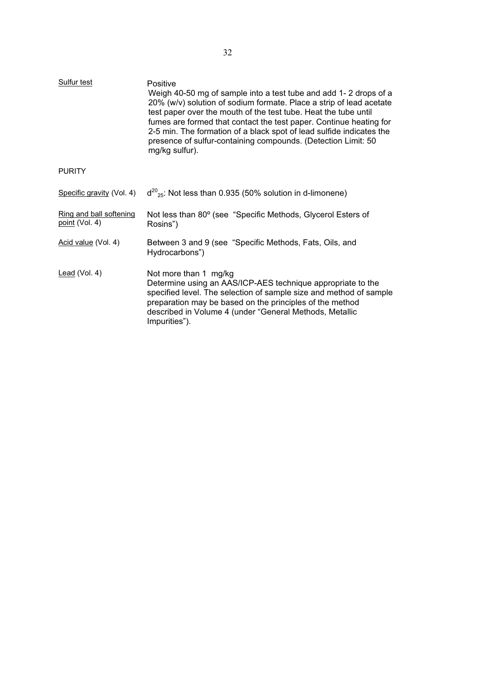| <b>Sulfur test</b>                               | Positive<br>Weigh 40-50 mg of sample into a test tube and add 1-2 drops of a<br>20% (w/v) solution of sodium formate. Place a strip of lead acetate<br>test paper over the mouth of the test tube. Heat the tube until<br>fumes are formed that contact the test paper. Continue heating for<br>2-5 min. The formation of a black spot of lead sulfide indicates the<br>presence of sulfur-containing compounds. (Detection Limit: 50<br>mg/kg sulfur). |
|--------------------------------------------------|---------------------------------------------------------------------------------------------------------------------------------------------------------------------------------------------------------------------------------------------------------------------------------------------------------------------------------------------------------------------------------------------------------------------------------------------------------|
| <b>PURITY</b>                                    |                                                                                                                                                                                                                                                                                                                                                                                                                                                         |
| Specific gravity (Vol. 4)                        | $d^{20}_{25}$ : Not less than 0.935 (50% solution in d-limonene)                                                                                                                                                                                                                                                                                                                                                                                        |
| Ring and ball softening<br><u>point</u> (Vol. 4) | Not less than 80° (see "Specific Methods, Glycerol Esters of<br>Rosins")                                                                                                                                                                                                                                                                                                                                                                                |
| Acid value (Vol. 4)                              | Between 3 and 9 (see "Specific Methods, Fats, Oils, and<br>Hydrocarbons")                                                                                                                                                                                                                                                                                                                                                                               |
| Lead (Vol. 4)                                    | Not more than 1 mg/kg<br>Determine using an AAS/ICP-AES technique appropriate to the<br>specified level. The selection of sample size and method of sample<br>preparation may be based on the principles of the method<br>described in Volume 4 (under "General Methods, Metallic<br>Impurities").                                                                                                                                                      |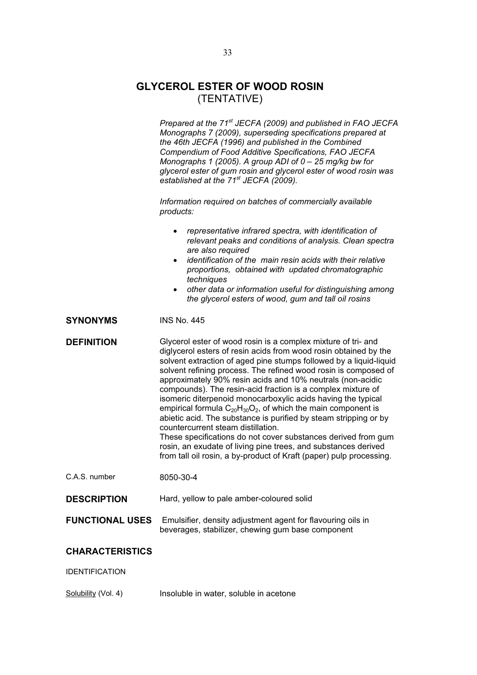# **GLYCEROL ESTER OF WOOD ROSIN**  (TENTATIVE)

|                        | Prepared at the 71 <sup>st</sup> JECFA (2009) and published in FAO JECFA<br>Monographs 7 (2009), superseding specifications prepared at<br>the 46th JECFA (1996) and published in the Combined<br>Compendium of Food Additive Specifications, FAO JECFA<br>Monographs 1 (2005). A group ADI of $0 - 25$ mg/kg bw for<br>glycerol ester of gum rosin and glycerol ester of wood rosin was<br>established at the 71 <sup>st</sup> JECFA (2009).<br>Information required on batches of commercially available<br>products:<br>representative infrared spectra, with identification of<br>relevant peaks and conditions of analysis. Clean spectra<br>are also required<br>identification of the main resin acids with their relative<br>$\bullet$<br>proportions, obtained with updated chromatographic<br>techniques<br>other data or information useful for distinguishing among<br>$\bullet$<br>the glycerol esters of wood, gum and tall oil rosins |  |
|------------------------|------------------------------------------------------------------------------------------------------------------------------------------------------------------------------------------------------------------------------------------------------------------------------------------------------------------------------------------------------------------------------------------------------------------------------------------------------------------------------------------------------------------------------------------------------------------------------------------------------------------------------------------------------------------------------------------------------------------------------------------------------------------------------------------------------------------------------------------------------------------------------------------------------------------------------------------------------|--|
| <b>SYNONYMS</b>        | <b>INS No. 445</b>                                                                                                                                                                                                                                                                                                                                                                                                                                                                                                                                                                                                                                                                                                                                                                                                                                                                                                                                   |  |
| <b>DEFINITION</b>      | Glycerol ester of wood rosin is a complex mixture of tri- and<br>diglycerol esters of resin acids from wood rosin obtained by the<br>solvent extraction of aged pine stumps followed by a liquid-liquid<br>solvent refining process. The refined wood rosin is composed of<br>approximately 90% resin acids and 10% neutrals (non-acidic<br>compounds). The resin-acid fraction is a complex mixture of<br>isomeric diterpenoid monocarboxylic acids having the typical<br>empirical formula $C_{20}H_{30}O_2$ , of which the main component is<br>abietic acid. The substance is purified by steam stripping or by<br>countercurrent steam distillation.<br>These specifications do not cover substances derived from gum<br>rosin, an exudate of living pine trees, and substances derived<br>from tall oil rosin, a by-product of Kraft (paper) pulp processing.                                                                                  |  |
| C.A.S. number          | 8050-30-4                                                                                                                                                                                                                                                                                                                                                                                                                                                                                                                                                                                                                                                                                                                                                                                                                                                                                                                                            |  |
| <b>DESCRIPTION</b>     | Hard, yellow to pale amber-coloured solid                                                                                                                                                                                                                                                                                                                                                                                                                                                                                                                                                                                                                                                                                                                                                                                                                                                                                                            |  |
| <b>FUNCTIONAL USES</b> | Emulsifier, density adjustment agent for flavouring oils in<br>beverages, stabilizer, chewing gum base component                                                                                                                                                                                                                                                                                                                                                                                                                                                                                                                                                                                                                                                                                                                                                                                                                                     |  |
| <b>CHARACTERISTICS</b> |                                                                                                                                                                                                                                                                                                                                                                                                                                                                                                                                                                                                                                                                                                                                                                                                                                                                                                                                                      |  |
| <b>IDENTIFICATION</b>  |                                                                                                                                                                                                                                                                                                                                                                                                                                                                                                                                                                                                                                                                                                                                                                                                                                                                                                                                                      |  |
|                        |                                                                                                                                                                                                                                                                                                                                                                                                                                                                                                                                                                                                                                                                                                                                                                                                                                                                                                                                                      |  |

Solubility (Vol. 4) Insoluble in water, soluble in acetone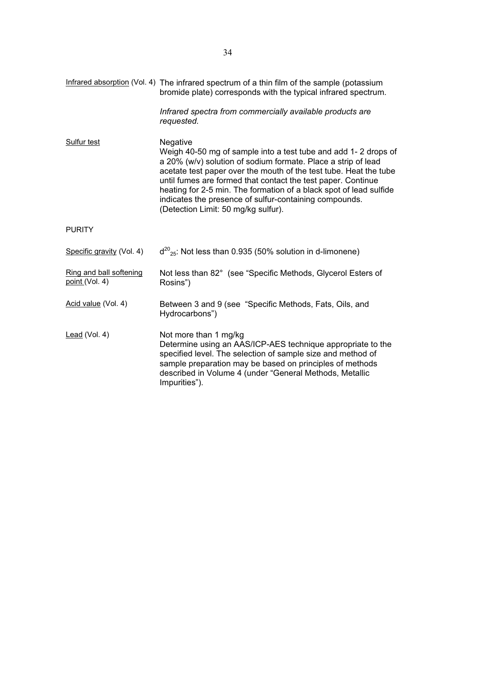|                                           | Infrared absorption (Vol. 4) The infrared spectrum of a thin film of the sample (potassium<br>bromide plate) corresponds with the typical infrared spectrum.                                                                                                                                                                                                                                                                                            |
|-------------------------------------------|---------------------------------------------------------------------------------------------------------------------------------------------------------------------------------------------------------------------------------------------------------------------------------------------------------------------------------------------------------------------------------------------------------------------------------------------------------|
|                                           | Infrared spectra from commercially available products are<br>requested.                                                                                                                                                                                                                                                                                                                                                                                 |
| <b>Sulfur test</b>                        | Negative<br>Weigh 40-50 mg of sample into a test tube and add 1-2 drops of<br>a 20% (w/v) solution of sodium formate. Place a strip of lead<br>acetate test paper over the mouth of the test tube. Heat the tube<br>until fumes are formed that contact the test paper. Continue<br>heating for 2-5 min. The formation of a black spot of lead sulfide<br>indicates the presence of sulfur-containing compounds.<br>(Detection Limit: 50 mg/kg sulfur). |
| <b>PURITY</b>                             |                                                                                                                                                                                                                                                                                                                                                                                                                                                         |
| Specific gravity (Vol. 4)                 | $d^{20}_{25}$ : Not less than 0.935 (50% solution in d-limonene)                                                                                                                                                                                                                                                                                                                                                                                        |
| Ring and ball softening<br>point (Vol. 4) | Not less than 82° (see "Specific Methods, Glycerol Esters of<br>Rosins")                                                                                                                                                                                                                                                                                                                                                                                |
| Acid value (Vol. 4)                       | Between 3 and 9 (see "Specific Methods, Fats, Oils, and<br>Hydrocarbons")                                                                                                                                                                                                                                                                                                                                                                               |
| Lead (Vol. 4)                             | Not more than 1 mg/kg<br>Determine using an AAS/ICP-AES technique appropriate to the<br>specified level. The selection of sample size and method of<br>sample preparation may be based on principles of methods<br>described in Volume 4 (under "General Methods, Metallic<br>Impurities").                                                                                                                                                             |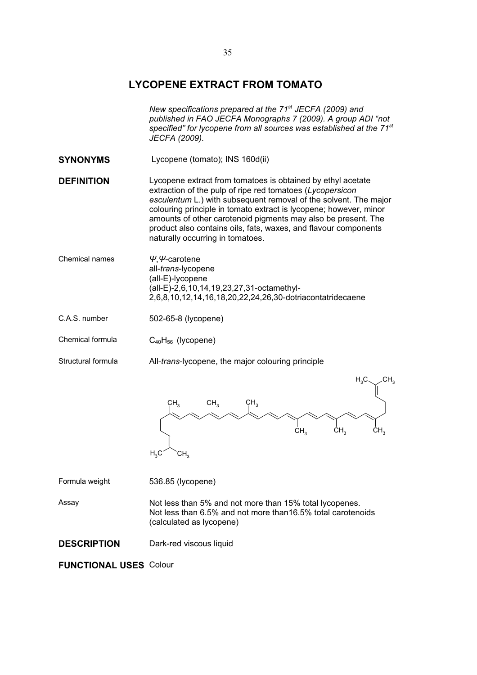# **LYCOPENE EXTRACT FROM TOMATO**

|                    | New specifications prepared at the 71 <sup>st</sup> JECFA (2009) and<br>published in FAO JECFA Monographs 7 (2009). A group ADI "not<br>specified" for lycopene from all sources was established at the 71 <sup>st</sup><br>JECFA (2009).                                                                                                                                                                                                 |  |
|--------------------|-------------------------------------------------------------------------------------------------------------------------------------------------------------------------------------------------------------------------------------------------------------------------------------------------------------------------------------------------------------------------------------------------------------------------------------------|--|
| <b>SYNONYMS</b>    | Lycopene (tomato); INS 160d(ii)                                                                                                                                                                                                                                                                                                                                                                                                           |  |
| <b>DEFINITION</b>  | Lycopene extract from tomatoes is obtained by ethyl acetate<br>extraction of the pulp of ripe red tomatoes (Lycopersicon<br>esculentum L.) with subsequent removal of the solvent. The major<br>colouring principle in tomato extract is lycopene; however, minor<br>amounts of other carotenoid pigments may also be present. The<br>product also contains oils, fats, waxes, and flavour components<br>naturally occurring in tomatoes. |  |
| Chemical names     | $\Psi$ , $\Psi$ -carotene<br>all-trans-lycopene<br>(all-E)-lycopene<br>(all-E)-2,6,10,14,19,23,27,31-octamethyl-<br>2,6,8,10,12,14,16,18,20,22,24,26,30-dotriacontatridecaene                                                                                                                                                                                                                                                             |  |
| C.A.S. number      | 502-65-8 (lycopene)                                                                                                                                                                                                                                                                                                                                                                                                                       |  |
| Chemical formula   | $C_{40}H_{56}$ (lycopene)                                                                                                                                                                                                                                                                                                                                                                                                                 |  |
| Structural formula | All-trans-lycopene, the major colouring principle                                                                                                                                                                                                                                                                                                                                                                                         |  |
|                    | CH,<br>$\mathsf{H}_{3}\mathsf{C}$<br>CH <sub>3</sub><br>CH <sub>3</sub><br>CH <sub>3</sub><br>CH <sub>3</sub><br>CH <sub>3</sub><br>CH <sub>3</sub><br>$H_3C$<br>CH <sub>3</sub>                                                                                                                                                                                                                                                          |  |
| Formula weight     | 536.85 (lycopene)                                                                                                                                                                                                                                                                                                                                                                                                                         |  |
| Assay              | Not less than 5% and not more than 15% total lycopenes.<br>Not less than 6.5% and not more than 16.5% total carotenoids<br>(calculated as lycopene)                                                                                                                                                                                                                                                                                       |  |

**DESCRIPTION** Dark-red viscous liquid

**FUNCTIONAL USES** Colour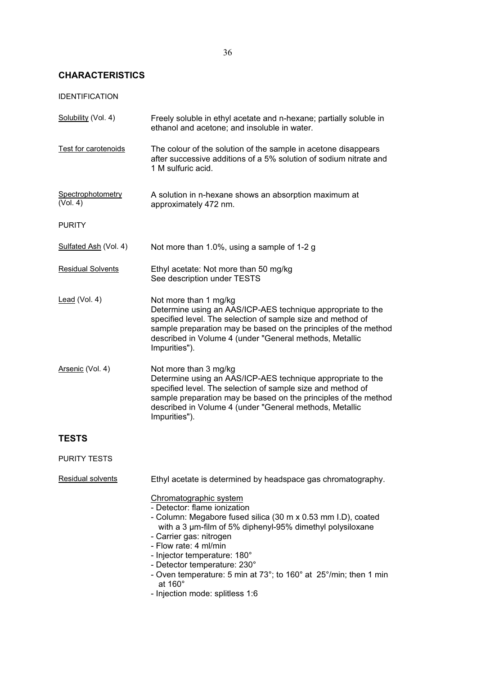# **CHARACTERISTICS**

# IDENTIFICATION

| Solubility (Vol. 4)           | Freely soluble in ethyl acetate and n-hexane; partially soluble in<br>ethanol and acetone; and insoluble in water.                                                                                                                                                                                                                                                                                                          |  |
|-------------------------------|-----------------------------------------------------------------------------------------------------------------------------------------------------------------------------------------------------------------------------------------------------------------------------------------------------------------------------------------------------------------------------------------------------------------------------|--|
| Test for carotenoids          | The colour of the solution of the sample in acetone disappears<br>after successive additions of a 5% solution of sodium nitrate and<br>1 M sulfuric acid.                                                                                                                                                                                                                                                                   |  |
| Spectrophotometry<br>(Vol. 4) | A solution in n-hexane shows an absorption maximum at<br>approximately 472 nm.                                                                                                                                                                                                                                                                                                                                              |  |
| <b>PURITY</b>                 |                                                                                                                                                                                                                                                                                                                                                                                                                             |  |
| Sulfated Ash (Vol. 4)         | Not more than 1.0%, using a sample of 1-2 g                                                                                                                                                                                                                                                                                                                                                                                 |  |
| <b>Residual Solvents</b>      | Ethyl acetate: Not more than 50 mg/kg<br>See description under TESTS                                                                                                                                                                                                                                                                                                                                                        |  |
| Lead (Vol. 4)                 | Not more than 1 mg/kg<br>Determine using an AAS/ICP-AES technique appropriate to the<br>specified level. The selection of sample size and method of<br>sample preparation may be based on the principles of the method<br>described in Volume 4 (under "General methods, Metallic<br>Impurities").                                                                                                                          |  |
| Arsenic (Vol. 4)              | Not more than 3 mg/kg<br>Determine using an AAS/ICP-AES technique appropriate to the<br>specified level. The selection of sample size and method of<br>sample preparation may be based on the principles of the method<br>described in Volume 4 (under "General methods, Metallic<br>Impurities").                                                                                                                          |  |
| <b>TESTS</b>                  |                                                                                                                                                                                                                                                                                                                                                                                                                             |  |
| <b>PURITY TESTS</b>           |                                                                                                                                                                                                                                                                                                                                                                                                                             |  |
| Residual solvents             | Ethyl acetate is determined by headspace gas chromatography.                                                                                                                                                                                                                                                                                                                                                                |  |
|                               | Chromatographic system<br>- Detector: flame ionization<br>- Column: Megabore fused silica (30 m x 0.53 mm I.D), coated<br>with a 3 µm-film of 5% diphenyl-95% dimethyl polysiloxane<br>- Carrier gas: nitrogen<br>- Flow rate: 4 ml/min<br>- Injector temperature: 180°<br>- Detector temperature: 230°<br>- Oven temperature: 5 min at 73°; to 160° at 25°/min; then 1 min<br>at $160^\circ$<br>ation poodor oplitlaan 4.C |  |

- Injection mode: splitless 1:6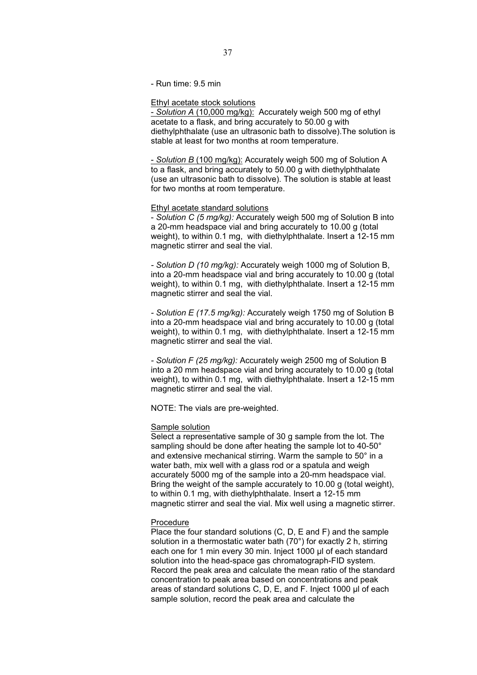- Run time: 9.5 min

## Ethyl acetate stock solutions

- *Solution A* (10,000 mg/kg): Accurately weigh 500 mg of ethyl acetate to a flask, and bring accurately to 50.00 g with diethylphthalate (use an ultrasonic bath to dissolve).The solution is stable at least for two months at room temperature.

- *Solution B* (100 mg/kg): Accurately weigh 500 mg of Solution A to a flask, and bring accurately to 50.00 g with diethylphthalate (use an ultrasonic bath to dissolve). The solution is stable at least for two months at room temperature.

# Ethyl acetate standard solutions

- *Solution C (5 mg/kg):* Accurately weigh 500 mg of Solution B into a 20-mm headspace vial and bring accurately to 10.00 g (total weight), to within 0.1 mg, with diethylphthalate. Insert a 12-15 mm magnetic stirrer and seal the vial.

*- Solution D (10 mg/kg):* Accurately weigh 1000 mg of Solution B, into a 20-mm headspace vial and bring accurately to 10.00 g (total weight), to within 0.1 mg, with diethylphthalate. Insert a 12-15 mm magnetic stirrer and seal the vial.

*- Solution E (17.5 mg/kg):* Accurately weigh 1750 mg of Solution B into a 20-mm headspace vial and bring accurately to 10.00 g (total weight), to within 0.1 mg, with diethylphthalate. Insert a 12-15 mm magnetic stirrer and seal the vial.

*- Solution F (25 mg/kg):* Accurately weigh 2500 mg of Solution B into a 20 mm headspace vial and bring accurately to 10.00 g (total weight), to within 0.1 mg, with diethylphthalate. Insert a 12-15 mm magnetic stirrer and seal the vial.

NOTE: The vials are pre-weighted.

# **Sample solution**

Select a representative sample of 30 g sample from the lot. The sampling should be done after heating the sample lot to 40-50° and extensive mechanical stirring. Warm the sample to 50° in a water bath, mix well with a glass rod or a spatula and weigh accurately 5000 mg of the sample into a 20-mm headspace vial. Bring the weight of the sample accurately to 10.00 g (total weight), to within 0.1 mg, with diethylphthalate. Insert a 12-15 mm magnetic stirrer and seal the vial. Mix well using a magnetic stirrer.

### Procedure

Place the four standard solutions (C, D, E and F) and the sample solution in a thermostatic water bath (70°) for exactly 2 h, stirring each one for 1 min every 30 min. Inject 1000 µl of each standard solution into the head-space gas chromatograph-FID system. Record the peak area and calculate the mean ratio of the standard concentration to peak area based on concentrations and peak areas of standard solutions C, D, E, and F. Inject 1000 µl of each sample solution, record the peak area and calculate the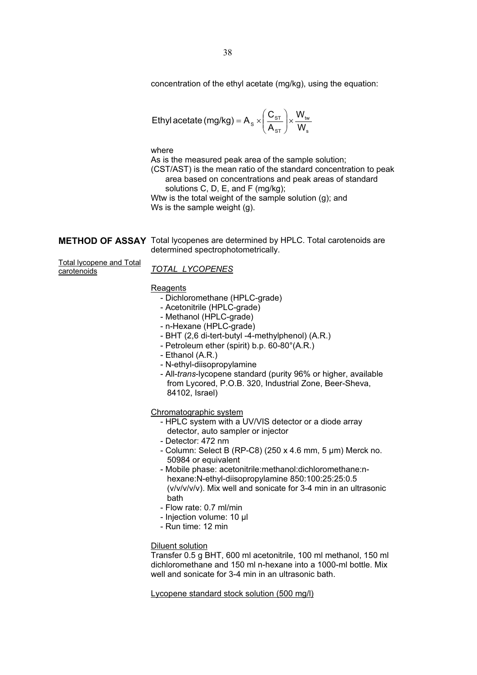concentration of the ethyl acetate (mg/kg), using the equation:

$$
\text{Ethyl acetate (mg/kg)} = A_s \times \left(\frac{C_{\text{ST}}}{A_{\text{ST}}}\right) \times \frac{W_{\text{tw}}}{W_{\text{s}}}
$$

where

As is the measured peak area of the sample solution; (CST/AST) is the mean ratio of the standard concentration to peak area based on concentrations and peak areas of standard solutions C, D, E, and F (mg/kg);

Wtw is the total weight of the sample solution (g); and Ws is the sample weight (g).

**METHOD OF ASSAY** Total lycopenes are determined by HPLC. Total carotenoids are determined spectrophotometrically.

Total lycopene and Total carotenoids

*TOTAL LYCOPENES*

## **Reagents**

- Dichloromethane (HPLC-grade)
- Acetonitrile (HPLC-grade)
- Methanol (HPLC-grade)
- n-Hexane (HPLC-grade)
- BHT (2,6 di-tert-butyl -4-methylphenol) (A.R.)
- Petroleum ether (spirit) b.p. 60-80°(A.R.)
- Ethanol (A.R.)
- N-ethyl-diisopropylamine
- All-*trans*-lycopene standard (purity 96% or higher, available from Lycored, P.O.B. 320, Industrial Zone, Beer-Sheva, 84102, Israel)

Chromatographic system

- HPLC system with a UV/VIS detector or a diode array detector, auto sampler or injector
- Detector: 472 nm
- Column: Select B (RP-C8) (250 x 4.6 mm, 5 μm) Merck no. 50984 or equivalent
- Mobile phase: acetonitrile:methanol:dichloromethane:nhexane:N-ethyl-diisopropylamine 850:100:25:25:0.5 (v/v/v/v/v). Mix well and sonicate for 3-4 min in an ultrasonic bath
- Flow rate: 0.7 ml/min
- Injection volume: 10 µl
- Run time: 12 min

Diluent solution

Transfer 0.5 g BHT, 600 ml acetonitrile, 100 ml methanol, 150 ml dichloromethane and 150 ml n-hexane into a 1000-ml bottle. Mix well and sonicate for 3-4 min in an ultrasonic bath.

Lycopene standard stock solution (500 mg/l)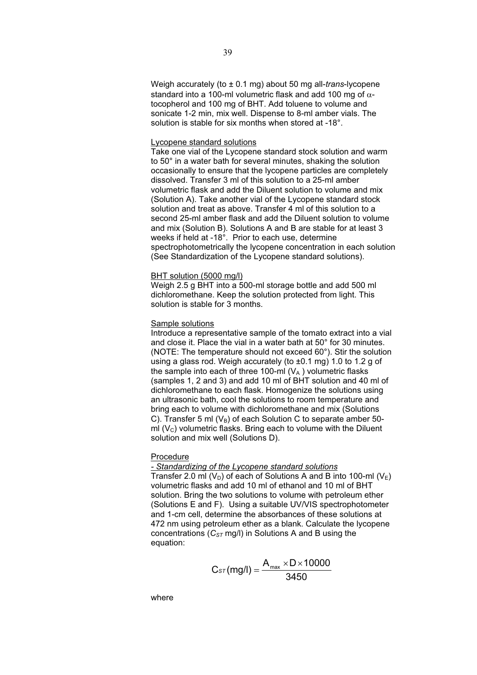Weigh accurately (to ± 0.1 mg) about 50 mg all-*trans*-lycopene standard into a 100-ml volumetric flask and add 100 mg of  $\alpha$ tocopherol and 100 mg of BHT. Add toluene to volume and sonicate 1-2 min, mix well. Dispense to 8-ml amber vials. The solution is stable for six months when stored at -18°.

# Lycopene standard solutions

Take one vial of the Lycopene standard stock solution and warm to 50° in a water bath for several minutes, shaking the solution occasionally to ensure that the lycopene particles are completely dissolved. Transfer 3 ml of this solution to a 25-ml amber volumetric flask and add the Diluent solution to volume and mix (Solution A). Take another vial of the Lycopene standard stock solution and treat as above. Transfer 4 ml of this solution to a second 25-ml amber flask and add the Diluent solution to volume and mix (Solution B). Solutions A and B are stable for at least 3 weeks if held at -18°. Prior to each use, determine spectrophotometrically the lycopene concentration in each solution (See Standardization of the Lycopene standard solutions).

# BHT solution (5000 mg/l)

Weigh 2.5 g BHT into a 500-ml storage bottle and add 500 ml dichloromethane. Keep the solution protected from light. This solution is stable for 3 months.

# Sample solutions

Introduce a representative sample of the tomato extract into a vial and close it. Place the vial in a water bath at 50° for 30 minutes. (NOTE: The temperature should not exceed 60°). Stir the solution using a glass rod. Weigh accurately (to ±0.1 mg) 1.0 to 1.2 g of the sample into each of three 100-ml  $(V_A)$  volumetric flasks (samples 1, 2 and 3) and add 10 ml of BHT solution and 40 ml of dichloromethane to each flask. Homogenize the solutions using an ultrasonic bath, cool the solutions to room temperature and bring each to volume with dichloromethane and mix (Solutions C). Transfer 5 ml ( $V_B$ ) of each Solution C to separate amber 50ml  $(V<sub>C</sub>)$  volumetric flasks. Bring each to volume with the Diluent solution and mix well (Solutions D).

# Procedure

# *- Standardizing of the Lycopene standard solutions*

Transfer 2.0 ml  $(V_D)$  of each of Solutions A and B into 100-ml  $(V_F)$ volumetric flasks and add 10 ml of ethanol and 10 ml of BHT solution. Bring the two solutions to volume with petroleum ether (Solutions E and F). Using a suitable UV/VIS spectrophotometer and 1-cm cell, determine the absorbances of these solutions at 472 nm using petroleum ether as a blank. Calculate the lycopene concentrations  $(C_{ST} \text{mg/l})$  in Solutions A and B using the equation:

$$
C_{\text{ST}}(mgl) = \frac{A_{\text{max}} \times D \times 10000}{3450}
$$

where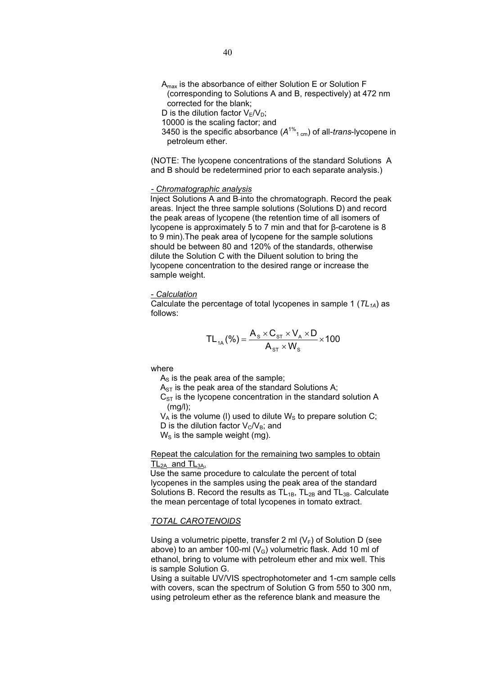- $A<sub>max</sub>$  is the absorbance of either Solution E or Solution F (corresponding to Solutions A and B, respectively) at 472 nm corrected for the blank;
- D is the dilution factor  $V_F/V_D$ ;
- 10000 is the scaling factor; and
- 3450 is the specific absorbance (*A*1% 1 cm) of all-*trans*-lycopene in petroleum ether.

(NOTE: The lycopene concentrations of the standard Solutions A and B should be redetermined prior to each separate analysis.)

# *- Chromatographic analysis*

Inject Solutions A and B-into the chromatograph. Record the peak areas. Inject the three sample solutions (Solutions D) and record the peak areas of lycopene (the retention time of all isomers of lycopene is approximately 5 to 7 min and that for β-carotene is 8 to 9 min).The peak area of lycopene for the sample solutions should be between 80 and 120% of the standards, otherwise dilute the Solution C with the Diluent solution to bring the lycopene concentration to the desired range or increase the sample weight.

## - *Calculation*

Calculate the percentage of total lycopenes in sample 1 (*TL1A*) as follows:

$$
TL_{1A}(\%) = \frac{A_s \times C_{ST} \times V_A \times D}{A_{ST} \times W_s} \times 100
$$

where

 $A<sub>S</sub>$  is the peak area of the sample;

 $A_{ST}$  is the peak area of the standard Solutions A;

 $C_{ST}$  is the lycopene concentration in the standard solution A (mg/l);

 $V_A$  is the volume (I) used to dilute  $W_S$  to prepare solution C; D is the dilution factor  $V_C/V_B$ ; and  $W<sub>S</sub>$  is the sample weight (mg).

Repeat the calculation for the remaining two samples to obtain  $TL<sub>2A</sub>$  and  $TL<sub>3A</sub>$ .

Use the same procedure to calculate the percent of total lycopenes in the samples using the peak area of the standard Solutions B. Record the results as  $TL_{1B}$ ,  $TL_{2B}$  and  $TL_{3B}$ . Calculate the mean percentage of total lycopenes in tomato extract.

# *TOTAL CAROTENOIDS*

Using a volumetric pipette, transfer 2 ml  $(V_F)$  of Solution D (see above) to an amber 100-ml  $(V_G)$  volumetric flask. Add 10 ml of ethanol, bring to volume with petroleum ether and mix well. This is sample Solution G.

Using a suitable UV/VIS spectrophotometer and 1-cm sample cells with covers, scan the spectrum of Solution G from 550 to 300 nm, using petroleum ether as the reference blank and measure the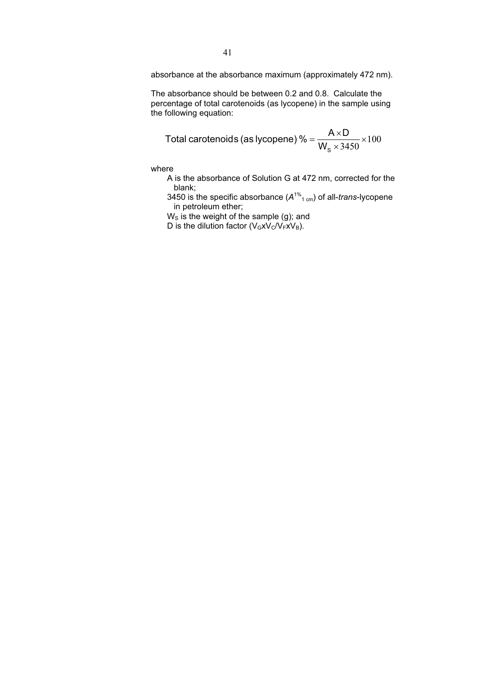absorbance at the absorbance maximum (approximately 472 nm).

The absorbance should be between 0.2 and 0.8. Calculate the percentage of total carotenoids (as lycopene) in the sample using the following equation:

Total carotenoids (as lycopene) % = 
$$
\frac{A \times D}{W_s \times 3450} \times 100
$$

where

A is the absorbance of Solution G at 472 nm, corrected for the blank;

3450 is the specific absorbance (*A*1% 1 cm) of all-*trans*-lycopene in petroleum ether;

 $W<sub>S</sub>$  is the weight of the sample (g); and

D is the dilution factor  $(V_GxV_C/V_FxV_B)$ .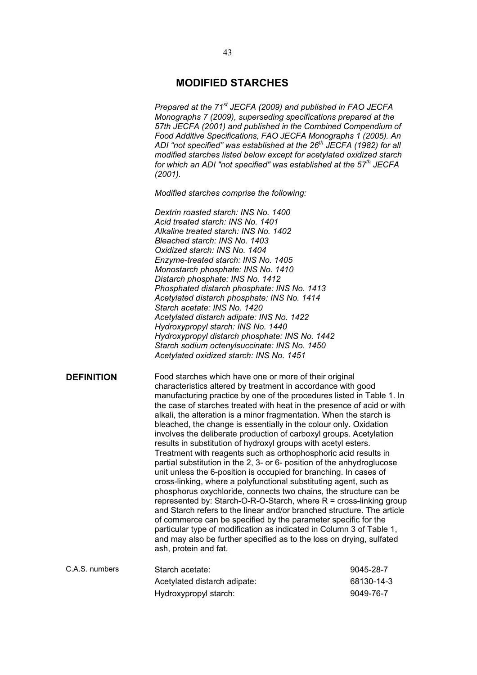# **MODIFIED STARCHES**

*Prepared at the 71st JECFA (2009) and published in FAO JECFA Monographs 7 (2009), superseding specifications prepared at the 57th JECFA (2001) and published in the Combined Compendium of Food Additive Specifications, FAO JECFA Monographs 1 (2005). An ADI "not specified" was established at the 26th JECFA (1982) for all modified starches listed below except for acetylated oxidized starch for which an ADI "not specified" was established at the 57th JECFA (2001).*

*Modified starches comprise the following:* 

*Dextrin roasted starch: INS No. 1400 Acid treated starch: INS No. 1401 Alkaline treated starch: INS No. 1402 Bleached starch: INS No. 1403 Oxidized starch: INS No. 1404 Enzyme-treated starch: INS No. 1405 Monostarch phosphate: INS No. 1410 Distarch phosphate: INS No. 1412 Phosphated distarch phosphate: INS No. 1413 Acetylated distarch phosphate: INS No. 1414 Starch acetate: INS No. 1420 Acetylated distarch adipate: INS No. 1422 Hydroxypropyl starch: INS No. 1440 Hydroxypropyl distarch phosphate: INS No. 1442 Starch sodium octenylsuccinate: INS No. 1450 Acetylated oxidized starch: INS No. 1451* 

**DEFINITION** Food starches which have one or more of their original characteristics altered by treatment in accordance with good manufacturing practice by one of the procedures listed in Table 1. In the case of starches treated with heat in the presence of acid or with alkali, the alteration is a minor fragmentation. When the starch is bleached, the change is essentially in the colour only. Oxidation involves the deliberate production of carboxyl groups. Acetylation results in substitution of hydroxyl groups with acetyl esters. Treatment with reagents such as orthophosphoric acid results in partial substitution in the 2, 3- or 6- position of the anhydroglucose unit unless the 6-position is occupied for branching. In cases of cross-linking, where a polyfunctional substituting agent, such as phosphorus oxychloride, connects two chains, the structure can be represented by: Starch-O-R-O-Starch, where  $R =$  cross-linking group and Starch refers to the linear and/or branched structure. The article of commerce can be specified by the parameter specific for the particular type of modification as indicated in Column 3 of Table 1, and may also be further specified as to the loss on drying, sulfated ash, protein and fat.

| C.A.S. numbers | Starch acetate:              | 9045-28-7  |
|----------------|------------------------------|------------|
|                | Acetylated distarch adipate: | 68130-14-3 |
|                | Hydroxypropyl starch:        | 9049-76-7  |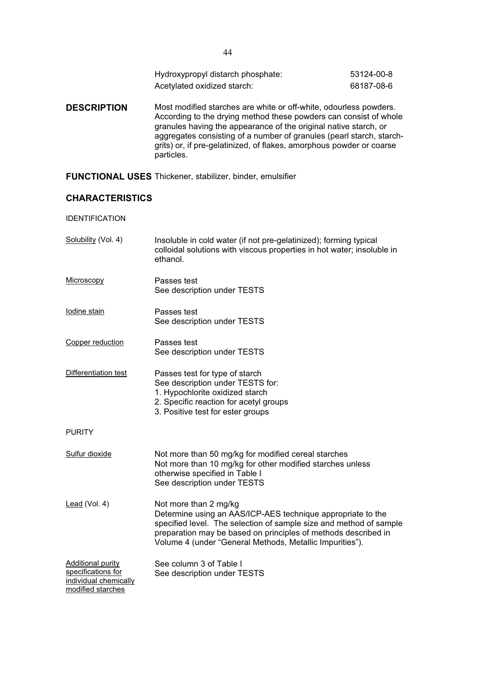| Hydroxypropyl distarch phosphate: | 53124-00-8 |
|-----------------------------------|------------|
| Acetylated oxidized starch:       | 68187-08-6 |

**DESCRIPTION** Most modified starches are white or off-white, odourless powders. According to the drying method these powders can consist of whole granules having the appearance of the original native starch, or aggregates consisting of a number of granules (pearl starch, starchgrits) or, if pre-gelatinized, of flakes, amorphous powder or coarse particles.

**FUNCTIONAL USES** Thickener, stabilizer, binder, emulsifier

# **CHARACTERISTICS**

IDENTIFICATION

| Solubility (Vol. 4)                                                                          | Insoluble in cold water (if not pre-gelatinized); forming typical<br>colloidal solutions with viscous properties in hot water; insoluble in<br>ethanol.                                                                                                                                  |
|----------------------------------------------------------------------------------------------|------------------------------------------------------------------------------------------------------------------------------------------------------------------------------------------------------------------------------------------------------------------------------------------|
| Microscopy                                                                                   | Passes test<br>See description under TESTS                                                                                                                                                                                                                                               |
| Iodine stain                                                                                 | Passes test<br>See description under TESTS                                                                                                                                                                                                                                               |
| Copper reduction                                                                             | Passes test<br>See description under TESTS                                                                                                                                                                                                                                               |
| Differentiation test                                                                         | Passes test for type of starch<br>See description under TESTS for:<br>1. Hypochlorite oxidized starch<br>2. Specific reaction for acetyl groups<br>3. Positive test for ester groups                                                                                                     |
| <b>PURITY</b>                                                                                |                                                                                                                                                                                                                                                                                          |
| Sulfur dioxide                                                                               | Not more than 50 mg/kg for modified cereal starches<br>Not more than 10 mg/kg for other modified starches unless<br>otherwise specified in Table I<br>See description under TESTS                                                                                                        |
| Lead (Vol. 4)                                                                                | Not more than 2 mg/kg<br>Determine using an AAS/ICP-AES technique appropriate to the<br>specified level. The selection of sample size and method of sample<br>preparation may be based on principles of methods described in<br>Volume 4 (under "General Methods, Metallic Impurities"). |
| <b>Additional purity</b><br>specifications for<br>individual chemically<br>modified starches | See column 3 of Table I<br>See description under TESTS                                                                                                                                                                                                                                   |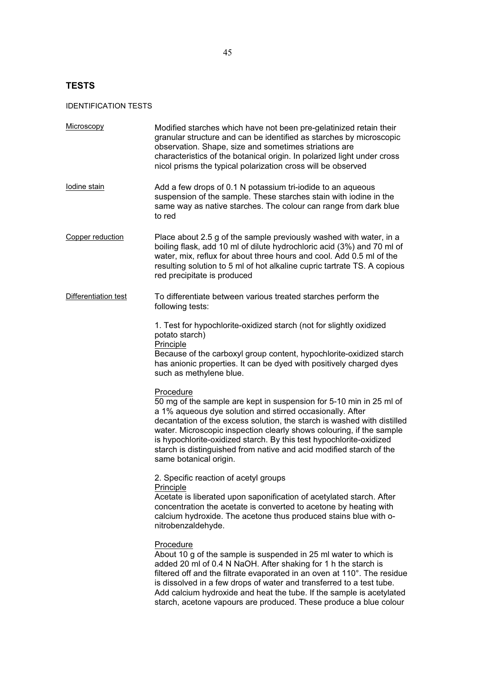# **TESTS**

# IDENTIFICATION TESTS

| Microscopy           | Modified starches which have not been pre-gelatinized retain their<br>granular structure and can be identified as starches by microscopic<br>observation. Shape, size and sometimes striations are<br>characteristics of the botanical origin. In polarized light under cross<br>nicol prisms the typical polarization cross will be observed                                                                                                                            |
|----------------------|--------------------------------------------------------------------------------------------------------------------------------------------------------------------------------------------------------------------------------------------------------------------------------------------------------------------------------------------------------------------------------------------------------------------------------------------------------------------------|
| lodine stain         | Add a few drops of 0.1 N potassium tri-iodide to an aqueous<br>suspension of the sample. These starches stain with iodine in the<br>same way as native starches. The colour can range from dark blue<br>to red                                                                                                                                                                                                                                                           |
| Copper reduction     | Place about 2.5 g of the sample previously washed with water, in a<br>boiling flask, add 10 ml of dilute hydrochloric acid (3%) and 70 ml of<br>water, mix, reflux for about three hours and cool. Add 0.5 ml of the<br>resulting solution to 5 ml of hot alkaline cupric tartrate TS. A copious<br>red precipitate is produced                                                                                                                                          |
| Differentiation test | To differentiate between various treated starches perform the<br>following tests:                                                                                                                                                                                                                                                                                                                                                                                        |
|                      | 1. Test for hypochlorite-oxidized starch (not for slightly oxidized<br>potato starch)<br>Principle<br>Because of the carboxyl group content, hypochlorite-oxidized starch<br>has anionic properties. It can be dyed with positively charged dyes<br>such as methylene blue.                                                                                                                                                                                              |
|                      | Procedure<br>50 mg of the sample are kept in suspension for 5-10 min in 25 ml of<br>a 1% aqueous dye solution and stirred occasionally. After<br>decantation of the excess solution, the starch is washed with distilled<br>water. Microscopic inspection clearly shows colouring, if the sample<br>is hypochlorite-oxidized starch. By this test hypochlorite-oxidized<br>starch is distinguished from native and acid modified starch of the<br>same botanical origin. |
|                      | 2. Specific reaction of acetyl groups<br>Principle<br>Acetate is liberated upon saponification of acetylated starch. After<br>concentration the acetate is converted to acetone by heating with<br>calcium hydroxide. The acetone thus produced stains blue with o-<br>nitrobenzaldehyde.                                                                                                                                                                                |
|                      | Procedure<br>About 10 g of the sample is suspended in 25 ml water to which is<br>added 20 ml of 0.4 N NaOH. After shaking for 1 h the starch is<br>filtered off and the filtrate evaporated in an oven at 110°. The residue<br>is dissolved in a few drops of water and transferred to a test tube.<br>Add calcium hydroxide and heat the tube. If the sample is acetylated<br>starch, acetone vapours are produced. These produce a blue colour                         |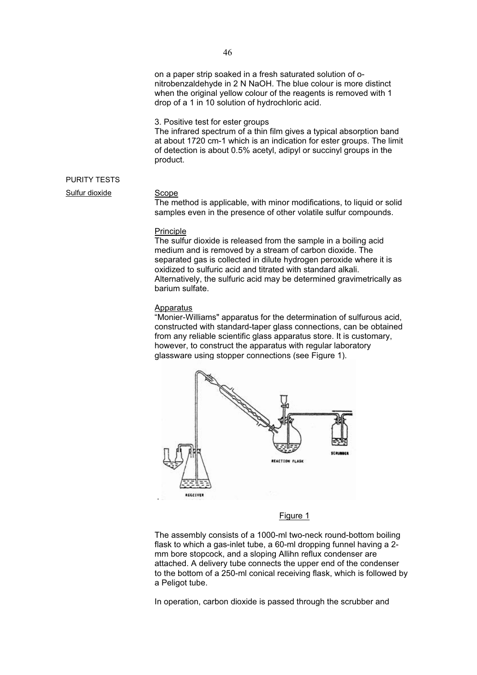on a paper strip soaked in a fresh saturated solution of onitrobenzaldehyde in 2 N NaOH. The blue colour is more distinct when the original yellow colour of the reagents is removed with 1 drop of a 1 in 10 solution of hydrochloric acid.

3. Positive test for ester groups

The infrared spectrum of a thin film gives a typical absorption band at about 1720 cm-1 which is an indication for ester groups. The limit of detection is about 0.5% acetyl, adipyl or succinyl groups in the product.

# PURITY TESTS

Sulfur dioxide Scope

The method is applicable, with minor modifications, to liquid or solid samples even in the presence of other volatile sulfur compounds.

# **Principle**

The sulfur dioxide is released from the sample in a boiling acid medium and is removed by a stream of carbon dioxide. The separated gas is collected in dilute hydrogen peroxide where it is oxidized to sulfuric acid and titrated with standard alkali. Alternatively, the sulfuric acid may be determined gravimetrically as barium sulfate.

### Apparatus

"Monier-Williams" apparatus for the determination of sulfurous acid, constructed with standard-taper glass connections, can be obtained from any reliable scientific glass apparatus store. It is customary, however, to construct the apparatus with regular laboratory glassware using stopper connections (see Figure 1).



## Figure 1

The assembly consists of a 1000-ml two-neck round-bottom boiling flask to which a gas-inlet tube, a 60-ml dropping funnel having a 2 mm bore stopcock, and a sloping Allihn reflux condenser are attached. A delivery tube connects the upper end of the condenser to the bottom of a 250-ml conical receiving flask, which is followed by a Peligot tube.

In operation, carbon dioxide is passed through the scrubber and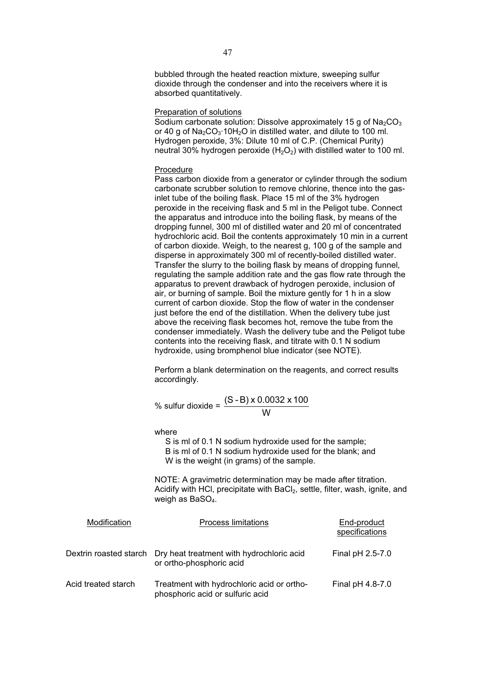bubbled through the heated reaction mixture, sweeping sulfur dioxide through the condenser and into the receivers where it is absorbed quantitatively.

# Preparation of solutions

Sodium carbonate solution: Dissolve approximately 15 g of  $Na<sub>2</sub>CO<sub>3</sub>$ or 40 g of  $Na<sub>2</sub>CO<sub>3</sub>$  10H<sub>2</sub>O in distilled water, and dilute to 100 ml. Hydrogen peroxide, 3%: Dilute 10 ml of C.P. (Chemical Purity) neutral 30% hydrogen peroxide  $(H<sub>2</sub>O<sub>2</sub>)$  with distilled water to 100 ml.

# Procedure

Pass carbon dioxide from a generator or cylinder through the sodium carbonate scrubber solution to remove chlorine, thence into the gasinlet tube of the boiling flask. Place 15 ml of the 3% hydrogen peroxide in the receiving flask and 5 ml in the Peligot tube. Connect the apparatus and introduce into the boiling flask, by means of the dropping funnel, 300 ml of distilled water and 20 ml of concentrated hydrochloric acid. Boil the contents approximately 10 min in a current of carbon dioxide. Weigh, to the nearest g, 100 g of the sample and disperse in approximately 300 ml of recently-boiled distilled water. Transfer the slurry to the boiling flask by means of dropping funnel, regulating the sample addition rate and the gas flow rate through the apparatus to prevent drawback of hydrogen peroxide, inclusion of air, or burning of sample. Boil the mixture gently for 1 h in a slow current of carbon dioxide. Stop the flow of water in the condenser just before the end of the distillation. When the delivery tube just above the receiving flask becomes hot, remove the tube from the condenser immediately. Wash the delivery tube and the Peligot tube contents into the receiving flask, and titrate with 0.1 N sodium hydroxide, using bromphenol blue indicator (see NOTE).

Perform a blank determination on the reagents, and correct results accordingly.

% sulfur dioxide = 
$$
\frac{(S - B) \times 0.0032 \times 100}{W}
$$

where

S is ml of 0.1 N sodium hydroxide used for the sample; B is ml of 0.1 N sodium hydroxide used for the blank; and W is the weight (in grams) of the sample.

NOTE: A gravimetric determination may be made after titration. Acidify with HCI, precipitate with BaCI<sub>2</sub>, settle, filter, wash, ignite, and weigh as  $BaSO<sub>4</sub>$ .

| Modification        | <b>Process limitations</b>                                                                   | End-product<br>specifications |
|---------------------|----------------------------------------------------------------------------------------------|-------------------------------|
|                     | Dextrin roasted starch Dry heat treatment with hydrochloric acid<br>or ortho-phosphoric acid | Final pH 2.5-7.0              |
| Acid treated starch | Treatment with hydrochloric acid or ortho-<br>phosphoric acid or sulfuric acid               | Final pH 4.8-7.0              |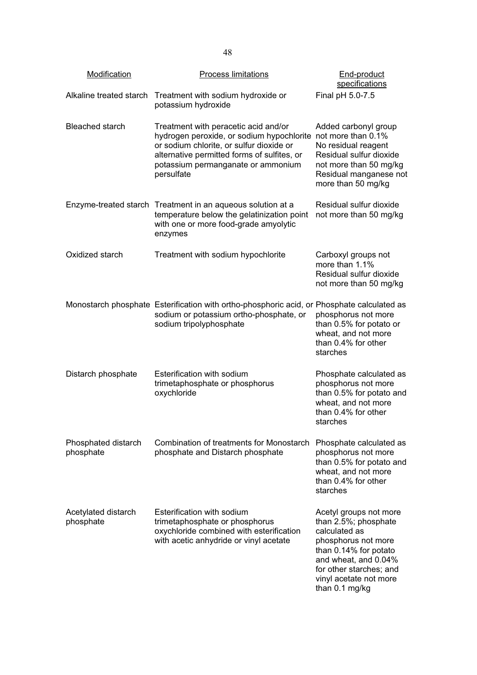| Modification                     | <b>Process limitations</b>                                                                                                                                                                                                       | End-product<br>specifications                                                                                                                                                                                  |
|----------------------------------|----------------------------------------------------------------------------------------------------------------------------------------------------------------------------------------------------------------------------------|----------------------------------------------------------------------------------------------------------------------------------------------------------------------------------------------------------------|
| Alkaline treated starch          | Treatment with sodium hydroxide or<br>potassium hydroxide                                                                                                                                                                        | Final pH 5.0-7.5                                                                                                                                                                                               |
| <b>Bleached starch</b>           | Treatment with peracetic acid and/or<br>hydrogen peroxide, or sodium hypochlorite<br>or sodium chlorite, or sulfur dioxide or<br>alternative permitted forms of sulfites, or<br>potassium permanganate or ammonium<br>persulfate | Added carbonyl group<br>not more than 0.1%<br>No residual reagent<br>Residual sulfur dioxide<br>not more than 50 mg/kg<br>Residual manganese not<br>more than 50 mg/kg                                         |
|                                  | Enzyme-treated starch Treatment in an aqueous solution at a<br>temperature below the gelatinization point<br>with one or more food-grade amyolytic<br>enzymes                                                                    | Residual sulfur dioxide<br>not more than 50 mg/kg                                                                                                                                                              |
| Oxidized starch                  | Treatment with sodium hypochlorite                                                                                                                                                                                               | Carboxyl groups not<br>more than 1.1%<br>Residual sulfur dioxide<br>not more than 50 mg/kg                                                                                                                     |
|                                  | Monostarch phosphate Esterification with ortho-phosphoric acid, or Phosphate calculated as<br>sodium or potassium ortho-phosphate, or<br>sodium tripolyphosphate                                                                 | phosphorus not more<br>than 0.5% for potato or<br>wheat, and not more<br>than 0.4% for other<br>starches                                                                                                       |
| Distarch phosphate               | Esterification with sodium<br>trimetaphosphate or phosphorus<br>oxychloride                                                                                                                                                      | Phosphate calculated as<br>phosphorus not more<br>than 0.5% for potato and<br>wheat, and not more<br>than 0.4% for other<br>starches                                                                           |
| Phosphated distarch<br>phosphate | <b>Combination of treatments for Monostarch</b><br>phosphate and Distarch phosphate                                                                                                                                              | Phosphate calculated as<br>phosphorus not more<br>than 0.5% for potato and<br>wheat, and not more<br>than 0.4% for other<br>starches                                                                           |
| Acetylated distarch<br>phosphate | Esterification with sodium<br>trimetaphosphate or phosphorus<br>oxychloride combined with esterification<br>with acetic anhydride or vinyl acetate                                                                               | Acetyl groups not more<br>than 2.5%; phosphate<br>calculated as<br>phosphorus not more<br>than 0.14% for potato<br>and wheat, and 0.04%<br>for other starches; and<br>vinyl acetate not more<br>than 0.1 mg/kg |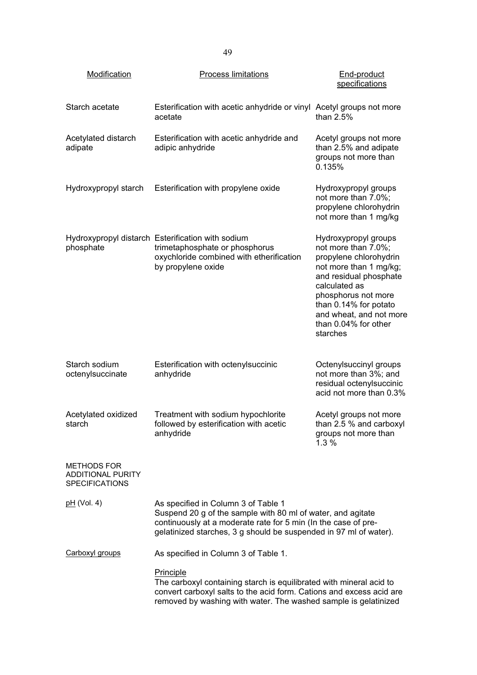| Modification                                                            | <b>Process limitations</b>                                                                                                                                                                                                                | End-product<br>specifications                                                                                                                                                                                                                             |
|-------------------------------------------------------------------------|-------------------------------------------------------------------------------------------------------------------------------------------------------------------------------------------------------------------------------------------|-----------------------------------------------------------------------------------------------------------------------------------------------------------------------------------------------------------------------------------------------------------|
| Starch acetate                                                          | Esterification with acetic anhydride or vinyl Acetyl groups not more<br>acetate                                                                                                                                                           | than $2.5%$                                                                                                                                                                                                                                               |
| Acetylated distarch<br>adipate                                          | Esterification with acetic anhydride and<br>adipic anhydride                                                                                                                                                                              | Acetyl groups not more<br>than 2.5% and adipate<br>groups not more than<br>0.135%                                                                                                                                                                         |
| Hydroxypropyl starch                                                    | Esterification with propylene oxide                                                                                                                                                                                                       | Hydroxypropyl groups<br>not more than 7.0%;<br>propylene chlorohydrin<br>not more than 1 mg/kg                                                                                                                                                            |
| phosphate                                                               | Hydroxypropyl distarch Esterification with sodium<br>trimetaphosphate or phosphorus<br>oxychloride combined with etherification<br>by propylene oxide                                                                                     | Hydroxypropyl groups<br>not more than 7.0%;<br>propylene chlorohydrin<br>not more than 1 mg/kg;<br>and residual phosphate<br>calculated as<br>phosphorus not more<br>than 0.14% for potato<br>and wheat, and not more<br>than 0.04% for other<br>starches |
| Starch sodium<br>octenylsuccinate                                       | Esterification with octenylsuccinic<br>anhydride                                                                                                                                                                                          | Octenylsuccinyl groups<br>not more than 3%; and<br>residual octenylsuccinic<br>acid not more than 0.3%                                                                                                                                                    |
| Acetylated oxidized<br>starch                                           | Treatment with sodium hypochlorite<br>followed by esterification with acetic<br>anhydride                                                                                                                                                 | Acetyl groups not more<br>than 2.5 % and carboxyl<br>groups not more than<br>1.3%                                                                                                                                                                         |
| <b>METHODS FOR</b><br><b>ADDITIONAL PURITY</b><br><b>SPECIFICATIONS</b> |                                                                                                                                                                                                                                           |                                                                                                                                                                                                                                                           |
| <u>pH</u> (Vol. 4)                                                      | As specified in Column 3 of Table 1<br>Suspend 20 g of the sample with 80 ml of water, and agitate<br>continuously at a moderate rate for 5 min (In the case of pre-<br>gelatinized starches, 3 g should be suspended in 97 ml of water). |                                                                                                                                                                                                                                                           |
| Carboxyl groups                                                         | As specified in Column 3 of Table 1.                                                                                                                                                                                                      |                                                                                                                                                                                                                                                           |
|                                                                         | <b>Principle</b><br>The carboxyl containing starch is equilibrated with mineral acid to<br>convert carboxyl salts to the acid form. Cations and excess acid are<br>removed by washing with water. The washed sample is gelatinized        |                                                                                                                                                                                                                                                           |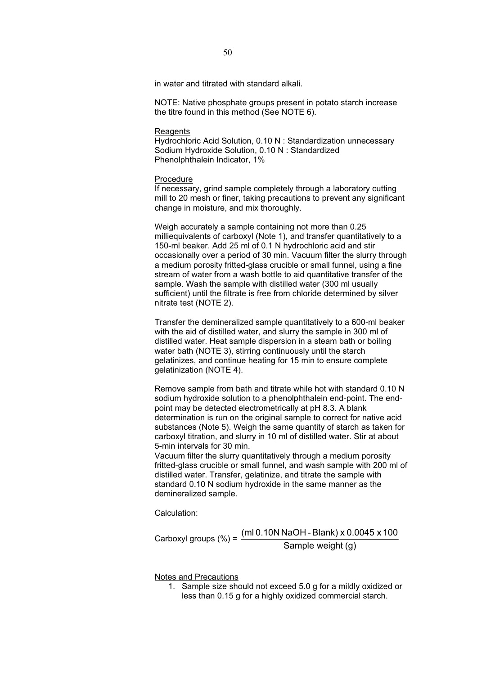in water and titrated with standard alkali.

NOTE: Native phosphate groups present in potato starch increase the titre found in this method (See NOTE 6).

### Reagents

Hydrochloric Acid Solution, 0.10 N : Standardization unnecessary Sodium Hydroxide Solution, 0.10 N : Standardized Phenolphthalein Indicator, 1%

# Procedure

If necessary, grind sample completely through a laboratory cutting mill to 20 mesh or finer, taking precautions to prevent any significant change in moisture, and mix thoroughly.

Weigh accurately a sample containing not more than 0.25 milliequivalents of carboxyl (Note 1), and transfer quantitatively to a 150-ml beaker. Add 25 ml of 0.1 N hydrochloric acid and stir occasionally over a period of 30 min. Vacuum filter the slurry through a medium porosity fritted-glass crucible or small funnel, using a fine stream of water from a wash bottle to aid quantitative transfer of the sample. Wash the sample with distilled water (300 ml usually sufficient) until the filtrate is free from chloride determined by silver nitrate test (NOTE 2).

Transfer the demineralized sample quantitatively to a 600-ml beaker with the aid of distilled water, and slurry the sample in 300 ml of distilled water. Heat sample dispersion in a steam bath or boiling water bath (NOTE 3), stirring continuously until the starch gelatinizes, and continue heating for 15 min to ensure complete gelatinization (NOTE 4).

Remove sample from bath and titrate while hot with standard 0.10 N sodium hydroxide solution to a phenolphthalein end-point. The endpoint may be detected electrometrically at pH 8.3. A blank determination is run on the original sample to correct for native acid substances (Note 5). Weigh the same quantity of starch as taken for carboxyl titration, and slurry in 10 ml of distilled water. Stir at about 5-min intervals for 30 min.

Vacuum filter the slurry quantitatively through a medium porosity fritted-glass crucible or small funnel, and wash sample with 200 ml of distilled water. Transfer, gelatinize, and titrate the sample with standard 0.10 N sodium hydroxide in the same manner as the demineralized sample.

Calculation:

Carboxyl groups (%) =  $\frac{\text{(ml 0.10N NaOH - Blank)} \times 0.0045 \times 100}{\text{Sample weight (g)}}$ 

Notes and Precautions

1. Sample size should not exceed 5.0 g for a mildly oxidized or less than 0.15 g for a highly oxidized commercial starch.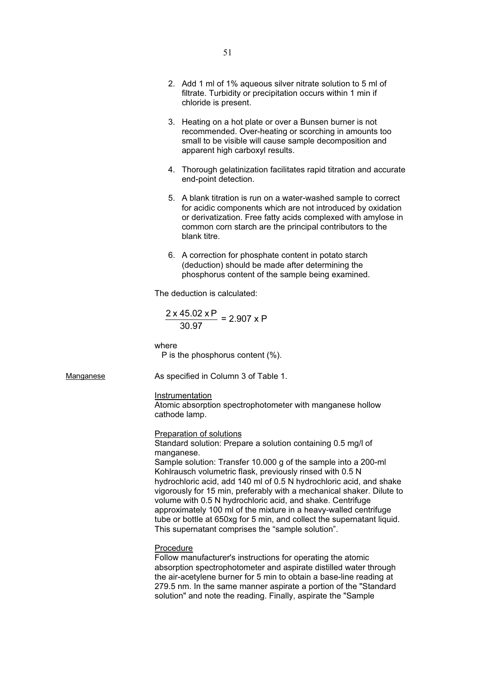- 2. Add 1 ml of 1% aqueous silver nitrate solution to 5 ml of filtrate. Turbidity or precipitation occurs within 1 min if chloride is present.
- 3. Heating on a hot plate or over a Bunsen burner is not recommended. Over-heating or scorching in amounts too small to be visible will cause sample decomposition and apparent high carboxyl results.
- 4. Thorough gelatinization facilitates rapid titration and accurate end-point detection.
- 5. A blank titration is run on a water-washed sample to correct for acidic components which are not introduced by oxidation or derivatization. Free fatty acids complexed with amylose in common corn starch are the principal contributors to the blank titre.
- 6. A correction for phosphate content in potato starch (deduction) should be made after determining the phosphorus content of the sample being examined.

The deduction is calculated:

$$
\frac{2 \times 45.02 \times P}{30.97} = 2.907 \times P
$$

where

P is the phosphorus content (%).

Manganese **As specified in Column 3 of Table 1.** 

# **Instrumentation**

Atomic absorption spectrophotometer with manganese hollow cathode lamp.

# Preparation of solutions

Standard solution: Prepare a solution containing 0.5 mg/l of manganese.

Sample solution: Transfer 10.000 g of the sample into a 200-ml Kohlrausch volumetric flask, previously rinsed with 0.5 N hydrochloric acid, add 140 ml of 0.5 N hydrochloric acid, and shake vigorously for 15 min, preferably with a mechanical shaker. Dilute to volume with 0.5 N hydrochloric acid, and shake. Centrifuge approximately 100 ml of the mixture in a heavy-walled centrifuge tube or bottle at 650xg for 5 min, and collect the supernatant liquid. This supernatant comprises the "sample solution".

## **Procedure**

Follow manufacturer's instructions for operating the atomic absorption spectrophotometer and aspirate distilled water through the air-acetylene burner for 5 min to obtain a base-line reading at 279.5 nm. In the same manner aspirate a portion of the "Standard solution" and note the reading. Finally, aspirate the "Sample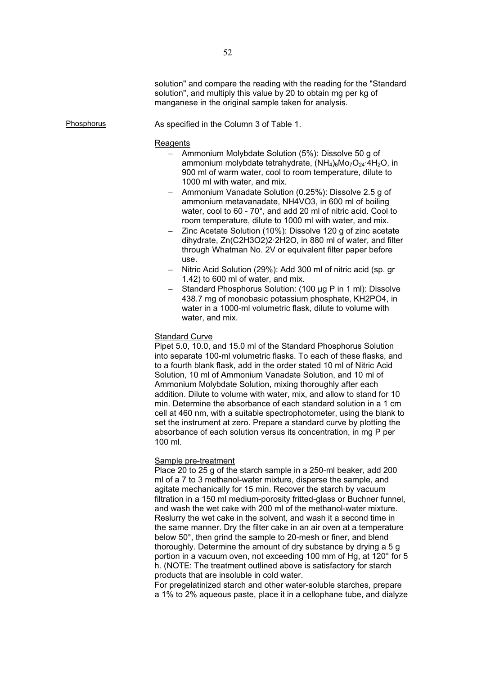Phosphorus **As specified in the Column 3 of Table 1.** 

## **Reagents**

- Ammonium Molybdate Solution (5%): Dissolve 50 g of ammonium molybdate tetrahydrate,  $(NH_4)_6M_2O_{24} \cdot 4H_2O$ , in 900 ml of warm water, cool to room temperature, dilute to 1000 ml with water, and mix.
- Ammonium Vanadate Solution (0.25%): Dissolve 2.5 g of ammonium metavanadate, NH4VO3, in 600 ml of boiling water, cool to 60 - 70°, and add 20 ml of nitric acid. Cool to room temperature, dilute to 1000 ml with water, and mix.
- Zinc Acetate Solution (10%): Dissolve 120 g of zinc acetate dihydrate, Zn(C2H3O2)2·2H2O, in 880 ml of water, and filter through Whatman No. 2V or equivalent filter paper before use.
- Nitric Acid Solution (29%): Add 300 ml of nitric acid (sp. gr 1.42) to 600 ml of water, and mix.
- Standard Phosphorus Solution: (100 μg P in 1 ml): Dissolve 438.7 mg of monobasic potassium phosphate, KH2PO4, in water in a 1000-ml volumetric flask, dilute to volume with water, and mix.

# **Standard Curve**

Pipet 5.0, 10.0, and 15.0 ml of the Standard Phosphorus Solution into separate 100-ml volumetric flasks. To each of these flasks, and to a fourth blank flask, add in the order stated 10 ml of Nitric Acid Solution, 10 ml of Ammonium Vanadate Solution, and 10 ml of Ammonium Molybdate Solution, mixing thoroughly after each addition. Dilute to volume with water, mix, and allow to stand for 10 min. Determine the absorbance of each standard solution in a 1 cm cell at 460 nm, with a suitable spectrophotometer, using the blank to set the instrument at zero. Prepare a standard curve by plotting the absorbance of each solution versus its concentration, in mg P per 100 ml.

# Sample pre-treatment

Place 20 to 25 g of the starch sample in a 250-ml beaker, add 200 ml of a 7 to 3 methanol-water mixture, disperse the sample, and agitate mechanically for 15 min. Recover the starch by vacuum filtration in a 150 ml medium-porosity fritted-glass or Buchner funnel, and wash the wet cake with 200 ml of the methanol-water mixture. Reslurry the wet cake in the solvent, and wash it a second time in the same manner. Dry the filter cake in an air oven at a temperature below 50°, then grind the sample to 20-mesh or finer, and blend thoroughly. Determine the amount of dry substance by drying a 5 g portion in a vacuum oven, not exceeding 100 mm of Hg, at 120° for 5 h. (NOTE: The treatment outlined above is satisfactory for starch products that are insoluble in cold water.

For pregelatinized starch and other water-soluble starches, prepare a 1% to 2% aqueous paste, place it in a cellophane tube, and dialyze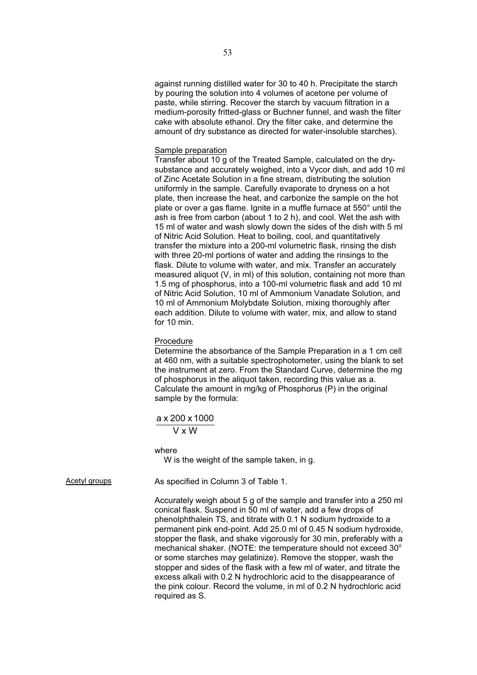against running distilled water for 30 to 40 h. Precipitate the starch by pouring the solution into 4 volumes of acetone per volume of paste, while stirring. Recover the starch by vacuum filtration in a medium-porosity fritted-glass or Buchner funnel, and wash the filter cake with absolute ethanol. Dry the filter cake, and determine the amount of dry substance as directed for water-insoluble starches).

# Sample preparation

Transfer about 10 g of the Treated Sample, calculated on the drysubstance and accurately weighed, into a Vycor dish, and add 10 ml of Zinc Acetate Solution in a fine stream, distributing the solution uniformly in the sample. Carefully evaporate to dryness on a hot plate, then increase the heat, and carbonize the sample on the hot plate or over a gas flame. Ignite in a muffle furnace at 550° until the ash is free from carbon (about 1 to 2 h), and cool. Wet the ash with 15 ml of water and wash slowly down the sides of the dish with 5 ml of Nitric Acid Solution. Heat to boiling, cool, and quantitatively transfer the mixture into a 200-ml volumetric flask, rinsing the dish with three 20-ml portions of water and adding the rinsings to the flask. Dilute to volume with water, and mix. Transfer an accurately measured aliquot (V, in ml) of this solution, containing not more than 1.5 mg of phosphorus, into a 100-ml volumetric flask and add 10 ml of Nitric Acid Solution, 10 ml of Ammonium Vanadate Solution, and 10 ml of Ammonium Molybdate Solution, mixing thoroughly after each addition. Dilute to volume with water, mix, and allow to stand for 10 min.

# Procedure

Determine the absorbance of the Sample Preparation in a 1 cm cell at 460 nm, with a suitable spectrophotometer, using the blank to set the instrument at zero. From the Standard Curve, determine the mg of phosphorus in the aliquot taken, recording this value as a. Calculate the amount in mg/kg of Phosphorus (P) in the original sample by the formula:

# a x 200 x 1000

V x W

where

W is the weight of the sample taken, in g.

Acetyl groups **As specified in Column 3 of Table 1.** 

Accurately weigh about 5 g of the sample and transfer into a 250 ml conical flask. Suspend in 50 ml of water, add a few drops of phenolphthalein TS, and titrate with 0.1 N sodium hydroxide to a permanent pink end-point. Add 25.0 ml of 0.45 N sodium hydroxide, stopper the flask, and shake vigorously for 30 min, preferably with a mechanical shaker. (NOTE: the temperature should not exceed  $30^{\circ}$ or some starches may gelatinize). Remove the stopper, wash the stopper and sides of the flask with a few ml of water, and titrate the excess alkali with 0.2 N hydrochloric acid to the disappearance of the pink colour. Record the volume, in ml of 0.2 N hydrochloric acid required as S.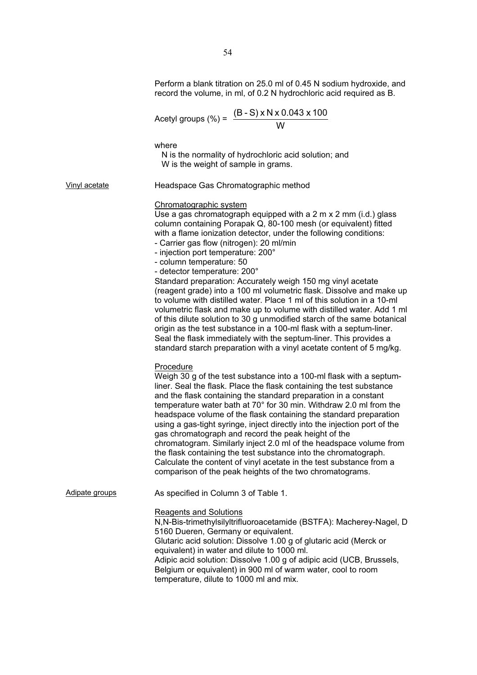|                | Perform a blank titration on 25.0 ml of 0.45 N sodium hydroxide, and<br>record the volume, in ml, of 0.2 N hydrochloric acid required as B.                                                                                                                                                                                                                                                                                                                                                                                                                                                                                                                                                                                                                                            |
|----------------|----------------------------------------------------------------------------------------------------------------------------------------------------------------------------------------------------------------------------------------------------------------------------------------------------------------------------------------------------------------------------------------------------------------------------------------------------------------------------------------------------------------------------------------------------------------------------------------------------------------------------------------------------------------------------------------------------------------------------------------------------------------------------------------|
|                | Acetyl groups (%) = $\frac{(B-S) \times N \times 0.043 \times 100}{W}$                                                                                                                                                                                                                                                                                                                                                                                                                                                                                                                                                                                                                                                                                                                 |
|                | where<br>N is the normality of hydrochloric acid solution; and<br>W is the weight of sample in grams.                                                                                                                                                                                                                                                                                                                                                                                                                                                                                                                                                                                                                                                                                  |
| Vinyl acetate  | Headspace Gas Chromatographic method                                                                                                                                                                                                                                                                                                                                                                                                                                                                                                                                                                                                                                                                                                                                                   |
|                | Chromatographic system<br>Use a gas chromatograph equipped with a $2 \text{ m} \times 2 \text{ mm}$ (i.d.) glass<br>column containing Porapak Q, 80-100 mesh (or equivalent) fitted<br>with a flame ionization detector, under the following conditions:<br>- Carrier gas flow (nitrogen): 20 ml/min<br>- injection port temperature: 200°<br>- column temperature: 50<br>- detector temperature: 200°<br>Standard preparation: Accurately weigh 150 mg vinyl acetate<br>(reagent grade) into a 100 ml volumetric flask. Dissolve and make up<br>to volume with distilled water. Place 1 ml of this solution in a 10-ml<br>volumetric flask and make up to volume with distilled water. Add 1 ml                                                                                       |
|                | of this dilute solution to 30 g unmodified starch of the same botanical<br>origin as the test substance in a 100-ml flask with a septum-liner.<br>Seal the flask immediately with the septum-liner. This provides a<br>standard starch preparation with a vinyl acetate content of 5 mg/kg.                                                                                                                                                                                                                                                                                                                                                                                                                                                                                            |
|                | Procedure<br>Weigh 30 g of the test substance into a 100-ml flask with a septum-<br>liner. Seal the flask. Place the flask containing the test substance<br>and the flask containing the standard preparation in a constant<br>temperature water bath at 70° for 30 min. Withdraw 2.0 ml from the<br>headspace volume of the flask containing the standard preparation<br>using a gas-tight syringe, inject directly into the injection port of the<br>gas chromatograph and record the peak height of the<br>chromatogram. Similarly inject 2.0 ml of the headspace volume from<br>the flask containing the test substance into the chromatograph.<br>Calculate the content of vinyl acetate in the test substance from a<br>comparison of the peak heights of the two chromatograms. |
| Adipate groups | As specified in Column 3 of Table 1.                                                                                                                                                                                                                                                                                                                                                                                                                                                                                                                                                                                                                                                                                                                                                   |
|                | <b>Reagents and Solutions</b><br>N, N-Bis-trimethylsilyltrifluoroacetamide (BSTFA): Macherey-Nagel, D<br>5160 Dueren, Germany or equivalent.<br>Glutaric acid solution: Dissolve 1.00 g of glutaric acid (Merck or<br>equivalent) in water and dilute to 1000 ml.<br>Adipic acid solution: Dissolve 1.00 g of adipic acid (UCB, Brussels,<br>Belgium or equivalent) in 900 ml of warm water, cool to room<br>temperature, dilute to 1000 ml and mix.                                                                                                                                                                                                                                                                                                                                   |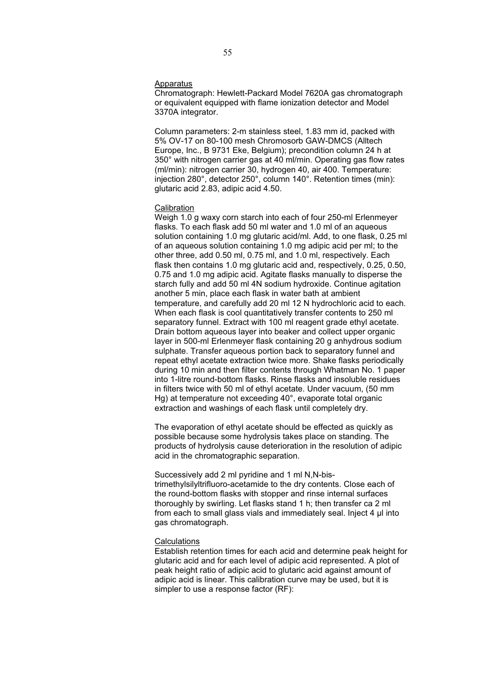## Apparatus

Chromatograph: Hewlett-Packard Model 7620A gas chromatograph or equivalent equipped with flame ionization detector and Model 3370A integrator.

Column parameters: 2-m stainless steel, 1.83 mm id, packed with 5% OV-17 on 80-100 mesh Chromosorb GAW-DMCS (Alltech Europe, Inc., B 9731 Eke, Belgium); precondition column 24 h at 350° with nitrogen carrier gas at 40 ml/min. Operating gas flow rates (ml/min): nitrogen carrier 30, hydrogen 40, air 400. Temperature: injection 280°, detector 250°, column 140°. Retention times (min): glutaric acid 2.83, adipic acid 4.50.

# **Calibration**

Weigh 1.0 g waxy corn starch into each of four 250-ml Erlenmeyer flasks. To each flask add 50 ml water and 1.0 ml of an aqueous solution containing 1.0 mg glutaric acid/ml. Add, to one flask, 0.25 ml of an aqueous solution containing 1.0 mg adipic acid per ml; to the other three, add 0.50 ml, 0.75 ml, and 1.0 ml, respectively. Each flask then contains 1.0 mg glutaric acid and, respectively, 0.25, 0.50, 0.75 and 1.0 mg adipic acid. Agitate flasks manually to disperse the starch fully and add 50 ml 4N sodium hydroxide. Continue agitation another 5 min, place each flask in water bath at ambient temperature, and carefully add 20 ml 12 N hydrochloric acid to each. When each flask is cool quantitatively transfer contents to 250 ml separatory funnel. Extract with 100 ml reagent grade ethyl acetate. Drain bottom aqueous layer into beaker and collect upper organic layer in 500-ml Erlenmeyer flask containing 20 g anhydrous sodium sulphate. Transfer aqueous portion back to separatory funnel and repeat ethyl acetate extraction twice more. Shake flasks periodically during 10 min and then filter contents through Whatman No. 1 paper into 1-litre round-bottom flasks. Rinse flasks and insoluble residues in filters twice with 50 ml of ethyl acetate. Under vacuum, (50 mm Hg) at temperature not exceeding 40°, evaporate total organic extraction and washings of each flask until completely dry.

The evaporation of ethyl acetate should be effected as quickly as possible because some hydrolysis takes place on standing. The products of hydrolysis cause deterioration in the resolution of adipic acid in the chromatographic separation.

Successively add 2 ml pyridine and 1 ml N,N-bistrimethylsilyltrifluoro-acetamide to the dry contents. Close each of the round-bottom flasks with stopper and rinse internal surfaces thoroughly by swirling. Let flasks stand 1 h; then transfer ca 2 ml from each to small glass vials and immediately seal. Inject 4 μl into gas chromatograph.

# **Calculations**

Establish retention times for each acid and determine peak height for glutaric acid and for each level of adipic acid represented. A plot of peak height ratio of adipic acid to glutaric acid against amount of adipic acid is linear. This calibration curve may be used, but it is simpler to use a response factor (RF):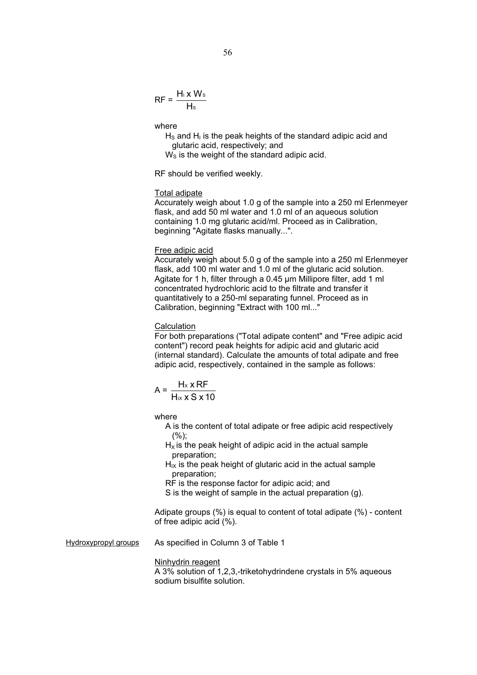$$
RF = \frac{H_1 \times W_s}{H_s}
$$

where

 $H<sub>S</sub>$  and  $H<sub>I</sub>$  is the peak heights of the standard adipic acid and glutaric acid, respectively; and

 $W<sub>S</sub>$  is the weight of the standard adipic acid.

RF should be verified weekly.

# Total adipate

Accurately weigh about 1.0 g of the sample into a 250 ml Erlenmeyer flask, and add 50 ml water and 1.0 ml of an aqueous solution containing 1.0 mg glutaric acid/ml. Proceed as in Calibration, beginning "Agitate flasks manually...".

# Free adipic acid

Accurately weigh about 5.0 g of the sample into a 250 ml Erlenmeyer flask, add 100 ml water and 1.0 ml of the glutaric acid solution. Agitate for 1 h, filter through a 0.45 μm Millipore filter, add 1 ml concentrated hydrochloric acid to the filtrate and transfer it quantitatively to a 250-ml separating funnel. Proceed as in Calibration, beginning "Extract with 100 ml..."

# **Calculation**

For both preparations ("Total adipate content" and "Free adipic acid content") record peak heights for adipic acid and glutaric acid (internal standard). Calculate the amounts of total adipate and free adipic acid, respectively, contained in the sample as follows:

$$
A = \frac{H_x \times RF}{H_x \times S \times 10}
$$

where

- A is the content of total adipate or free adipic acid respectively  $(%):$
- $H_X$  is the peak height of adipic acid in the actual sample preparation;
- $H_{IX}$  is the peak height of glutaric acid in the actual sample preparation;
- RF is the response factor for adipic acid; and
- S is the weight of sample in the actual preparation (g).

Adipate groups (%) is equal to content of total adipate (%) - content of free adipic acid (%).

Hydroxypropyl groups As specified in Column 3 of Table 1

## Ninhydrin reagent

A 3% solution of 1,2,3,-triketohydrindene crystals in 5% aqueous sodium bisulfite solution.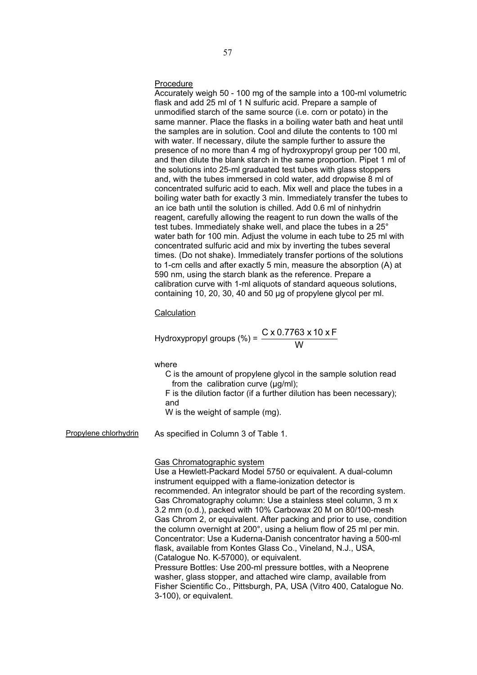## Procedure

Accurately weigh 50 - 100 mg of the sample into a 100-ml volumetric flask and add 25 ml of 1 N sulfuric acid. Prepare a sample of unmodified starch of the same source (i.e. corn or potato) in the same manner. Place the flasks in a boiling water bath and heat until the samples are in solution. Cool and dilute the contents to 100 ml with water. If necessary, dilute the sample further to assure the presence of no more than 4 mg of hydroxypropyl group per 100 ml, and then dilute the blank starch in the same proportion. Pipet 1 ml of the solutions into 25-ml graduated test tubes with glass stoppers and, with the tubes immersed in cold water, add dropwise 8 ml of concentrated sulfuric acid to each. Mix well and place the tubes in a boiling water bath for exactly 3 min. Immediately transfer the tubes to an ice bath until the solution is chilled. Add 0.6 ml of ninhydrin reagent, carefully allowing the reagent to run down the walls of the test tubes. Immediately shake well, and place the tubes in a 25° water bath for 100 min. Adjust the volume in each tube to 25 ml with concentrated sulfuric acid and mix by inverting the tubes several times. (Do not shake). Immediately transfer portions of the solutions to 1-cm cells and after exactly 5 min, measure the absorption (A) at 590 nm, using the starch blank as the reference. Prepare a calibration curve with 1-ml aliquots of standard aqueous solutions, containing 10, 20, 30, 40 and 50 μg of propylene glycol per ml.

# **Calculation**

Hydroxypropyl groups (%) = 
$$
\frac{C \times 0.7763 \times 10 \times F}{W}
$$

where

- C is the amount of propylene glycol in the sample solution read from the calibration curve (μg/ml);
- F is the dilution factor (if a further dilution has been necessary); and
- W is the weight of sample (mg).

Propylene chlorhydrin As specified in Column 3 of Table 1.

Gas Chromatographic system

Use a Hewlett-Packard Model 5750 or equivalent. A dual-column instrument equipped with a flame-ionization detector is recommended. An integrator should be part of the recording system. Gas Chromatography column: Use a stainless steel column, 3 m x 3.2 mm (o.d.), packed with 10% Carbowax 20 M on 80/100-mesh Gas Chrom 2, or equivalent. After packing and prior to use, condition the column overnight at 200°, using a helium flow of 25 ml per min. Concentrator: Use a Kuderna-Danish concentrator having a 500-ml flask, available from Kontes Glass Co., Vineland, N.J., USA, (Catalogue No. K-57000), or equivalent.

Pressure Bottles: Use 200-ml pressure bottles, with a Neoprene washer, glass stopper, and attached wire clamp, available from Fisher Scientific Co., Pittsburgh, PA, USA (Vitro 400, Catalogue No. 3-100), or equivalent.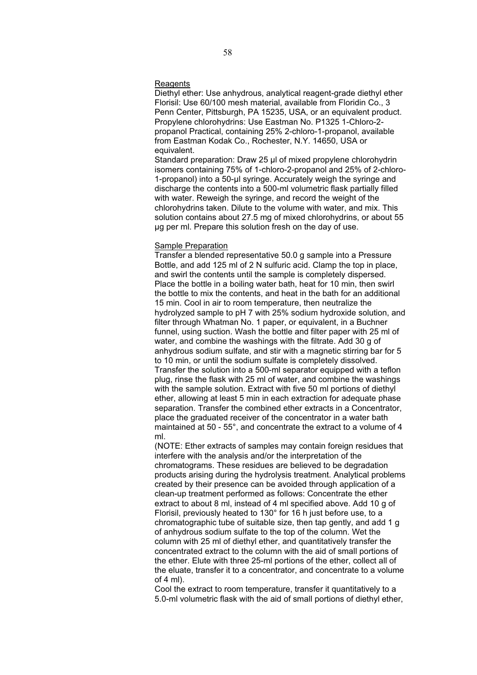# **Reagents**

Diethyl ether: Use anhydrous, analytical reagent-grade diethyl ether Florisil: Use 60/100 mesh material, available from Floridin Co., 3 Penn Center, Pittsburgh, PA 15235, USA, or an equivalent product. Propylene chlorohydrins: Use Eastman No. P1325 1-Chloro-2 propanol Practical, containing 25% 2-chloro-1-propanol, available from Eastman Kodak Co., Rochester, N.Y. 14650, USA or equivalent.

Standard preparation: Draw 25 μl of mixed propylene chlorohydrin isomers containing 75% of 1-chloro-2-propanol and 25% of 2-chloro-1-propanol) into a 50-μl syringe. Accurately weigh the syringe and discharge the contents into a 500-ml volumetric flask partially filled with water. Reweigh the syringe, and record the weight of the chlorohydrins taken. Dilute to the volume with water, and mix. This solution contains about 27.5 mg of mixed chlorohydrins, or about 55 μg per ml. Prepare this solution fresh on the day of use.

# Sample Preparation

Transfer a blended representative 50.0 g sample into a Pressure Bottle, and add 125 ml of 2 N sulfuric acid. Clamp the top in place, and swirl the contents until the sample is completely dispersed. Place the bottle in a boiling water bath, heat for 10 min, then swirl the bottle to mix the contents, and heat in the bath for an additional 15 min. Cool in air to room temperature, then neutralize the hydrolyzed sample to pH 7 with 25% sodium hydroxide solution, and filter through Whatman No. 1 paper, or equivalent, in a Buchner funnel, using suction. Wash the bottle and filter paper with 25 ml of water, and combine the washings with the filtrate. Add 30 g of anhydrous sodium sulfate, and stir with a magnetic stirring bar for 5 to 10 min, or until the sodium sulfate is completely dissolved. Transfer the solution into a 500-ml separator equipped with a teflon plug, rinse the flask with 25 ml of water, and combine the washings with the sample solution. Extract with five 50 ml portions of diethyl ether, allowing at least 5 min in each extraction for adequate phase separation. Transfer the combined ether extracts in a Concentrator, place the graduated receiver of the concentrator in a water bath maintained at 50 - 55°, and concentrate the extract to a volume of 4 ml.

(NOTE: Ether extracts of samples may contain foreign residues that interfere with the analysis and/or the interpretation of the chromatograms. These residues are believed to be degradation products arising during the hydrolysis treatment. Analytical problems created by their presence can be avoided through application of a clean-up treatment performed as follows: Concentrate the ether extract to about 8 ml, instead of 4 ml specified above. Add 10 g of Florisil, previously heated to 130° for 16 h just before use, to a chromatographic tube of suitable size, then tap gently, and add 1 g of anhydrous sodium sulfate to the top of the column. Wet the column with 25 ml of diethyl ether, and quantitatively transfer the concentrated extract to the column with the aid of small portions of the ether. Elute with three 25-ml portions of the ether, collect all of the eluate, transfer it to a concentrator, and concentrate to a volume of 4 ml).

Cool the extract to room temperature, transfer it quantitatively to a 5.0-ml volumetric flask with the aid of small portions of diethyl ether,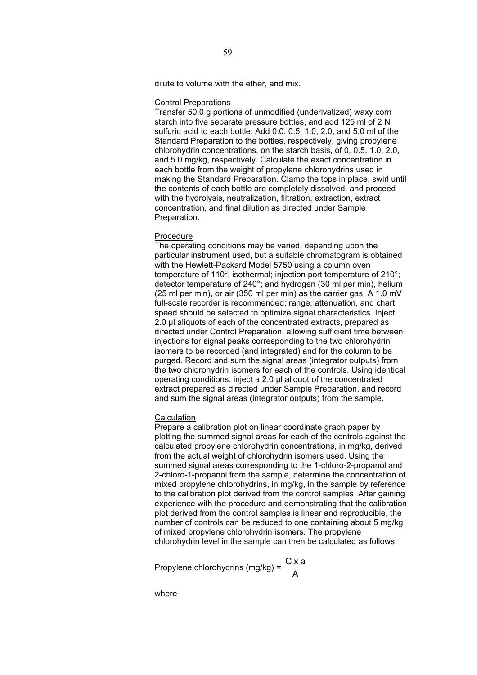dilute to volume with the ether, and mix.

## Control Preparations

Transfer 50.0 g portions of unmodified (underivatized) waxy corn starch into five separate pressure bottles, and add 125 ml of 2 N sulfuric acid to each bottle. Add 0.0, 0.5, 1.0, 2.0, and 5.0 ml of the Standard Preparation to the bottles, respectively, giving propylene chlorohydrin concentrations, on the starch basis, of 0, 0.5, 1.0, 2.0, and 5.0 mg/kg, respectively. Calculate the exact concentration in each bottle from the weight of propylene chlorohydrins used in making the Standard Preparation. Clamp the tops in place, swirl until the contents of each bottle are completely dissolved, and proceed with the hydrolysis, neutralization, filtration, extraction, extract concentration, and final dilution as directed under Sample Preparation.

# Procedure

The operating conditions may be varied, depending upon the particular instrument used, but a suitable chromatogram is obtained with the Hewlett-Packard Model 5750 using a column oven temperature of 110 $^{\circ}$ , isothermal; injection port temperature of 210 $^{\circ}$ ; detector temperature of 240°; and hydrogen (30 ml per min), helium (25 ml per min), or air (350 ml per min) as the carrier gas. A 1.0 mV full-scale recorder is recommended; range, attenuation, and chart speed should be selected to optimize signal characteristics. Inject 2.0 μl aliquots of each of the concentrated extracts, prepared as directed under Control Preparation, allowing sufficient time between injections for signal peaks corresponding to the two chlorohydrin isomers to be recorded (and integrated) and for the column to be purged. Record and sum the signal areas (integrator outputs) from the two chlorohydrin isomers for each of the controls. Using identical operating conditions, inject a 2.0 μl aliquot of the concentrated extract prepared as directed under Sample Preparation, and record and sum the signal areas (integrator outputs) from the sample.

## **Calculation**

Prepare a calibration plot on linear coordinate graph paper by plotting the summed signal areas for each of the controls against the calculated propylene chlorohydrin concentrations, in mg/kg, derived from the actual weight of chlorohydrin isomers used. Using the summed signal areas corresponding to the 1-chloro-2-propanol and 2-chloro-1-propanol from the sample, determine the concentration of mixed propylene chlorohydrins, in mg/kg, in the sample by reference to the calibration plot derived from the control samples. After gaining experience with the procedure and demonstrating that the calibration plot derived from the control samples is linear and reproducible, the number of controls can be reduced to one containing about 5 mg/kg of mixed propylene chlorohydrin isomers. The propylene chlorohydrin level in the sample can then be calculated as follows:

Propylene chlorohydrins (mg/kg) =  $\frac{C \times a}{A}$ 

where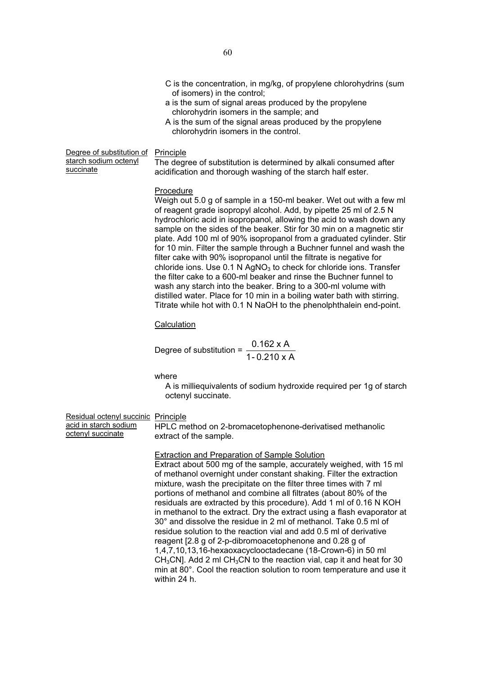- C is the concentration, in mg/kg, of propylene chlorohydrins (sum of isomers) in the control;
- a is the sum of signal areas produced by the propylene chlorohydrin isomers in the sample; and
- A is the sum of the signal areas produced by the propylene chlorohydrin isomers in the control.

Degree of substitution of

starch sodium octenyl succinate

| Principle |  |
|-----------|--|
|           |  |

The degree of substitution is determined by alkali consumed after acidification and thorough washing of the starch half ester.

# Procedure

Weigh out 5.0 g of sample in a 150-ml beaker. Wet out with a few ml of reagent grade isopropyl alcohol. Add, by pipette 25 ml of 2.5 N hydrochloric acid in isopropanol, allowing the acid to wash down any sample on the sides of the beaker. Stir for 30 min on a magnetic stir plate. Add 100 ml of 90% isopropanol from a graduated cylinder. Stir for 10 min. Filter the sample through a Buchner funnel and wash the filter cake with 90% isopropanol until the filtrate is negative for chloride ions. Use  $0.1$  N AgNO<sub>3</sub> to check for chloride ions. Transfer the filter cake to a 600-ml beaker and rinse the Buchner funnel to wash any starch into the beaker. Bring to a 300-ml volume with distilled water. Place for 10 min in a boiling water bath with stirring. Titrate while hot with 0.1 N NaOH to the phenolphthalein end-point.

# **Calculation**

Degree of substitution =  $\frac{0.162 \times A}{1 - 0.210 \times A}$ 

# where

A is milliequivalents of sodium hydroxide required per 1g of starch octenyl succinate.

Residual octenyl succinic Principle acid in starch sodium octenyl succinate

HPLC method on 2-bromacetophenone-derivatised methanolic extract of the sample.

Extraction and Preparation of Sample Solution

Extract about 500 mg of the sample, accurately weighed, with 15 ml of methanol overnight under constant shaking. Filter the extraction mixture, wash the precipitate on the filter three times with 7 ml portions of methanol and combine all filtrates (about 80% of the residuals are extracted by this procedure). Add 1 ml of 0.16 N KOH in methanol to the extract. Dry the extract using a flash evaporator at 30° and dissolve the residue in 2 ml of methanol. Take 0.5 ml of residue solution to the reaction vial and add 0.5 ml of derivative reagent [2.8 g of 2-p-dibromoacetophenone and 0.28 g of 1,4,7,10,13,16-hexaoxacyclooctadecane (18-Crown-6) in 50 ml  $CH<sub>3</sub>CN$ ]. Add 2 ml CH<sub>3</sub>CN to the reaction vial, cap it and heat for 30 min at 80°. Cool the reaction solution to room temperature and use it within 24 h.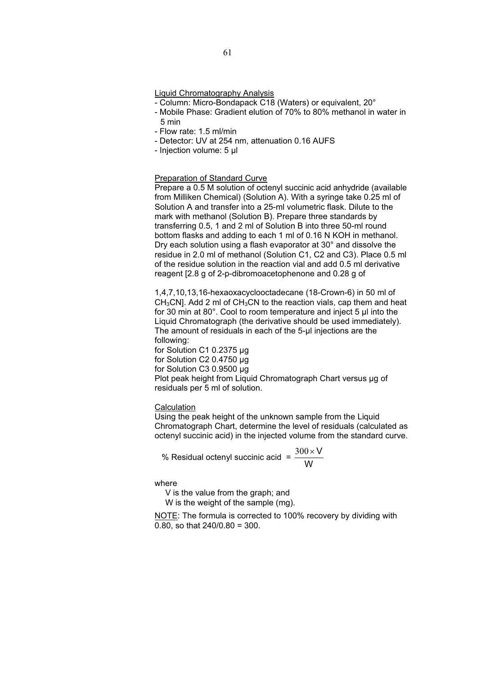## Liquid Chromatography Analysis

- Column: Micro-Bondapack C18 (Waters) or equivalent, 20°
- Mobile Phase: Gradient elution of 70% to 80% methanol in water in 5 min
- Flow rate: 1.5 ml/min
- Detector: UV at 254 nm, attenuation 0.16 AUFS
- Injection volume: 5 μl

### Preparation of Standard Curve

Prepare a 0.5 M solution of octenyl succinic acid anhydride (available from Milliken Chemical) (Solution A). With a syringe take 0.25 ml of Solution A and transfer into a 25-ml volumetric flask. Dilute to the mark with methanol (Solution B). Prepare three standards by transferring 0.5, 1 and 2 ml of Solution B into three 50-ml round bottom flasks and adding to each 1 ml of 0.16 N KOH in methanol. Dry each solution using a flash evaporator at 30° and dissolve the residue in 2.0 ml of methanol (Solution C1, C2 and C3). Place 0.5 ml of the residue solution in the reaction vial and add 0.5 ml derivative reagent [2.8 g of 2-p-dibromoacetophenone and 0.28 g of

1,4,7,10,13,16-hexaoxacyclooctadecane (18-Crown-6) in 50 ml of  $CH<sub>3</sub>CN$ ]. Add 2 ml of  $CH<sub>3</sub>CN$  to the reaction vials, cap them and heat for 30 min at 80°. Cool to room temperature and inject 5 μl into the Liquid Chromatograph (the derivative should be used immediately). The amount of residuals in each of the 5-µl injections are the following:

for Solution C1 0.2375 µg for Solution C2 0.4750 ug for Solution C3 0.9500 μg Plot peak height from Liquid Chromatograph Chart versus μg of residuals per 5 ml of solution.

# **Calculation**

Using the peak height of the unknown sample from the Liquid Chromatograph Chart, determine the level of residuals (calculated as octenyl succinic acid) in the injected volume from the standard curve.

% Residual octenyl succinic acid  $= \frac{300 \times V}{W}$ 

where

V is the value from the graph; and

W is the weight of the sample (mg).

NOTE: The formula is corrected to 100% recovery by dividing with 0.80, so that 240/0.80 = 300.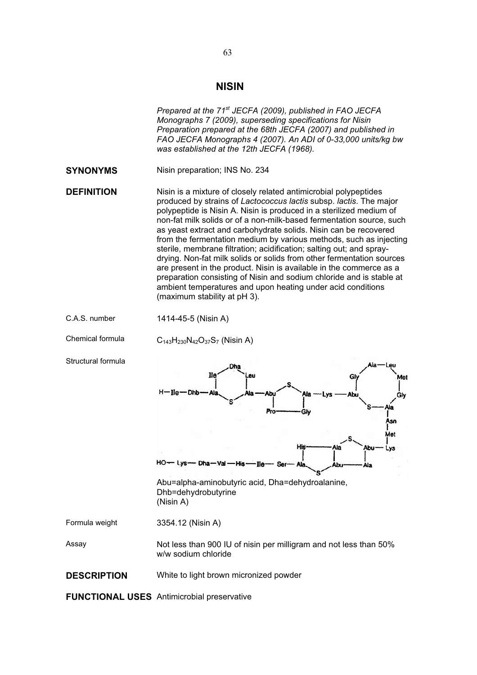# **NISIN**

|                    | Prepared at the 71 <sup>st</sup> JECFA (2009), published in FAO JECFA<br>Monographs 7 (2009), superseding specifications for Nisin<br>Preparation prepared at the 68th JECFA (2007) and published in<br>FAO JECFA Monographs 4 (2007). An ADI of 0-33,000 units/kg bw<br>was established at the 12th JECFA (1968).                                                                                                                                                                                                                                                                                                                                                                                                                                                                                                             |
|--------------------|--------------------------------------------------------------------------------------------------------------------------------------------------------------------------------------------------------------------------------------------------------------------------------------------------------------------------------------------------------------------------------------------------------------------------------------------------------------------------------------------------------------------------------------------------------------------------------------------------------------------------------------------------------------------------------------------------------------------------------------------------------------------------------------------------------------------------------|
| <b>SYNONYMS</b>    | Nisin preparation; INS No. 234                                                                                                                                                                                                                                                                                                                                                                                                                                                                                                                                                                                                                                                                                                                                                                                                 |
| <b>DEFINITION</b>  | Nisin is a mixture of closely related antimicrobial polypeptides<br>produced by strains of Lactococcus lactis subsp. lactis. The major<br>polypeptide is Nisin A. Nisin is produced in a sterilized medium of<br>non-fat milk solids or of a non-milk-based fermentation source, such<br>as yeast extract and carbohydrate solids. Nisin can be recovered<br>from the fermentation medium by various methods, such as injecting<br>sterile, membrane filtration; acidification; salting out; and spray-<br>drying. Non-fat milk solids or solids from other fermentation sources<br>are present in the product. Nisin is available in the commerce as a<br>preparation consisting of Nisin and sodium chloride and is stable at<br>ambient temperatures and upon heating under acid conditions<br>(maximum stability at pH 3). |
| C.A.S. number      | 1414-45-5 (Nisin A)                                                                                                                                                                                                                                                                                                                                                                                                                                                                                                                                                                                                                                                                                                                                                                                                            |
| Chemical formula   | $C_{143}H_{230}N_{42}O_{37}S_7$ (Nisin A)                                                                                                                                                                                                                                                                                                                                                                                                                                                                                                                                                                                                                                                                                                                                                                                      |
| Structural formula | Dhs<br>Ile<br>eu<br>Met<br>G<br>H-Ile-Dhb<br>Ala<br>Glv<br>٩a<br>Pro<br>Glv<br>Asn<br>Met<br>His<br>Ala<br>٦Þ١<br>nia ya ma 118<br>ADU<br>Abu=alpha-aminobutyric acid, Dha=dehydroalanine,<br>Dhb=dehydrobutyrine<br>(Nisin A)                                                                                                                                                                                                                                                                                                                                                                                                                                                                                                                                                                                                 |
| Formula weight     | 3354.12 (Nisin A)                                                                                                                                                                                                                                                                                                                                                                                                                                                                                                                                                                                                                                                                                                                                                                                                              |
| Assay              | Not less than 900 IU of nisin per milligram and not less than 50%<br>w/w sodium chloride                                                                                                                                                                                                                                                                                                                                                                                                                                                                                                                                                                                                                                                                                                                                       |
| <b>DESCRIPTION</b> | White to light brown micronized powder                                                                                                                                                                                                                                                                                                                                                                                                                                                                                                                                                                                                                                                                                                                                                                                         |
|                    | <b>FUNCTIONAL USES</b> Antimicrobial preservative                                                                                                                                                                                                                                                                                                                                                                                                                                                                                                                                                                                                                                                                                                                                                                              |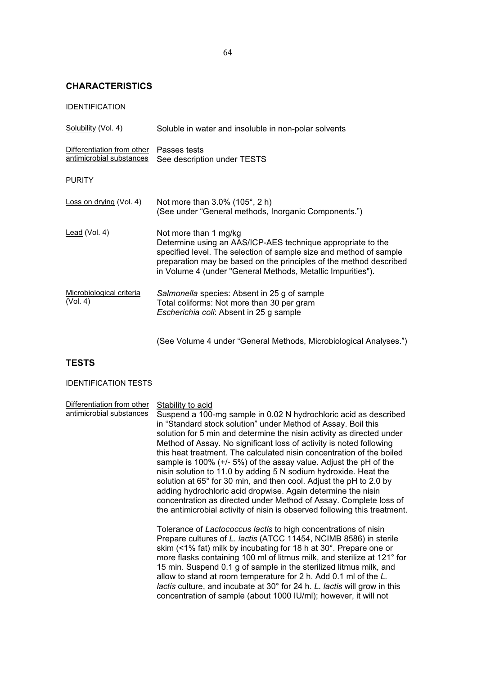# **CHARACTERISTICS**

| Solubility (Vol. 4)                                    | Soluble in water and insoluble in non-polar solvents                                                                                                                                                                                                                                            |
|--------------------------------------------------------|-------------------------------------------------------------------------------------------------------------------------------------------------------------------------------------------------------------------------------------------------------------------------------------------------|
| Differentiation from other<br>antimicrobial substances | Passes tests<br>See description under TESTS                                                                                                                                                                                                                                                     |
| <b>PURITY</b>                                          |                                                                                                                                                                                                                                                                                                 |
| Loss on drying (Vol. 4)                                | Not more than 3.0% (105°, 2 h)<br>(See under "General methods, Inorganic Components.")                                                                                                                                                                                                          |
| <u>Lead</u> (Vol. 4)                                   | Not more than 1 mg/kg<br>Determine using an AAS/ICP-AES technique appropriate to the<br>specified level. The selection of sample size and method of sample<br>preparation may be based on the principles of the method described<br>in Volume 4 (under "General Methods, Metallic Impurities"). |
| Microbiological criteria<br>(Vol. 4)                   | Salmonella species: Absent in 25 g of sample<br>Total coliforms: Not more than 30 per gram<br>Escherichia coli: Absent in 25 g sample                                                                                                                                                           |

(See Volume 4 under "General Methods, Microbiological Analyses.")

# **TESTS**

# IDENTIFICATION TESTS

| Differentiation from other<br>antimicrobial substances | Stability to acid<br>Suspend a 100-mg sample in 0.02 N hydrochloric acid as described<br>in "Standard stock solution" under Method of Assay. Boil this<br>solution for 5 min and determine the nisin activity as directed under<br>Method of Assay. No significant loss of activity is noted following<br>this heat treatment. The calculated nisin concentration of the boiled<br>sample is 100% $(+/- 5%)$ of the assay value. Adjust the pH of the<br>nisin solution to 11.0 by adding 5 N sodium hydroxide. Heat the<br>solution at 65° for 30 min, and then cool. Adjust the pH to 2.0 by<br>adding hydrochloric acid dropwise. Again determine the nisin<br>concentration as directed under Method of Assay. Complete loss of<br>the antimicrobial activity of nisin is observed following this treatment. |
|--------------------------------------------------------|------------------------------------------------------------------------------------------------------------------------------------------------------------------------------------------------------------------------------------------------------------------------------------------------------------------------------------------------------------------------------------------------------------------------------------------------------------------------------------------------------------------------------------------------------------------------------------------------------------------------------------------------------------------------------------------------------------------------------------------------------------------------------------------------------------------|
|                                                        | Tolerance of Lactococcus lactis to high concentrations of nisin<br>Prepare cultures of L. lactis (ATCC 11454, NCIMB 8586) in sterile<br>skim (<1% fat) milk by incubating for 18 h at 30°. Prepare one or<br>more flasks containing 100 ml of litmus milk, and sterilize at 121° for<br>15 min. Suspend 0.1 g of sample in the sterilized litmus milk, and<br>allow to stand at room temperature for 2 h. Add 0.1 ml of the L.<br>lactis culture, and incubate at 30° for 24 h. L. lactis will grow in this<br>concentration of sample (about 1000 IU/ml); however, it will not                                                                                                                                                                                                                                  |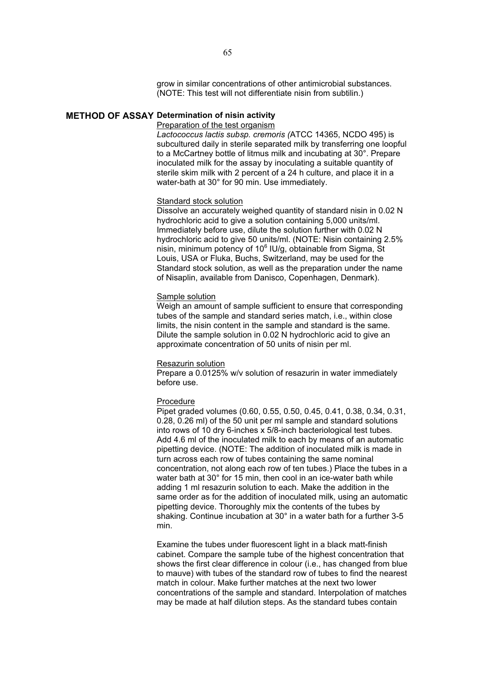grow in similar concentrations of other antimicrobial substances. (NOTE: This test will not differentiate nisin from subtilin.)

# **METHOD OF ASSAY Determination of nisin activity**

### Preparation of the test organism

*Lactococcus lactis subsp. cremoris (*ATCC 14365, NCDO 495) is subcultured daily in sterile separated milk by transferring one loopful to a McCartney bottle of litmus milk and incubating at 30°. Prepare inoculated milk for the assay by inoculating a suitable quantity of sterile skim milk with 2 percent of a 24 h culture, and place it in a water-bath at 30° for 90 min. Use immediately.

# Standard stock solution

Dissolve an accurately weighed quantity of standard nisin in 0.02 N hydrochloric acid to give a solution containing 5,000 units/ml. Immediately before use, dilute the solution further with 0.02 N hydrochloric acid to give 50 units/ml. (NOTE: Nisin containing 2.5% nisin, minimum potency of 10<sup>6</sup> IU/g, obtainable from Sigma, St Louis, USA or Fluka, Buchs, Switzerland, may be used for the Standard stock solution, as well as the preparation under the name of Nisaplin, available from Danisco, Copenhagen, Denmark).

# Sample solution

Weigh an amount of sample sufficient to ensure that corresponding tubes of the sample and standard series match, i.e., within close limits, the nisin content in the sample and standard is the same. Dilute the sample solution in 0.02 N hydrochloric acid to give an approximate concentration of 50 units of nisin per ml.

### Resazurin solution

Prepare a 0.0125% w/v solution of resazurin in water immediately before use.

# Procedure

Pipet graded volumes (0.60, 0.55, 0.50, 0.45, 0.41, 0.38, 0.34, 0.31, 0.28, 0.26 ml) of the 50 unit per ml sample and standard solutions into rows of 10 dry 6-inches x 5/8-inch bacteriological test tubes. Add 4.6 ml of the inoculated milk to each by means of an automatic pipetting device. (NOTE: The addition of inoculated milk is made in turn across each row of tubes containing the same nominal concentration, not along each row of ten tubes.) Place the tubes in a water bath at 30° for 15 min, then cool in an ice-water bath while adding 1 ml resazurin solution to each. Make the addition in the same order as for the addition of inoculated milk, using an automatic pipetting device. Thoroughly mix the contents of the tubes by shaking. Continue incubation at 30° in a water bath for a further 3-5 min.

Examine the tubes under fluorescent light in a black matt-finish cabinet. Compare the sample tube of the highest concentration that shows the first clear difference in colour (i.e., has changed from blue to mauve) with tubes of the standard row of tubes to find the nearest match in colour. Make further matches at the next two lower concentrations of the sample and standard. Interpolation of matches may be made at half dilution steps. As the standard tubes contain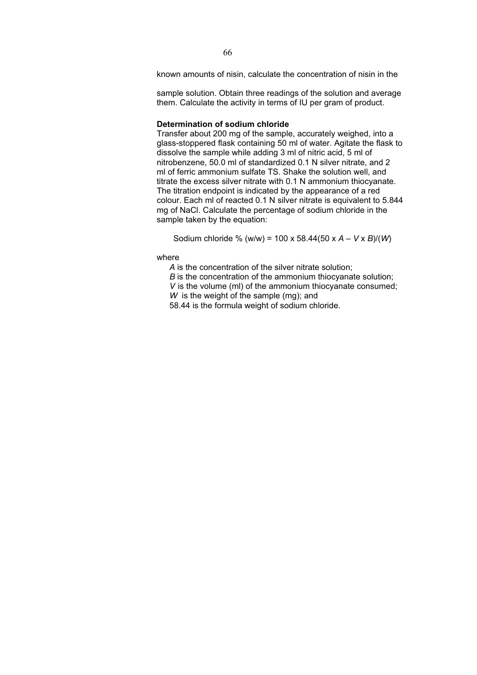known amounts of nisin, calculate the concentration of nisin in the

sample solution. Obtain three readings of the solution and average them. Calculate the activity in terms of IU per gram of product.

## **Determination of sodium chloride**

Transfer about 200 mg of the sample, accurately weighed, into a glass-stoppered flask containing 50 ml of water. Agitate the flask to dissolve the sample while adding 3 ml of nitric acid, 5 ml of nitrobenzene, 50.0 ml of standardized 0.1 N silver nitrate, and 2 ml of ferric ammonium sulfate TS. Shake the solution well, and titrate the excess silver nitrate with 0.1 N ammonium thiocyanate. The titration endpoint is indicated by the appearance of a red colour. Each ml of reacted 0.1 N silver nitrate is equivalent to 5.844 mg of NaCl. Calculate the percentage of sodium chloride in the sample taken by the equation:

Sodium chloride % (w/w) = 100 x 58.44(50 x *A* – *V* x *B*)/(*W*)

where

*A* is the concentration of the silver nitrate solution;

*B* is the concentration of the ammonium thiocyanate solution;

*V* is the volume (ml) of the ammonium thiocyanate consumed;

*W* is the weight of the sample (mg); and

58.44 is the formula weight of sodium chloride.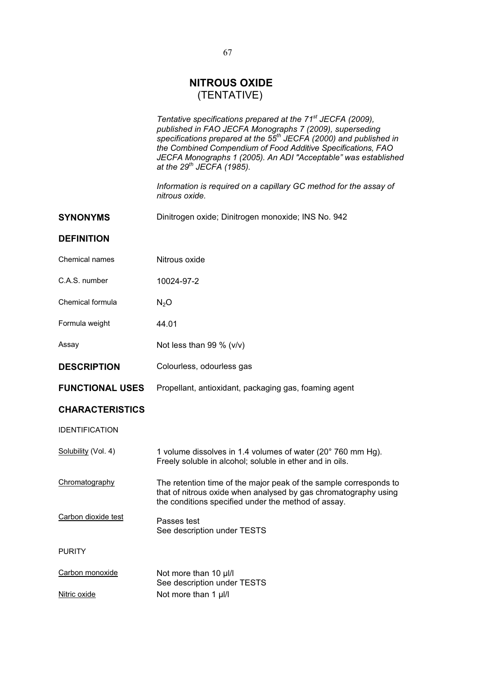# **NITROUS OXIDE**  (TENTATIVE)

*Tentative specifications prepared at the 71st JECFA (2009), published in FAO JECFA Monographs 7 (2009), superseding specifications prepared at the 55th JECFA (2000) and published in the Combined Compendium of Food Additive Specifications, FAO JECFA Monographs 1 (2005). An ADI "Acceptable" was established at the 29th JECFA (1985).* 

*Information is required on a capillary GC method for the assay of nitrous oxide.* 

|                        | nitrous oxide.                                                                                                                                                                              |
|------------------------|---------------------------------------------------------------------------------------------------------------------------------------------------------------------------------------------|
| <b>SYNONYMS</b>        | Dinitrogen oxide; Dinitrogen monoxide; INS No. 942                                                                                                                                          |
| <b>DEFINITION</b>      |                                                                                                                                                                                             |
| Chemical names         | Nitrous oxide                                                                                                                                                                               |
| C.A.S. number          | 10024-97-2                                                                                                                                                                                  |
| Chemical formula       | $N_2O$                                                                                                                                                                                      |
| Formula weight         | 44.01                                                                                                                                                                                       |
| Assay                  | Not less than 99 % $(v/v)$                                                                                                                                                                  |
| <b>DESCRIPTION</b>     | Colourless, odourless gas                                                                                                                                                                   |
| <b>FUNCTIONAL USES</b> | Propellant, antioxidant, packaging gas, foaming agent                                                                                                                                       |
| <b>CHARACTERISTICS</b> |                                                                                                                                                                                             |
| <b>IDENTIFICATION</b>  |                                                                                                                                                                                             |
| Solubility (Vol. 4)    | 1 volume dissolves in 1.4 volumes of water (20° 760 mm Hg).<br>Freely soluble in alcohol; soluble in ether and in oils.                                                                     |
| Chromatography         | The retention time of the major peak of the sample corresponds to<br>that of nitrous oxide when analysed by gas chromatography using<br>the conditions specified under the method of assay. |
| Carbon dioxide test    | Passes test<br>See description under TESTS                                                                                                                                                  |
| <b>PURITY</b>          |                                                                                                                                                                                             |
| Carbon monoxide        | Not more than 10 µl/l<br>See description under TESTS                                                                                                                                        |
| Nitric oxide           | Not more than 1 µl/l                                                                                                                                                                        |
|                        |                                                                                                                                                                                             |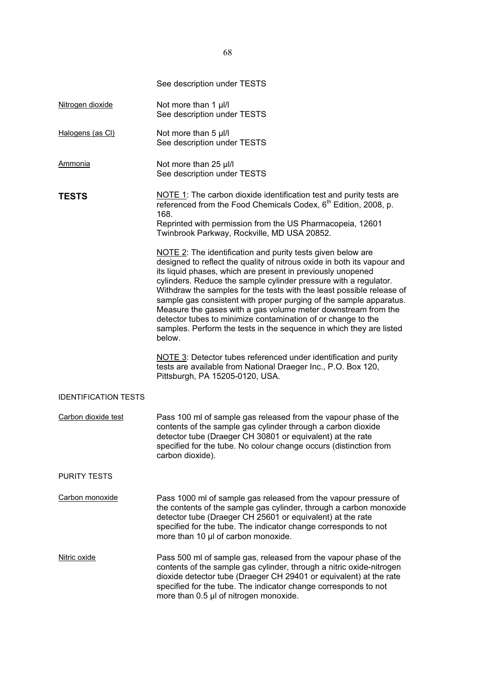|                             | See description under TESTS                                                                                                                                                                                                                                                                                                                                                                                                                                                                                                                                                                                                                |
|-----------------------------|--------------------------------------------------------------------------------------------------------------------------------------------------------------------------------------------------------------------------------------------------------------------------------------------------------------------------------------------------------------------------------------------------------------------------------------------------------------------------------------------------------------------------------------------------------------------------------------------------------------------------------------------|
| Nitrogen dioxide            | Not more than 1 µl/l<br>See description under TESTS                                                                                                                                                                                                                                                                                                                                                                                                                                                                                                                                                                                        |
| Halogens (as CI)            | Not more than 5 µl/l<br>See description under TESTS                                                                                                                                                                                                                                                                                                                                                                                                                                                                                                                                                                                        |
| <b>Ammonia</b>              | Not more than 25 µl/l<br>See description under TESTS                                                                                                                                                                                                                                                                                                                                                                                                                                                                                                                                                                                       |
| <b>TESTS</b>                | NOTE 1: The carbon dioxide identification test and purity tests are<br>referenced from the Food Chemicals Codex, 6 <sup>th</sup> Edition, 2008, p.<br>168.<br>Reprinted with permission from the US Pharmacopeia, 12601<br>Twinbrook Parkway, Rockville, MD USA 20852.                                                                                                                                                                                                                                                                                                                                                                     |
|                             | NOTE 2: The identification and purity tests given below are<br>designed to reflect the quality of nitrous oxide in both its vapour and<br>its liquid phases, which are present in previously unopened<br>cylinders. Reduce the sample cylinder pressure with a regulator.<br>Withdraw the samples for the tests with the least possible release of<br>sample gas consistent with proper purging of the sample apparatus.<br>Measure the gases with a gas volume meter downstream from the<br>detector tubes to minimize contamination of or change to the<br>samples. Perform the tests in the sequence in which they are listed<br>below. |
|                             | NOTE 3: Detector tubes referenced under identification and purity<br>tests are available from National Draeger Inc., P.O. Box 120,<br>Pittsburgh, PA 15205-0120, USA.                                                                                                                                                                                                                                                                                                                                                                                                                                                                      |
| <b>IDENTIFICATION TESTS</b> |                                                                                                                                                                                                                                                                                                                                                                                                                                                                                                                                                                                                                                            |
| Carbon dioxide test         | Pass 100 ml of sample gas released from the vapour phase of the<br>contents of the sample gas cylinder through a carbon dioxide<br>detector tube (Draeger CH 30801 or equivalent) at the rate<br>specified for the tube. No colour change occurs (distinction from<br>carbon dioxide).                                                                                                                                                                                                                                                                                                                                                     |
| <b>PURITY TESTS</b>         |                                                                                                                                                                                                                                                                                                                                                                                                                                                                                                                                                                                                                                            |
| Carbon monoxide             | Pass 1000 ml of sample gas released from the vapour pressure of<br>the contents of the sample gas cylinder, through a carbon monoxide<br>detector tube (Draeger CH 25601 or equivalent) at the rate<br>specified for the tube. The indicator change corresponds to not<br>more than 10 µl of carbon monoxide.                                                                                                                                                                                                                                                                                                                              |
| Nitric oxide                | Pass 500 ml of sample gas, released from the vapour phase of the<br>contents of the sample gas cylinder, through a nitric oxide-nitrogen<br>dioxide detector tube (Draeger CH 29401 or equivalent) at the rate<br>specified for the tube. The indicator change corresponds to not<br>more than 0.5 µl of nitrogen monoxide.                                                                                                                                                                                                                                                                                                                |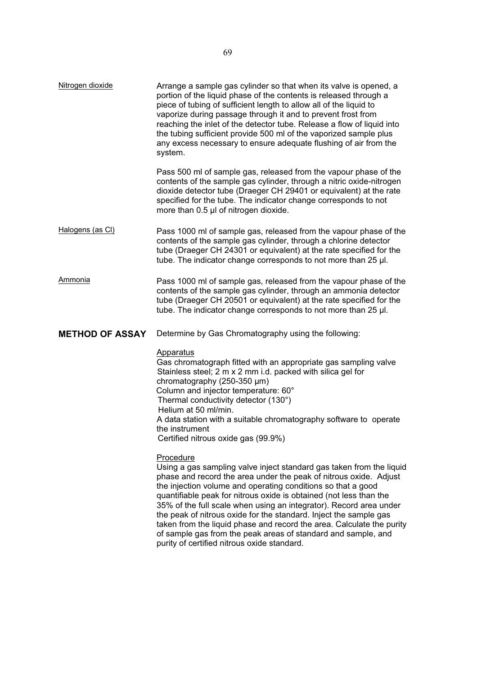| Nitrogen dioxide       | Arrange a sample gas cylinder so that when its valve is opened, a<br>portion of the liquid phase of the contents is released through a<br>piece of tubing of sufficient length to allow all of the liquid to<br>vaporize during passage through it and to prevent frost from<br>reaching the inlet of the detector tube. Release a flow of liquid into<br>the tubing sufficient provide 500 ml of the vaporized sample plus<br>any excess necessary to ensure adequate flushing of air from the<br>system. |
|------------------------|------------------------------------------------------------------------------------------------------------------------------------------------------------------------------------------------------------------------------------------------------------------------------------------------------------------------------------------------------------------------------------------------------------------------------------------------------------------------------------------------------------|
|                        | Pass 500 ml of sample gas, released from the vapour phase of the<br>contents of the sample gas cylinder, through a nitric oxide-nitrogen<br>dioxide detector tube (Draeger CH 29401 or equivalent) at the rate<br>specified for the tube. The indicator change corresponds to not<br>more than 0.5 µl of nitrogen dioxide.                                                                                                                                                                                 |
| Halogens (as CI)       | Pass 1000 ml of sample gas, released from the vapour phase of the<br>contents of the sample gas cylinder, through a chlorine detector<br>tube (Draeger CH 24301 or equivalent) at the rate specified for the<br>tube. The indicator change corresponds to not more than 25 µl.                                                                                                                                                                                                                             |
| Ammonia                | Pass 1000 ml of sample gas, released from the vapour phase of the<br>contents of the sample gas cylinder, through an ammonia detector<br>tube (Draeger CH 20501 or equivalent) at the rate specified for the<br>tube. The indicator change corresponds to not more than 25 µl.                                                                                                                                                                                                                             |
| <b>METHOD OF ASSAY</b> | Determine by Gas Chromatography using the following:                                                                                                                                                                                                                                                                                                                                                                                                                                                       |
|                        |                                                                                                                                                                                                                                                                                                                                                                                                                                                                                                            |
|                        | <b>Apparatus</b><br>Gas chromatograph fitted with an appropriate gas sampling valve<br>Stainless steel; 2 m x 2 mm i.d. packed with silica gel for<br>chromatography $(250-350 \mu m)$<br>Column and injector temperature: 60°<br>Thermal conductivity detector (130°)<br>Helium at 50 ml/min.<br>A data station with a suitable chromatography software to operate<br>the instrument<br>Certified nitrous oxide gas (99.9%)                                                                               |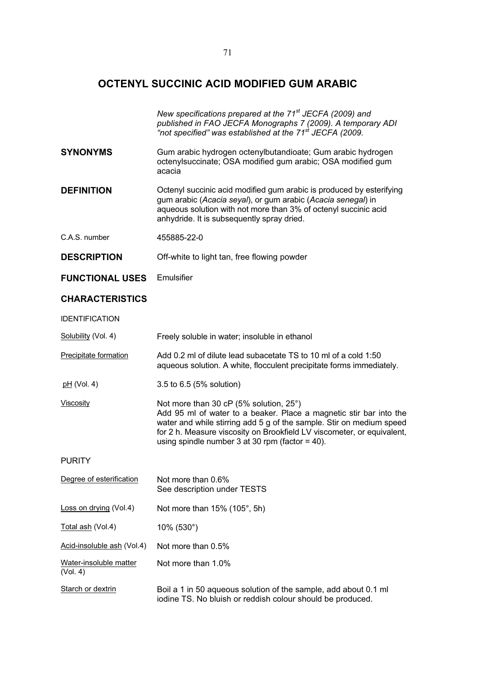# **OCTENYL SUCCINIC ACID MODIFIED GUM ARABIC**

|                                    | New specifications prepared at the 71 <sup>st</sup> JECFA (2009) and<br>published in FAO JECFA Monographs 7 (2009). A temporary ADI<br>"not specified" was established at the 71 <sup>st</sup> JECFA (2009.                                                                                                           |
|------------------------------------|-----------------------------------------------------------------------------------------------------------------------------------------------------------------------------------------------------------------------------------------------------------------------------------------------------------------------|
| <b>SYNONYMS</b>                    | Gum arabic hydrogen octenylbutandioate; Gum arabic hydrogen<br>octenylsuccinate; OSA modified gum arabic; OSA modified gum<br>acacia                                                                                                                                                                                  |
| <b>DEFINITION</b>                  | Octenyl succinic acid modified gum arabic is produced by esterifying<br>gum arabic (Acacia seyal), or gum arabic (Acacia senegal) in<br>aqueous solution with not more than 3% of octenyl succinic acid<br>anhydride. It is subsequently spray dried.                                                                 |
| C.A.S. number                      | 455885-22-0                                                                                                                                                                                                                                                                                                           |
| <b>DESCRIPTION</b>                 | Off-white to light tan, free flowing powder                                                                                                                                                                                                                                                                           |
| <b>FUNCTIONAL USES</b>             | Emulsifier                                                                                                                                                                                                                                                                                                            |
| <b>CHARACTERISTICS</b>             |                                                                                                                                                                                                                                                                                                                       |
| <b>IDENTIFICATION</b>              |                                                                                                                                                                                                                                                                                                                       |
| Solubility (Vol. 4)                | Freely soluble in water; insoluble in ethanol                                                                                                                                                                                                                                                                         |
| <b>Precipitate formation</b>       | Add 0.2 ml of dilute lead subacetate TS to 10 ml of a cold 1:50<br>aqueous solution. A white, flocculent precipitate forms immediately.                                                                                                                                                                               |
| $pH$ (Vol. 4)                      | 3.5 to 6.5 (5% solution)                                                                                                                                                                                                                                                                                              |
| <b>Viscosity</b>                   | Not more than 30 cP (5% solution, 25°)<br>Add 95 ml of water to a beaker. Place a magnetic stir bar into the<br>water and while stirring add 5 g of the sample. Stir on medium speed<br>for 2 h. Measure viscosity on Brookfield LV viscometer, or equivalent,<br>using spindle number $3$ at $30$ rpm (factor = 40). |
| <b>PURITY</b>                      |                                                                                                                                                                                                                                                                                                                       |
| Degree of esterification           | Not more than 0.6%<br>See description under TESTS                                                                                                                                                                                                                                                                     |
| Loss on drying (Vol.4)             | Not more than 15% (105°, 5h)                                                                                                                                                                                                                                                                                          |
| Total ash (Vol.4)                  | 10% (530°)                                                                                                                                                                                                                                                                                                            |
| Acid-insoluble ash (Vol.4)         | Not more than 0.5%                                                                                                                                                                                                                                                                                                    |
| Water-insoluble matter<br>(Vol. 4) | Not more than 1.0%                                                                                                                                                                                                                                                                                                    |
| Starch or dextrin                  | Boil a 1 in 50 aqueous solution of the sample, add about 0.1 ml<br>iodine TS. No bluish or reddish colour should be produced.                                                                                                                                                                                         |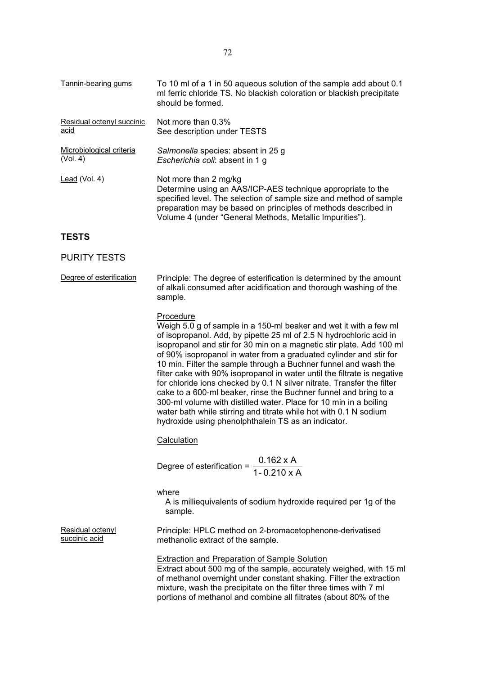| Tannin-bearing gums       | To 10 ml of a 1 in 50 aqueous solution of the sample add about 0.1<br>ml ferric chloride TS. No blackish coloration or blackish precipitate<br>should be formed.                                                                                                                         |
|---------------------------|------------------------------------------------------------------------------------------------------------------------------------------------------------------------------------------------------------------------------------------------------------------------------------------|
| Residual octenyl succinic | Not more than $0.3\%$                                                                                                                                                                                                                                                                    |
| acid                      | See description under TESTS                                                                                                                                                                                                                                                              |
| Microbiological criteria  | Salmonella species: absent in 25 g                                                                                                                                                                                                                                                       |
| (Vol. 4)                  | Escherichia coli: absent in 1 g                                                                                                                                                                                                                                                          |
| Lead $(Vol. 4)$           | Not more than 2 mg/kg<br>Determine using an AAS/ICP-AES technique appropriate to the<br>specified level. The selection of sample size and method of sample<br>preparation may be based on principles of methods described in<br>Volume 4 (under "General Methods, Metallic Impurities"). |

# **TESTS**

# PURITY TESTS

| Degree of esterification | Principle: The degree of esterification is determined by the amount |
|--------------------------|---------------------------------------------------------------------|
|                          | of alkali consumed after acidification and thorough washing of the  |
|                          | sample.                                                             |

# Procedure

Weigh 5.0 g of sample in a 150-ml beaker and wet it with a few ml of isopropanol. Add, by pipette 25 ml of 2.5 N hydrochloric acid in isopropanol and stir for 30 min on a magnetic stir plate. Add 100 ml of 90% isopropanol in water from a graduated cylinder and stir for 10 min. Filter the sample through a Buchner funnel and wash the filter cake with 90% isopropanol in water until the filtrate is negative for chloride ions checked by 0.1 N silver nitrate. Transfer the filter cake to a 600-ml beaker, rinse the Buchner funnel and bring to a 300-ml volume with distilled water. Place for 10 min in a boiling water bath while stirring and titrate while hot with 0.1 N sodium hydroxide using phenolphthalein TS as an indicator.

# **Calculation**

Degree of esterification =  $\frac{0.162 \times A}{1 - 0.210 \times A}$ 

where

A is milliequivalents of sodium hydroxide required per 1g of the sample.

Residual octenyl succinic acid

Principle: HPLC method on 2-bromacetophenone-derivatised methanolic extract of the sample.

Extraction and Preparation of Sample Solution

Extract about 500 mg of the sample, accurately weighed, with 15 ml of methanol overnight under constant shaking. Filter the extraction mixture, wash the precipitate on the filter three times with 7 ml portions of methanol and combine all filtrates (about 80% of the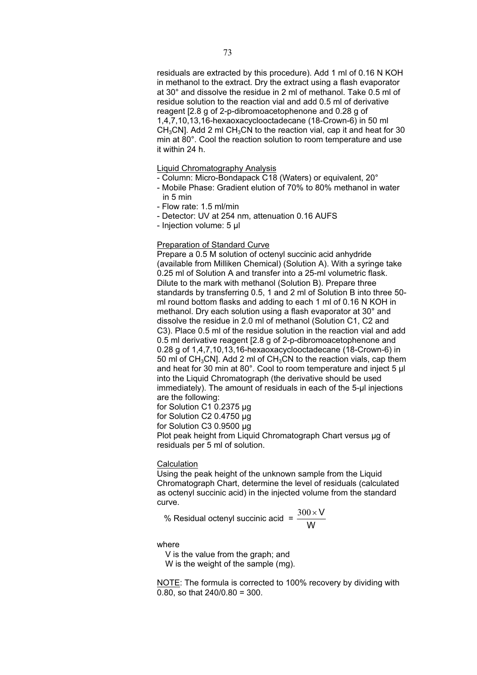residuals are extracted by this procedure). Add 1 ml of 0.16 N KOH in methanol to the extract. Dry the extract using a flash evaporator at 30° and dissolve the residue in 2 ml of methanol. Take 0.5 ml of residue solution to the reaction vial and add 0.5 ml of derivative reagent [2.8 g of 2-p-dibromoacetophenone and 0.28 g of 1,4,7,10,13,16-hexaoxacyclooctadecane (18-Crown-6) in 50 ml  $CH<sub>3</sub>CN$ ]. Add 2 ml CH<sub>3</sub>CN to the reaction vial, cap it and heat for 30 min at 80°. Cool the reaction solution to room temperature and use it within 24 h.

#### Liquid Chromatography Analysis

- Column: Micro-Bondapack C18 (Waters) or equivalent, 20°
- Mobile Phase: Gradient elution of 70% to 80% methanol in water in 5 min
- Flow rate: 1.5 ml/min
- Detector: UV at 254 nm, attenuation 0.16 AUFS
- Injection volume: 5 μl

## Preparation of Standard Curve

Prepare a 0.5 M solution of octenyl succinic acid anhydride (available from Milliken Chemical) (Solution A). With a syringe take 0.25 ml of Solution A and transfer into a 25-ml volumetric flask. Dilute to the mark with methanol (Solution B). Prepare three standards by transferring 0.5, 1 and 2 ml of Solution B into three 50 ml round bottom flasks and adding to each 1 ml of 0.16 N KOH in methanol. Dry each solution using a flash evaporator at 30° and dissolve the residue in 2.0 ml of methanol (Solution C1, C2 and C3). Place 0.5 ml of the residue solution in the reaction vial and add 0.5 ml derivative reagent [2.8 g of 2-p-dibromoacetophenone and 0.28 g of 1,4,7,10,13,16-hexaoxacyclooctadecane (18-Crown-6) in 50 ml of CH<sub>3</sub>CN]. Add 2 ml of CH<sub>3</sub>CN to the reaction vials, cap them and heat for 30 min at 80°. Cool to room temperature and inject 5 μl into the Liquid Chromatograph (the derivative should be used immediately). The amount of residuals in each of the 5-µl injections are the following:

for Solution C1 0.2375 µg

for Solution C2 0.4750 µg

for Solution C3 0.9500 μg

Plot peak height from Liquid Chromatograph Chart versus μg of residuals per 5 ml of solution.

#### **Calculation**

Using the peak height of the unknown sample from the Liquid Chromatograph Chart, determine the level of residuals (calculated as octenyl succinic acid) in the injected volume from the standard curve.

% Residual octenyl succinic acid = 
$$
\frac{300 \times V}{W}
$$

where

V is the value from the graph; and

W is the weight of the sample (mg).

NOTE: The formula is corrected to 100% recovery by dividing with 0.80, so that 240/0.80 = 300.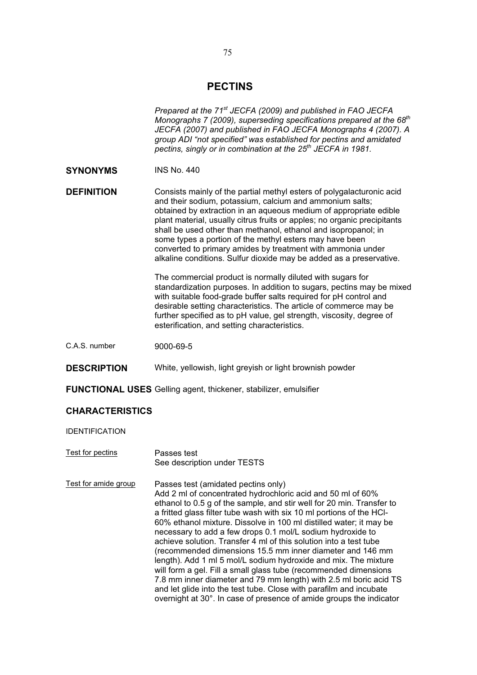# **PECTINS**

|                        | Prepared at the 71 <sup>st</sup> JECFA (2009) and published in FAO JECFA<br>Monographs 7 (2009), superseding specifications prepared at the $68th$<br>JECFA (2007) and published in FAO JECFA Monographs 4 (2007). A<br>group ADI "not specified" was established for pectins and amidated<br>pectins, singly or in combination at the 25 <sup>th</sup> JECFA in 1981.                                                                                                                                                                                                                                                                                                                                                                                                                                                                                                             |  |  |  |  |
|------------------------|------------------------------------------------------------------------------------------------------------------------------------------------------------------------------------------------------------------------------------------------------------------------------------------------------------------------------------------------------------------------------------------------------------------------------------------------------------------------------------------------------------------------------------------------------------------------------------------------------------------------------------------------------------------------------------------------------------------------------------------------------------------------------------------------------------------------------------------------------------------------------------|--|--|--|--|
| <b>SYNONYMS</b>        | <b>INS No. 440</b>                                                                                                                                                                                                                                                                                                                                                                                                                                                                                                                                                                                                                                                                                                                                                                                                                                                                 |  |  |  |  |
| <b>DEFINITION</b>      | Consists mainly of the partial methyl esters of polygalacturonic acid<br>and their sodium, potassium, calcium and ammonium salts;<br>obtained by extraction in an aqueous medium of appropriate edible<br>plant material, usually citrus fruits or apples; no organic precipitants<br>shall be used other than methanol, ethanol and isopropanol; in<br>some types a portion of the methyl esters may have been<br>converted to primary amides by treatment with ammonia under<br>alkaline conditions. Sulfur dioxide may be added as a preservative.                                                                                                                                                                                                                                                                                                                              |  |  |  |  |
|                        | The commercial product is normally diluted with sugars for<br>standardization purposes. In addition to sugars, pectins may be mixed<br>with suitable food-grade buffer salts required for pH control and<br>desirable setting characteristics. The article of commerce may be<br>further specified as to pH value, gel strength, viscosity, degree of<br>esterification, and setting characteristics.                                                                                                                                                                                                                                                                                                                                                                                                                                                                              |  |  |  |  |
| C.A.S. number          | 9000-69-5                                                                                                                                                                                                                                                                                                                                                                                                                                                                                                                                                                                                                                                                                                                                                                                                                                                                          |  |  |  |  |
| <b>DESCRIPTION</b>     | White, yellowish, light greyish or light brownish powder                                                                                                                                                                                                                                                                                                                                                                                                                                                                                                                                                                                                                                                                                                                                                                                                                           |  |  |  |  |
|                        | <b>FUNCTIONAL USES</b> Gelling agent, thickener, stabilizer, emulsifier                                                                                                                                                                                                                                                                                                                                                                                                                                                                                                                                                                                                                                                                                                                                                                                                            |  |  |  |  |
| <b>CHARACTERISTICS</b> |                                                                                                                                                                                                                                                                                                                                                                                                                                                                                                                                                                                                                                                                                                                                                                                                                                                                                    |  |  |  |  |
| <b>IDENTIFICATION</b>  |                                                                                                                                                                                                                                                                                                                                                                                                                                                                                                                                                                                                                                                                                                                                                                                                                                                                                    |  |  |  |  |
| Test for pectins       | Passes test<br>See description under TESTS                                                                                                                                                                                                                                                                                                                                                                                                                                                                                                                                                                                                                                                                                                                                                                                                                                         |  |  |  |  |
| Test for amide group   | Passes test (amidated pectins only)<br>Add 2 ml of concentrated hydrochloric acid and 50 ml of 60%<br>ethanol to 0.5 g of the sample, and stir well for 20 min. Transfer to<br>a fritted glass filter tube wash with six 10 ml portions of the HCI-<br>60% ethanol mixture. Dissolve in 100 ml distilled water; it may be<br>necessary to add a few drops 0.1 mol/L sodium hydroxide to<br>achieve solution. Transfer 4 ml of this solution into a test tube<br>(recommended dimensions 15.5 mm inner diameter and 146 mm<br>length). Add 1 ml 5 mol/L sodium hydroxide and mix. The mixture<br>will form a gel. Fill a small glass tube (recommended dimensions<br>7.8 mm inner diameter and 79 mm length) with 2.5 ml boric acid TS<br>and let glide into the test tube. Close with parafilm and incubate<br>overnight at 30°. In case of presence of amide groups the indicator |  |  |  |  |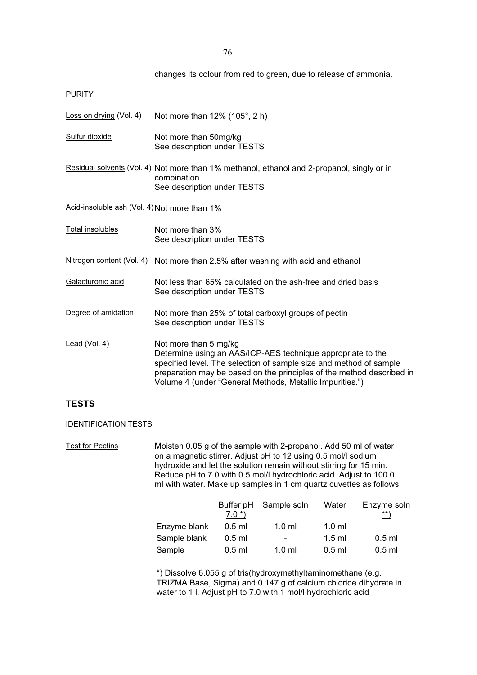changes its colour from red to green, due to release of ammonia.

PURITY

| <u>Loss on drying</u> (Vol. 4)               | Not more than $12\%$ (105°, 2 h)                                                                                                                                                                                                                                                                |  |  |  |
|----------------------------------------------|-------------------------------------------------------------------------------------------------------------------------------------------------------------------------------------------------------------------------------------------------------------------------------------------------|--|--|--|
| Sulfur dioxide                               | Not more than 50mg/kg<br>See description under TESTS                                                                                                                                                                                                                                            |  |  |  |
|                                              | Residual solvents (Vol. 4) Not more than 1% methanol, ethanol and 2-propanol, singly or in<br>combination<br>See description under TESTS                                                                                                                                                        |  |  |  |
| Acid-insoluble ash (Vol. 4) Not more than 1% |                                                                                                                                                                                                                                                                                                 |  |  |  |
| Total insolubles                             | Not more than 3%<br>See description under TESTS                                                                                                                                                                                                                                                 |  |  |  |
|                                              | Nitrogen content (Vol. 4) Not more than 2.5% after washing with acid and ethanol                                                                                                                                                                                                                |  |  |  |
| Galacturonic acid                            | Not less than 65% calculated on the ash-free and dried basis<br>See description under TESTS                                                                                                                                                                                                     |  |  |  |
| Degree of amidation                          | Not more than 25% of total carboxyl groups of pectin<br>See description under TESTS                                                                                                                                                                                                             |  |  |  |
| Lead (Vol. 4)                                | Not more than 5 mg/kg<br>Determine using an AAS/ICP-AES technique appropriate to the<br>specified level. The selection of sample size and method of sample<br>preparation may be based on the principles of the method described in<br>Volume 4 (under "General Methods, Metallic Impurities.") |  |  |  |

# **TESTS**

IDENTIFICATION TESTS

Test for Pectins Moisten 0.05 g of the sample with 2-propanol. Add 50 ml of water on a magnetic stirrer. Adjust pH to 12 using 0.5 mol/l sodium hydroxide and let the solution remain without stirring for 15 min. Reduce pH to 7.0 with 0.5 mol/l hydrochloric acid. Adjust to 100.0 ml with water. Make up samples in 1 cm quartz cuvettes as follows:

|              | Buffer pH | Sample soln      | Water            | Enzyme soln |
|--------------|-----------|------------------|------------------|-------------|
|              | $7.0*$    |                  |                  | $***$ \     |
| Enzyme blank | $0.5$ ml  | $1.0 \text{ ml}$ | $1.0 \text{ ml}$ | $\,$        |
| Sample blank | $0.5$ ml  | $\,$             | $1.5$ ml         | $0.5$ ml    |
| Sample       | $0.5$ ml  | $1.0 \text{ ml}$ | $0.5$ ml         | $0.5$ ml    |

\*) Dissolve 6.055 g of tris(hydroxymethyl)aminomethane (e.g. TRIZMA Base, Sigma) and 0.147 g of calcium chloride dihydrate in water to 1 l. Adjust pH to 7.0 with 1 mol/l hydrochloric acid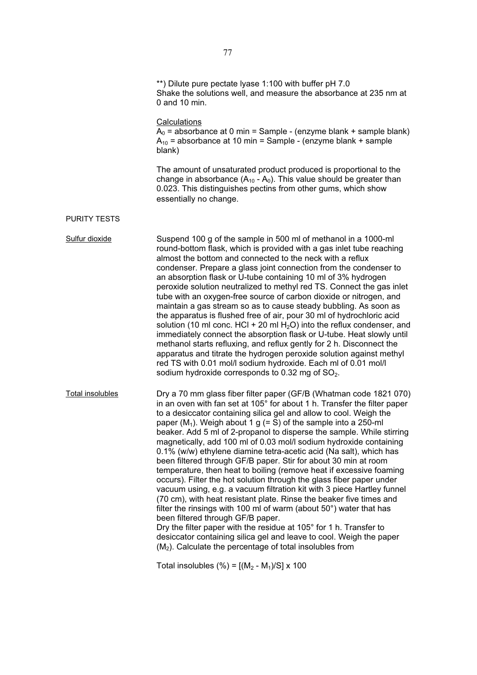|                     | **) Dilute pure pectate lyase 1:100 with buffer pH 7.0<br>Shake the solutions well, and measure the absorbance at 235 nm at<br>0 and 10 min.                                                                                                                                                                                                                                                                                                                                                                                                                                                                                                                                                                                                                                                                                                                                                                                                                                                                                                                                                                                                                                                                                                                               |
|---------------------|----------------------------------------------------------------------------------------------------------------------------------------------------------------------------------------------------------------------------------------------------------------------------------------------------------------------------------------------------------------------------------------------------------------------------------------------------------------------------------------------------------------------------------------------------------------------------------------------------------------------------------------------------------------------------------------------------------------------------------------------------------------------------------------------------------------------------------------------------------------------------------------------------------------------------------------------------------------------------------------------------------------------------------------------------------------------------------------------------------------------------------------------------------------------------------------------------------------------------------------------------------------------------|
|                     | <b>Calculations</b><br>$A_0$ = absorbance at 0 min = Sample - (enzyme blank + sample blank)<br>$A_{10}$ = absorbance at 10 min = Sample - (enzyme blank + sample<br>blank)                                                                                                                                                                                                                                                                                                                                                                                                                                                                                                                                                                                                                                                                                                                                                                                                                                                                                                                                                                                                                                                                                                 |
|                     | The amount of unsaturated product produced is proportional to the<br>change in absorbance $(A_{10} - A_0)$ . This value should be greater than<br>0.023. This distinguishes pectins from other gums, which show<br>essentially no change.                                                                                                                                                                                                                                                                                                                                                                                                                                                                                                                                                                                                                                                                                                                                                                                                                                                                                                                                                                                                                                  |
| <b>PURITY TESTS</b> |                                                                                                                                                                                                                                                                                                                                                                                                                                                                                                                                                                                                                                                                                                                                                                                                                                                                                                                                                                                                                                                                                                                                                                                                                                                                            |
| Sulfur dioxide      | Suspend 100 g of the sample in 500 ml of methanol in a 1000-ml<br>round-bottom flask, which is provided with a gas inlet tube reaching<br>almost the bottom and connected to the neck with a reflux<br>condenser. Prepare a glass joint connection from the condenser to<br>an absorption flask or U-tube containing 10 ml of 3% hydrogen<br>peroxide solution neutralized to methyl red TS. Connect the gas inlet<br>tube with an oxygen-free source of carbon dioxide or nitrogen, and<br>maintain a gas stream so as to cause steady bubbling. As soon as<br>the apparatus is flushed free of air, pour 30 ml of hydrochloric acid<br>solution (10 ml conc. HCl + 20 ml $H_2O$ ) into the reflux condenser, and<br>immediately connect the absorption flask or U-tube. Heat slowly until<br>methanol starts refluxing, and reflux gently for 2 h. Disconnect the<br>apparatus and titrate the hydrogen peroxide solution against methyl<br>red TS with 0.01 mol/l sodium hydroxide. Each ml of 0.01 mol/l<br>sodium hydroxide corresponds to 0.32 mg of $SO2$ .                                                                                                                                                                                                         |
| Total insolubles    | Dry a 70 mm glass fiber filter paper (GF/B (Whatman code 1821 070)<br>in an oven with fan set at 105° for about 1 h. Transfer the filter paper<br>to a desiccator containing silica gel and allow to cool. Weigh the<br>paper ( $M_1$ ). Weigh about 1 g (= S) of the sample into a 250-ml<br>beaker. Add 5 ml of 2-propanol to disperse the sample. While stirring<br>magnetically, add 100 ml of 0.03 mol/l sodium hydroxide containing<br>0.1% (w/w) ethylene diamine tetra-acetic acid (Na salt), which has<br>been filtered through GF/B paper. Stir for about 30 min at room<br>temperature, then heat to boiling (remove heat if excessive foaming<br>occurs). Filter the hot solution through the glass fiber paper under<br>vacuum using, e.g. a vacuum filtration kit with 3 piece Hartley funnel<br>(70 cm), with heat resistant plate. Rinse the beaker five times and<br>filter the rinsings with 100 ml of warm (about $50^{\circ}$ ) water that has<br>been filtered through GF/B paper.<br>Dry the filter paper with the residue at 105° for 1 h. Transfer to<br>desiccator containing silica gel and leave to cool. Weigh the paper<br>$(M2)$ . Calculate the percentage of total insolubles from<br>Total insolubles $(\%) = [(M_2 - M_1)/S] \times 100$ |
|                     |                                                                                                                                                                                                                                                                                                                                                                                                                                                                                                                                                                                                                                                                                                                                                                                                                                                                                                                                                                                                                                                                                                                                                                                                                                                                            |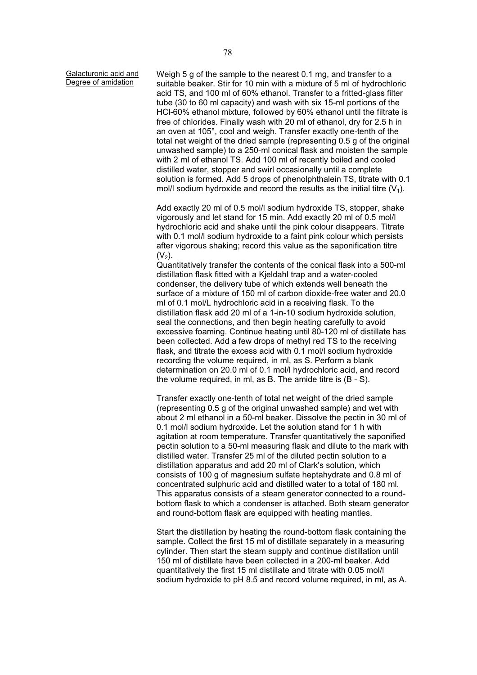Galacturonic acid and Degree of amidation

Weigh 5 g of the sample to the nearest 0.1 mg, and transfer to a suitable beaker. Stir for 10 min with a mixture of 5 ml of hydrochloric acid TS, and 100 ml of 60% ethanol. Transfer to a fritted-glass filter tube (30 to 60 ml capacity) and wash with six 15-ml portions of the HCl-60% ethanol mixture, followed by 60% ethanol until the filtrate is free of chlorides. Finally wash with 20 ml of ethanol, dry for 2.5 h in an oven at 105°, cool and weigh. Transfer exactly one-tenth of the total net weight of the dried sample (representing 0.5 g of the original unwashed sample) to a 250-ml conical flask and moisten the sample with 2 ml of ethanol TS. Add 100 ml of recently boiled and cooled distilled water, stopper and swirl occasionally until a complete solution is formed. Add 5 drops of phenolphthalein TS, titrate with 0.1 mol/l sodium hydroxide and record the results as the initial titre  $(V_1)$ .

Add exactly 20 ml of 0.5 mol/l sodium hydroxide TS, stopper, shake vigorously and let stand for 15 min. Add exactly 20 ml of 0.5 mol/l hydrochloric acid and shake until the pink colour disappears. Titrate with 0.1 mol/l sodium hydroxide to a faint pink colour which persists after vigorous shaking; record this value as the saponification titre  $(V_2)$ .

Quantitatively transfer the contents of the conical flask into a 500-ml distillation flask fitted with a Kjeldahl trap and a water-cooled condenser, the delivery tube of which extends well beneath the surface of a mixture of 150 ml of carbon dioxide-free water and 20.0 ml of 0.1 mol/L hydrochloric acid in a receiving flask. To the distillation flask add 20 ml of a 1-in-10 sodium hydroxide solution, seal the connections, and then begin heating carefully to avoid excessive foaming. Continue heating until 80-120 ml of distillate has been collected. Add a few drops of methyl red TS to the receiving flask, and titrate the excess acid with 0.1 mol/l sodium hydroxide recording the volume required, in ml, as S. Perform a blank determination on 20.0 ml of 0.1 mol/l hydrochloric acid, and record the volume required, in ml, as B. The amide titre is (B - S).

Transfer exactly one-tenth of total net weight of the dried sample (representing 0.5 g of the original unwashed sample) and wet with about 2 ml ethanol in a 50-ml beaker. Dissolve the pectin in 30 ml of 0.1 mol/l sodium hydroxide. Let the solution stand for 1 h with agitation at room temperature. Transfer quantitatively the saponified pectin solution to a 50-ml measuring flask and dilute to the mark with distilled water. Transfer 25 ml of the diluted pectin solution to a distillation apparatus and add 20 ml of Clark's solution, which consists of 100 g of magnesium sulfate heptahydrate and 0.8 ml of concentrated sulphuric acid and distilled water to a total of 180 ml. This apparatus consists of a steam generator connected to a roundbottom flask to which a condenser is attached. Both steam generator and round-bottom flask are equipped with heating mantles.

Start the distillation by heating the round-bottom flask containing the sample. Collect the first 15 ml of distillate separately in a measuring cylinder. Then start the steam supply and continue distillation until 150 ml of distillate have been collected in a 200-ml beaker. Add quantitatively the first 15 ml distillate and titrate with 0.05 mol/l sodium hydroxide to pH 8.5 and record volume required, in ml, as A.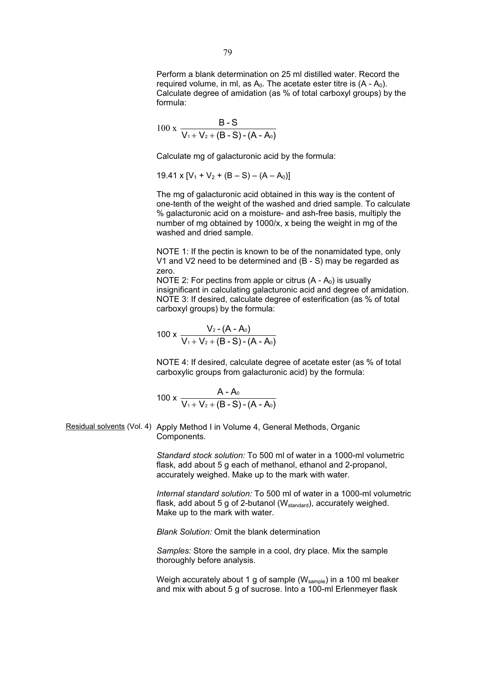Perform a blank determination on 25 ml distilled water. Record the required volume, in ml, as  $A_0$ . The acetate ester titre is  $(A - A_0)$ . Calculate degree of amidation (as % of total carboxyl groups) by the formula:

$$
100 \times \frac{B-S}{V_1 + V_2 + (B-S) - (A-A_0)}
$$

Calculate mg of galacturonic acid by the formula:

 $19.41 \times [V_1 + V_2 + (B - S) - (A - A_0)]$ 

The mg of galacturonic acid obtained in this way is the content of one-tenth of the weight of the washed and dried sample. To calculate % galacturonic acid on a moisture- and ash-free basis, multiply the number of mg obtained by 1000/x, x being the weight in mg of the washed and dried sample.

NOTE 1: If the pectin is known to be of the nonamidated type, only V1 and V2 need to be determined and (B - S) may be regarded as zero.

NOTE 2: For pectins from apple or citrus  $(A - A_0)$  is usually insignificant in calculating galacturonic acid and degree of amidation. NOTE 3: If desired, calculate degree of esterification (as % of total carboxyl groups) by the formula:

$$
100 \times \frac{V_2 - (A - A_0)}{V_1 + V_2 + (B - S) - (A - A_0)}
$$

NOTE 4: If desired, calculate degree of acetate ester (as % of total carboxylic groups from galacturonic acid) by the formula:

$$
100 \times \frac{A - A_0}{V_1 + V_2 + (B - S) - (A - A_0)}
$$

Residual solvents (Vol. 4) Apply Method I in Volume 4, General Methods, Organic Components.

> *Standard stock solution:* To 500 ml of water in a 1000-ml volumetric flask, add about 5 g each of methanol, ethanol and 2-propanol, accurately weighed. Make up to the mark with water.

*Internal standard solution:* To 500 ml of water in a 1000-ml volumetric flask, add about 5 g of 2-butanol (W<sub>standard</sub>), accurately weighed. Make up to the mark with water.

*Blank Solution:* Omit the blank determination

*Samples:* Store the sample in a cool, dry place. Mix the sample thoroughly before analysis.

Weigh accurately about 1 g of sample ( $W_{\text{sample}}$ ) in a 100 ml beaker and mix with about 5 g of sucrose. Into a 100-ml Erlenmeyer flask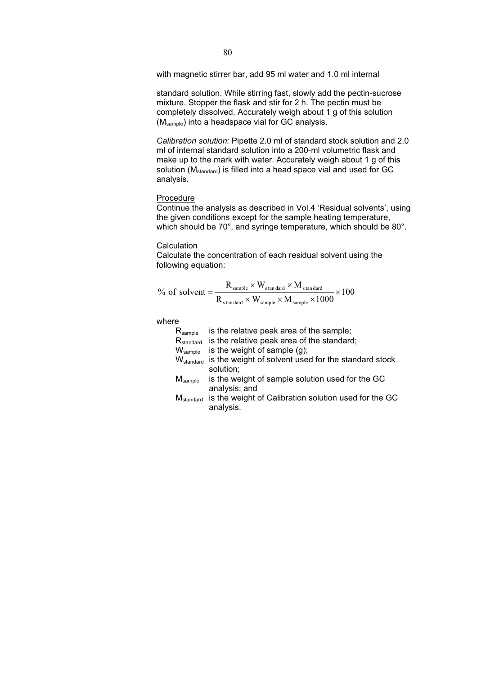with magnetic stirrer bar, add 95 ml water and 1.0 ml internal

standard solution. While stirring fast, slowly add the pectin-sucrose mixture. Stopper the flask and stir for 2 h. The pectin must be completely dissolved. Accurately weigh about 1 g of this solution  $(M_{sample})$  into a headspace vial for GC analysis.

*Calibration solution:* Pipette 2.0 ml of standard stock solution and 2.0 ml of internal standard solution into a 200-ml volumetric flask and make up to the mark with water. Accurately weigh about 1 g of this solution (M<sub>standard</sub>) is filled into a head space vial and used for GC analysis.

# Procedure

Continue the analysis as described in Vol.4 'Residual solvents', using the given conditions except for the sample heating temperature, which should be 70°, and syringe temperature, which should be 80°.

### **Calculation**

Calculate the concentration of each residual solvent using the following equation:

$$
\% \text{ of solvent} = \frac{R_{\text{sample}} \times W_{\text{standard}} \times M_{\text{standard}}}{R_{\text{standard}} \times W_{\text{sample}} \times M_{\text{sample}} \times 1000} \times 100
$$

where

| $R_{\text{sample}}$              | is the relative peak area of the sample;              |
|----------------------------------|-------------------------------------------------------|
| $R_{\text{standard}}$            | is the relative peak area of the standard;            |
| $W_{\text{sample}}$              | is the weight of sample $(g)$ ;                       |
| $\mathsf{W}_{\mathsf{standard}}$ | is the weight of solvent used for the standard stock  |
|                                  | solution;                                             |
| $M_{\text{sample}}$              | is the weight of sample solution used for the GC      |
|                                  | analysis; and                                         |
| $\mathsf{M}_{\mathsf{standard}}$ | is the weight of Calibration solution used for the GC |
|                                  | analysis.                                             |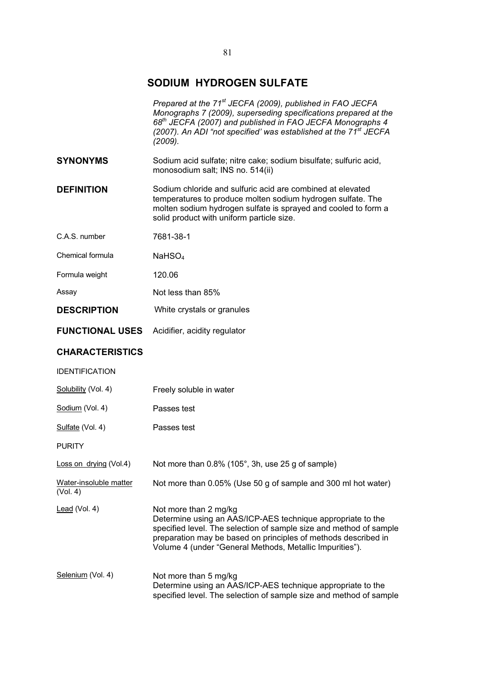# **SODIUM HYDROGEN SULFATE**

|                                    | Prepared at the 71 <sup>st</sup> JECFA (2009), published in FAO JECFA<br>Monographs 7 (2009), superseding specifications prepared at the<br>68 <sup>th</sup> JECFA (2007) and published in FAO JECFA Monographs 4<br>(2007). An ADI "not specified' was established at the 71 <sup>st</sup> JECFA<br>(2009). |
|------------------------------------|--------------------------------------------------------------------------------------------------------------------------------------------------------------------------------------------------------------------------------------------------------------------------------------------------------------|
| <b>SYNONYMS</b>                    | Sodium acid sulfate; nitre cake; sodium bisulfate; sulfuric acid,<br>monosodium salt; INS no. 514(ii)                                                                                                                                                                                                        |
| <b>DEFINITION</b>                  | Sodium chloride and sulfuric acid are combined at elevated<br>temperatures to produce molten sodium hydrogen sulfate. The<br>molten sodium hydrogen sulfate is sprayed and cooled to form a<br>solid product with uniform particle size.                                                                     |
| C.A.S. number                      | 7681-38-1                                                                                                                                                                                                                                                                                                    |
| Chemical formula                   | NAHSO <sub>4</sub>                                                                                                                                                                                                                                                                                           |
| Formula weight                     | 120.06                                                                                                                                                                                                                                                                                                       |
| Assay                              | Not less than 85%                                                                                                                                                                                                                                                                                            |
| <b>DESCRIPTION</b>                 | White crystals or granules                                                                                                                                                                                                                                                                                   |
| <b>FUNCTIONAL USES</b>             | Acidifier, acidity regulator                                                                                                                                                                                                                                                                                 |
| <b>CHARACTERISTICS</b>             |                                                                                                                                                                                                                                                                                                              |
| <b>IDENTIFICATION</b>              |                                                                                                                                                                                                                                                                                                              |
| Solubility (Vol. 4)                | Freely soluble in water                                                                                                                                                                                                                                                                                      |
| Sodium (Vol. 4)                    | Passes test                                                                                                                                                                                                                                                                                                  |
| Sulfate (Vol. 4)                   | Passes test                                                                                                                                                                                                                                                                                                  |
| <b>PURITY</b>                      |                                                                                                                                                                                                                                                                                                              |
| Loss on drying (Vol.4)             | Not more than 0.8% (105°, 3h, use 25 g of sample)                                                                                                                                                                                                                                                            |
| Water-insoluble matter<br>(Vol. 4) | Not more than 0.05% (Use 50 g of sample and 300 ml hot water)                                                                                                                                                                                                                                                |
| Lead (Vol. 4)                      | Not more than 2 mg/kg<br>Determine using an AAS/ICP-AES technique appropriate to the<br>specified level. The selection of sample size and method of sample<br>preparation may be based on principles of methods described in<br>Volume 4 (under "General Methods, Metallic Impurities").                     |
| Selenium (Vol. 4)                  | Not more than 5 mg/kg<br>Determine using an AAS/ICP-AES technique appropriate to the<br>specified level. The selection of sample size and method of sample                                                                                                                                                   |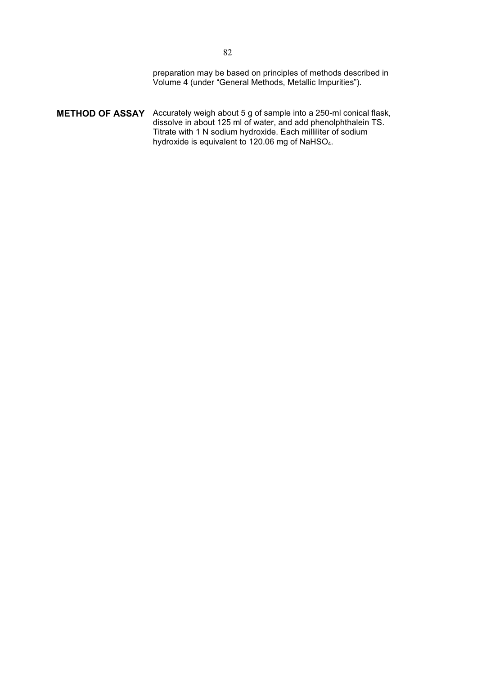preparation may be based on principles of methods described in Volume 4 (under "General Methods, Metallic Impurities").

**METHOD OF ASSAY** Accurately weigh about 5 g of sample into a 250-ml conical flask, dissolve in about 125 ml of water, and add phenolphthalein TS. Titrate with 1 N sodium hydroxide. Each milliliter of sodium hydroxide is equivalent to 120.06 mg of NaHSO<sub>4</sub>.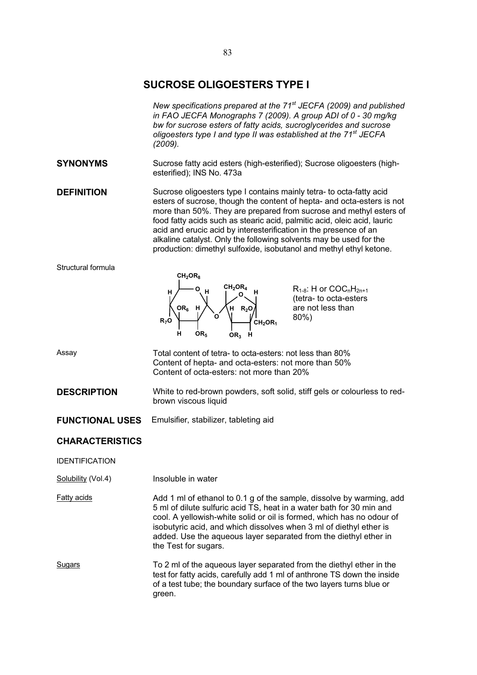# **SUCROSE OLIGOESTERS TYPE I**

*New specifications prepared at the 71<sup>st</sup> JECFA (2009) and published in FAO JECFA Monographs 7 (2009). A group ADI of 0 - 30 mg/kg bw for sucrose esters of fatty acids, sucroglycerides and sucrose oligoesters type I and type II was established at the 71st JECFA (2009).* 

**SYNONYMS** Sucrose fatty acid esters (high-esterified); Sucrose oligoesters (highesterified); INS No. 473a

**DEFINITION** Sucrose oligoesters type I contains mainly tetra- to octa-fatty acid esters of sucrose, though the content of hepta- and octa-esters is not more than 50%. They are prepared from sucrose and methyl esters of food fatty acids such as stearic acid, palmitic acid, oleic acid, lauric acid and erucic acid by interesterification in the presence of an alkaline catalyst. Only the following solvents may be used for the production: dimethyl sulfoxide, isobutanol and methyl ethyl ketone.

#### Structural formula



 $R_{1-8}$ : H or  $COC<sub>n</sub>H<sub>2n+1</sub>$ (tetra- to octa-esters are not less than 80%)

Assay Total content of tetra- to octa-esters: not less than 80% Content of hepta- and octa-esters: not more than 50% Content of octa-esters: not more than 20%

**DESCRIPTION** White to red-brown powders, soft solid, stiff gels or colourless to redbrown viscous liquid

**FUNCTIONAL USES** Emulsifier, stabilizer, tableting aid

# **CHARACTERISTICS**

IDENTIFICATION

Solubility (Vol.4) Insoluble in water

Fatty acids **Add 1 ml of ethanol to 0.1 g of the sample, dissolve by warming, add** 5 ml of dilute sulfuric acid TS, heat in a water bath for 30 min and cool. A yellowish-white solid or oil is formed, which has no odour of isobutyric acid, and which dissolves when 3 ml of diethyl ether is added. Use the aqueous layer separated from the diethyl ether in the Test for sugars.

Sugars To 2 ml of the aqueous layer separated from the diethyl ether in the test for fatty acids, carefully add 1 ml of anthrone TS down the inside of a test tube; the boundary surface of the two layers turns blue or green.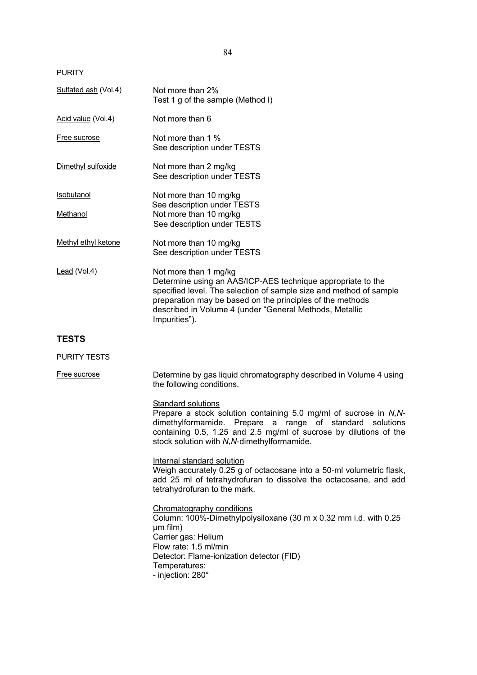PURITY

| Sulfated ash (Vol.4)          | Not more than 2%<br>Test 1 g of the sample (Method I)                                                                                                                                                                                                                                               |
|-------------------------------|-----------------------------------------------------------------------------------------------------------------------------------------------------------------------------------------------------------------------------------------------------------------------------------------------------|
| Acid value (Vol.4)            | Not more than 6                                                                                                                                                                                                                                                                                     |
| Free sucrose                  | Not more than 1 %<br>See description under TESTS                                                                                                                                                                                                                                                    |
| Dimethyl sulfoxide            | Not more than 2 mg/kg<br>See description under TESTS                                                                                                                                                                                                                                                |
| <b>Isobutanol</b><br>Methanol | Not more than 10 mg/kg<br>See description under TESTS<br>Not more than 10 mg/kg<br>See description under TESTS                                                                                                                                                                                      |
| Methyl ethyl ketone           | Not more than 10 mg/kg<br>See description under TESTS                                                                                                                                                                                                                                               |
| $lead (Vol.4)$                | Not more than 1 mg/kg<br>Determine using an AAS/ICP-AES technique appropriate to the<br>specified level. The selection of sample size and method of sample<br>preparation may be based on the principles of the methods<br>described in Volume 4 (under "General Methods, Metallic<br>Impurities"). |
| <b>TESTS</b>                  |                                                                                                                                                                                                                                                                                                     |
| <b>PURITY TESTS</b>           |                                                                                                                                                                                                                                                                                                     |
| Free sucrose                  | Determine by gas liquid chromatography described in Volume 4 using<br>the following conditions.                                                                                                                                                                                                     |
|                               | Standard solutions<br>Prepare a stock solution containing 5.0 mg/ml of sucrose in N,N-<br>dimethylformamide. Prepare a range of standard solutions<br>containing 0.5, 1.25 and 2.5 mg/ml of sucrose by dilutions of the<br>stock solution with N, N-dimethylformamide.                              |
|                               | Internal standard solution<br>Weigh accurately 0.25 g of octacosane into a 50-ml volumetric flask,<br>add 25 ml of tetrahydrofuran to dissolve the octacosane, and add<br>tetrahydrofuran to the mark.                                                                                              |
|                               | Chromatography conditions<br>Column: 100%-Dimethylpolysiloxane (30 m x 0.32 mm i.d. with 0.25<br>µm film)<br>Carrier gas: Helium<br>Flow rate: 1.5 ml/min<br>Detector: Flame-ionization detector (FID)<br>Temperatures:                                                                             |

- injection: 280°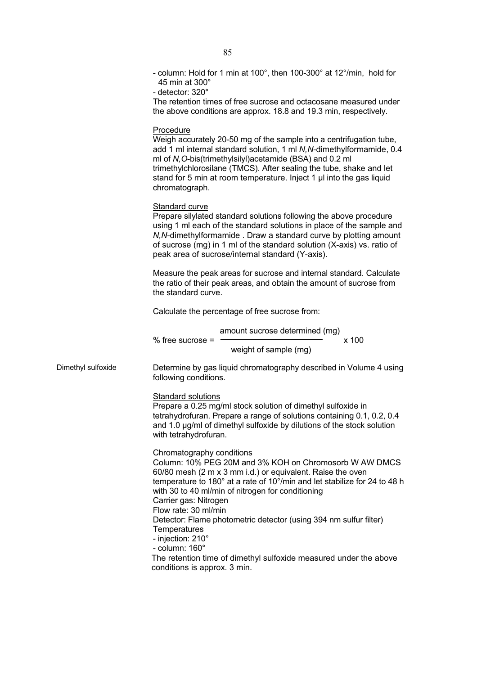|                    | - column: Hold for 1 min at 100°, then 100-300° at 12°/min, hold for<br>45 min at 300°<br>- detector: 320°<br>The retention times of free sucrose and octacosane measured under<br>the above conditions are approx. 18.8 and 19.3 min, respectively.                                                                                                                                   |
|--------------------|----------------------------------------------------------------------------------------------------------------------------------------------------------------------------------------------------------------------------------------------------------------------------------------------------------------------------------------------------------------------------------------|
|                    | Procedure<br>Weigh accurately 20-50 mg of the sample into a centrifugation tube,<br>add 1 ml internal standard solution, 1 ml N, N-dimethylformamide, 0.4<br>ml of N, O-bis(trimethylsilyl) acetamide (BSA) and 0.2 ml<br>trimethylchlorosilane (TMCS). After sealing the tube, shake and let<br>stand for 5 min at room temperature. Inject 1 µ into the gas liquid<br>chromatograph. |
|                    | Standard curve<br>Prepare silylated standard solutions following the above procedure<br>using 1 ml each of the standard solutions in place of the sample and<br>N, N-dimethylformamide. Draw a standard curve by plotting amount<br>of sucrose (mg) in 1 ml of the standard solution (X-axis) vs. ratio of<br>peak area of sucrose/internal standard (Y-axis).                         |
|                    | Measure the peak areas for sucrose and internal standard. Calculate<br>the ratio of their peak areas, and obtain the amount of sucrose from<br>the standard curve.                                                                                                                                                                                                                     |
|                    | Calculate the percentage of free sucrose from:                                                                                                                                                                                                                                                                                                                                         |
|                    | amount sucrose determined (mg)<br>x 100<br>$%$ free sucrose =<br>weight of sample (mg)                                                                                                                                                                                                                                                                                                 |
| Dimethyl sulfoxide | Determine by gas liquid chromatography described in Volume 4 using<br>following conditions.                                                                                                                                                                                                                                                                                            |
|                    | <b>Standard solutions</b><br>Prepare a 0.25 mg/ml stock solution of dimethyl sulfoxide in<br>tetrahydrofuran. Prepare a range of solutions containing 0.1, 0.2, 0.4<br>and 1.0 µg/ml of dimethyl sulfoxide by dilutions of the stock solution<br>with tetrahydrofuran.                                                                                                                 |
|                    | Chromatography conditions<br>Column: 10% PEG 20M and 3% KOH on Chromosorb W AW DMCS<br>60/80 mesh (2 m x 3 mm i.d.) or equivalent. Raise the oven<br>temperature to 180° at a rate of 10°/min and let stabilize for 24 to 48 h<br>with 30 to 40 ml/min of nitrogen for conditioning<br>Carrier gas: Nitrogen<br>Flow rate: 30 ml/min                                                   |
|                    | Detector: Flame photometric detector (using 394 nm sulfur filter)<br>Temperatures<br>- injection: 210°<br>- column: 160°<br>The retention time of dimethyl sulfoxide measured under the above<br>conditions is approx. 3 min.                                                                                                                                                          |
|                    |                                                                                                                                                                                                                                                                                                                                                                                        |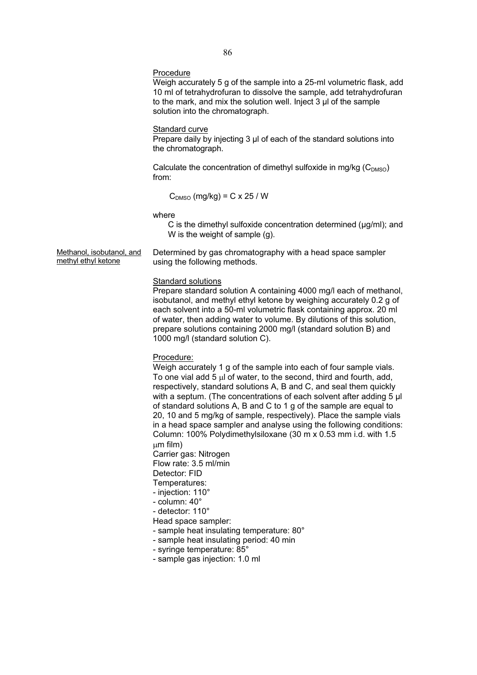#### Procedure

Weigh accurately 5 g of the sample into a 25-ml volumetric flask, add 10 ml of tetrahydrofuran to dissolve the sample, add tetrahydrofuran to the mark, and mix the solution well. Inject 3 μl of the sample solution into the chromatograph.

#### Standard curve

Prepare daily by injecting 3 μl of each of the standard solutions into the chromatograph.

Calculate the concentration of dimethyl sulfoxide in mg/kg  $(C_{DMSO})$ from:

 $C_{DMSO}$  (mg/kg) = C x 25 / W

where

C is the dimethyl sulfoxide concentration determined (μg/ml); and W is the weight of sample (g).

Methanol, isobutanol, and methyl ethyl ketone

Determined by gas chromatography with a head space sampler using the following methods.

#### Standard solutions

Prepare standard solution A containing 4000 mg/l each of methanol, isobutanol, and methyl ethyl ketone by weighing accurately 0.2 g of each solvent into a 50-ml volumetric flask containing approx. 20 ml of water, then adding water to volume. By dilutions of this solution, prepare solutions containing 2000 mg/l (standard solution B) and 1000 mg/l (standard solution C).

Procedure:

Weigh accurately 1 g of the sample into each of four sample vials. To one vial add  $5 \mu l$  of water, to the second, third and fourth, add, respectively, standard solutions A, B and C, and seal them quickly with a septum. (The concentrations of each solvent after adding 5 μl of standard solutions A, B and C to 1 g of the sample are equal to 20, 10 and 5 mg/kg of sample, respectively). Place the sample vials in a head space sampler and analyse using the following conditions: Column: 100% Polydimethylsiloxane (30 m x 0.53 mm i.d. with 1.5  $µm$  film)

Carrier gas: Nitrogen

Flow rate: 3.5 ml/min

Detector: FID

Temperatures:

- injection: 110° - column: 40°
- 
- detector: 110°
- Head space sampler:
- sample heat insulating temperature: 80°
- sample heat insulating period: 40 min
- syringe temperature: 85°
- sample gas injection: 1.0 ml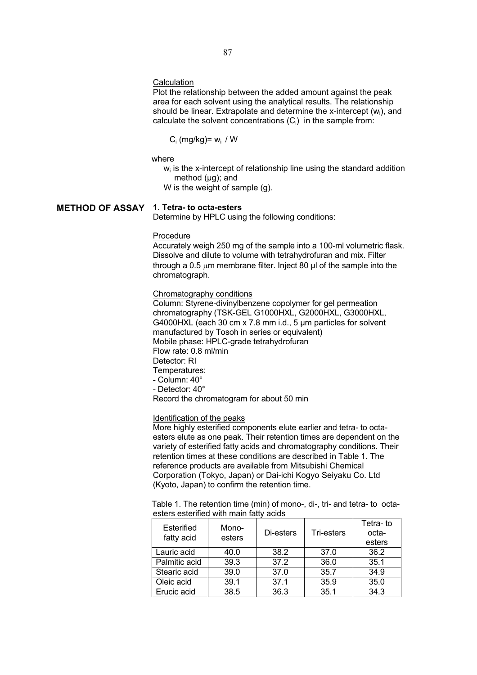# **Calculation**

Plot the relationship between the added amount against the peak area for each solvent using the analytical results. The relationship should be linear. Extrapolate and determine the x-intercept (wi), and calculate the solvent concentrations  $(C_i)$  in the sample from:

 $C_i$  (mg/kg)=  $w_i$  / W

where

 $w<sub>i</sub>$  is the x-intercept of relationship line using the standard addition method (μg); and

W is the weight of sample (g).

# **METHOD OF ASSAY 1. Tetra- to octa-esters**

Determine by HPLC using the following conditions:

Procedure

Accurately weigh 250 mg of the sample into a 100-ml volumetric flask. Dissolve and dilute to volume with tetrahydrofuran and mix. Filter through a 0.5  $\mu$ m membrane filter. Inject 80  $\mu$ l of the sample into the chromatograph.

### Chromatography conditions

Column: Styrene-divinylbenzene copolymer for gel permeation chromatography (TSK-GEL G1000HXL, G2000HXL, G3000HXL, G4000HXL (each 30 cm x 7.8 mm i.d., 5 μm particles for solvent manufactured by Tosoh in series or equivalent) Mobile phase: HPLC-grade tetrahydrofuran Flow rate: 0.8 ml/min Detector: RI Temperatures: - Column: 40° - Detector: 40°

Record the chromatogram for about 50 min

# Identification of the peaks

More highly esterified components elute earlier and tetra- to octaesters elute as one peak. Their retention times are dependent on the variety of esterified fatty acids and chromatography conditions. Their retention times at these conditions are described in Table 1. The reference products are available from Mitsubishi Chemical Corporation (Tokyo, Japan) or Dai-ichi Kogyo Seiyaku Co. Ltd (Kyoto, Japan) to confirm the retention time.

Table 1. The retention time (min) of mono-, di-, tri- and tetra- to octaesters esterified with main fatty acids

| Esterified<br>fatty acid | Mono-<br>esters | Di-esters | Tri-esters | Tetra-to<br>octa-<br>esters |
|--------------------------|-----------------|-----------|------------|-----------------------------|
| Lauric acid              | 40.0            | 38.2      | 37.0       | 36.2                        |
| Palmitic acid            | 39.3            | 37.2      | 36.0       | 35.1                        |
| Stearic acid             | 39.0            | 37.0      | 35.7       | 34.9                        |
| Oleic acid               | 39.1            | 37.1      | 35.9       | 35.0                        |
| Erucic acid              | 38.5            | 36.3      | 35.1       | 34.3                        |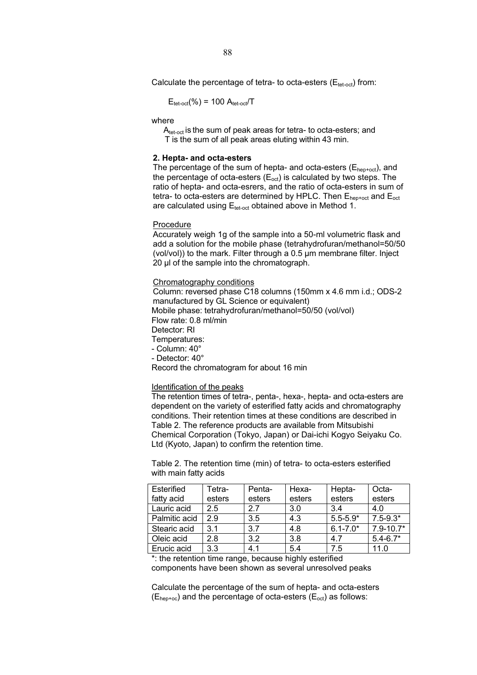Calculate the percentage of tetra- to octa-esters ( $E_{\text{tet-oct}}$ ) from:

$$
E_{\text{tet-oct}}(\%) = 100 A_{\text{tet-oct}}/T
$$

where

A<sub>tet-oct</sub> is the sum of peak areas for tetra- to octa-esters; and T is the sum of all peak areas eluting within 43 min.

#### **2. Hepta- and octa-esters**

The percentage of the sum of hepta- and octa-esters ( $E_{hep+oct}$ ), and the percentage of octa-esters  $(E_{\text{oct}})$  is calculated by two steps. The ratio of hepta- and octa-esrers, and the ratio of octa-esters in sum of tetra- to octa-esters are determined by HPLC. Then  $E_{hept-oct}$  and  $E_{oct}$ are calculated using  $E_{\text{tet-oct}}$  obtained above in Method 1.

#### Procedure

Accurately weigh 1g of the sample into a 50-ml volumetric flask and add a solution for the mobile phase (tetrahydrofuran/methanol=50/50 (vol/vol)) to the mark. Filter through a 0.5 μm membrane filter. Inject 20 μl of the sample into the chromatograph.

# Chromatography conditions

Column: reversed phase C18 columns (150mm x 4.6 mm i.d.; ODS-2 manufactured by GL Science or equivalent) Mobile phase: tetrahydrofuran/methanol=50/50 (vol/vol) Flow rate: 0.8 ml/min Detector: RI Temperatures: - Column: 40° - Detector: 40°

Record the chromatogram for about 16 min

### Identification of the peaks

The retention times of tetra-, penta-, hexa-, hepta- and octa-esters are dependent on the variety of esterified fatty acids and chromatography conditions. Their retention times at these conditions are described in Table 2. The reference products are available from Mitsubishi Chemical Corporation (Tokyo, Japan) or Dai-ichi Kogyo Seiyaku Co. Ltd (Kyoto, Japan) to confirm the retention time.

Table 2. The retention time (min) of tetra- to octa-esters esterified with main fatty acids

| Esterified    | Tetra- | Penta- | Hexa-  | Hepta-       | Octa-         |
|---------------|--------|--------|--------|--------------|---------------|
| fatty acid    | esters | esters | esters | esters       | esters        |
| Lauric acid   | 2.5    | 2.7    | 3.0    | 3.4          | 4.0           |
| Palmitic acid | 2.9    | 3.5    | 4.3    | $5.5 - 5.9*$ | $7.5 - 9.3*$  |
| Stearic acid  | 3.1    | 3.7    | 4.8    | $6.1 - 7.0*$ | $7.9 - 10.7*$ |
| Oleic acid    | 2.8    | 3.2    | 3.8    | 4.7          | $5.4 - 6.7*$  |
| Erucic acid   | 3.3    | 4.1    | 5.4    | 7.5          | 11.0          |

\*: the retention time range, because highly esterified components have been shown as several unresolved peaks

Calculate the percentage of the sum of hepta- and octa-esters  $(E_{hep+oc})$  and the percentage of octa-esters  $(E_{oct})$  as follows: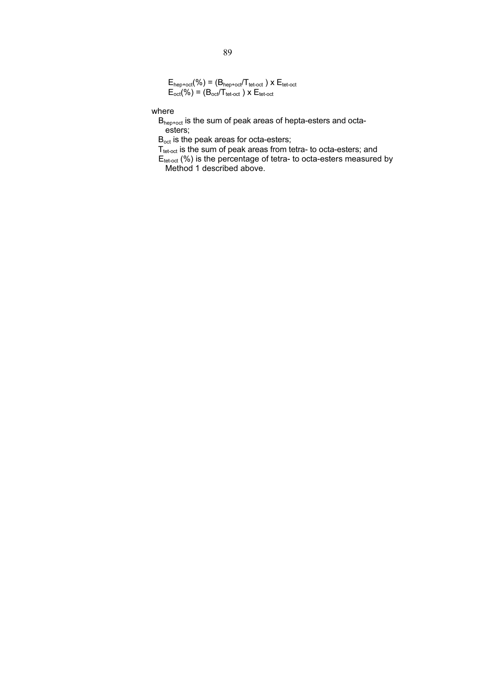$E_{\text{hep+oct}}(\%) = (B_{\text{hep+oct}}/T_{\text{tet-oct}}) \times E_{\text{tet-oct}}$  $E_{\text{oct}}(\%) = (B_{\text{oct}}/T_{\text{tet-oct}}) \times E_{\text{tet-oct}}$ 

where

Bhep+oct is the sum of peak areas of hepta-esters and octaesters;

B<sub>oct</sub> is the peak areas for octa-esters;

 $T_{\text{tet-oct}}$  is the sum of peak areas from tetra- to octa-esters; and

 $E_{\text{tet-oct}}$  (%) is the percentage of tetra- to octa-esters measured by Method 1 described above.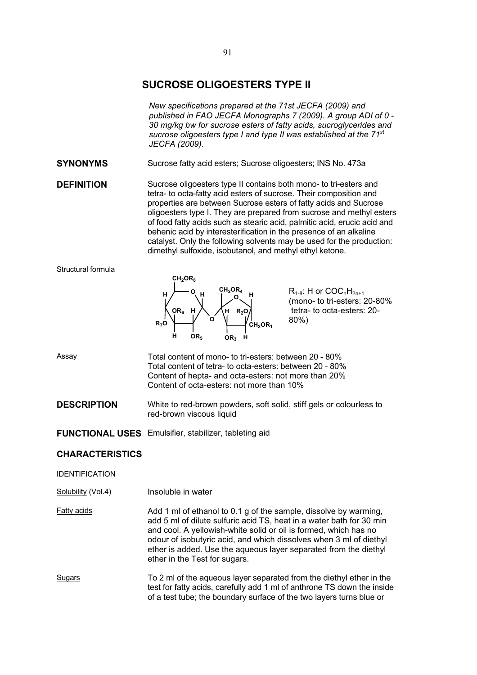# **SUCROSE OLIGOESTERS TYPE II**

*New specifications prepared at the 71st JECFA (2009) and published in FAO JECFA Monographs 7 (2009). A group ADI of 0 - 30 mg/kg bw for sucrose esters of fatty acids, sucroglycerides and sucrose oligoesters type I and type II was established at the 71st JECFA (2009).* 

**SYNONYMS** Sucrose fatty acid esters; Sucrose oligoesters; INS No. 473a

**DEFINITION** Sucrose oligoesters type II contains both mono- to tri-esters and tetra- to octa-fatty acid esters of sucrose. Their composition and properties are between Sucrose esters of fatty acids and Sucrose oligoesters type I. They are prepared from sucrose and methyl esters of food fatty acids such as stearic acid, palmitic acid, erucic acid and behenic acid by interesterification in the presence of an alkaline catalyst. Only the following solvents may be used for the production: dimethyl sulfoxide, isobutanol, and methyl ethyl ketone.

### Structural formula



 $R_{1-8}$ : H or  $COC<sub>n</sub>H<sub>2n+1</sub>$ (mono- to tri-esters: 20-80% tetra- to octa-esters: 20- 80%)

Assay Total content of mono- to tri-esters: between 20 - 80% Total content of tetra- to octa-esters: between 20 - 80% Content of hepta- and octa-esters: not more than 20% Content of octa-esters: not more than 10%

**DESCRIPTION** White to red-brown powders, soft solid, stiff gels or colourless to red-brown viscous liquid

**FUNCTIONAL USES** Emulsifier, stabilizer, tableting aid

# **CHARACTERISTICS**

IDENTIFICATION

Solubility (Vol.4) Insoluble in water

Fatty acids Add 1 ml of ethanol to 0.1 g of the sample, dissolve by warming, add 5 ml of dilute sulfuric acid TS, heat in a water bath for 30 min and cool. A yellowish-white solid or oil is formed, which has no odour of isobutyric acid, and which dissolves when 3 ml of diethyl ether is added. Use the aqueous layer separated from the diethyl ether in the Test for sugars.

Sugars To 2 ml of the aqueous layer separated from the diethyl ether in the test for fatty acids, carefully add 1 ml of anthrone TS down the inside of a test tube; the boundary surface of the two layers turns blue or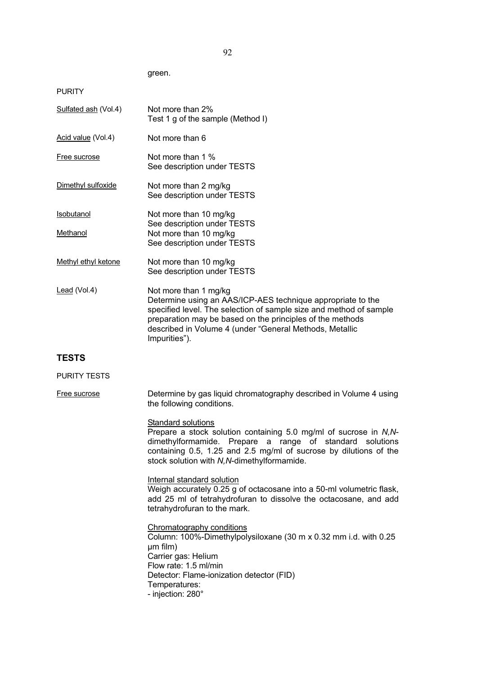green.

PURITY

| Sulfated ash (Vol.4) | Not more than 2%<br>Test 1 g of the sample (Method I)                                                                                                                                                                                                                                               |
|----------------------|-----------------------------------------------------------------------------------------------------------------------------------------------------------------------------------------------------------------------------------------------------------------------------------------------------|
| Acid value (Vol.4)   | Not more than 6                                                                                                                                                                                                                                                                                     |
| Free sucrose         | Not more than 1 %<br>See description under TESTS                                                                                                                                                                                                                                                    |
| Dimethyl sulfoxide   | Not more than 2 mg/kg<br>See description under TESTS                                                                                                                                                                                                                                                |
| <b>Isobutanol</b>    | Not more than 10 mg/kg<br>See description under TESTS                                                                                                                                                                                                                                               |
| Methanol             | Not more than 10 mg/kg<br>See description under TESTS                                                                                                                                                                                                                                               |
| Methyl ethyl ketone  | Not more than 10 mg/kg<br>See description under TESTS                                                                                                                                                                                                                                               |
| $lead (Vol.4)$       | Not more than 1 mg/kg<br>Determine using an AAS/ICP-AES technique appropriate to the<br>specified level. The selection of sample size and method of sample<br>preparation may be based on the principles of the methods<br>described in Volume 4 (under "General Methods, Metallic<br>Impurities"). |
|                      |                                                                                                                                                                                                                                                                                                     |

# **TESTS**

# PURITY TESTS

Free sucrose **Determine by gas liquid chromatography described in Volume 4 using** the following conditions.

# Standard solutions

Prepare a stock solution containing 5.0 mg/ml of sucrose in *N,N*dimethylformamide. Prepare a range of standard solutions containing 0.5, 1.25 and 2.5 mg/ml of sucrose by dilutions of the stock solution with *N,N*-dimethylformamide.

Internal standard solution Weigh accurately 0.25 g of octacosane into a 50-ml volumetric flask, add 25 ml of tetrahydrofuran to dissolve the octacosane, and add tetrahydrofuran to the mark.

Chromatography conditions Column: 100%-Dimethylpolysiloxane (30 m x 0.32 mm i.d. with 0.25 ȝm film) Carrier gas: Helium Flow rate: 1.5 ml/min Detector: Flame-ionization detector (FID) Temperatures: - injection: 280°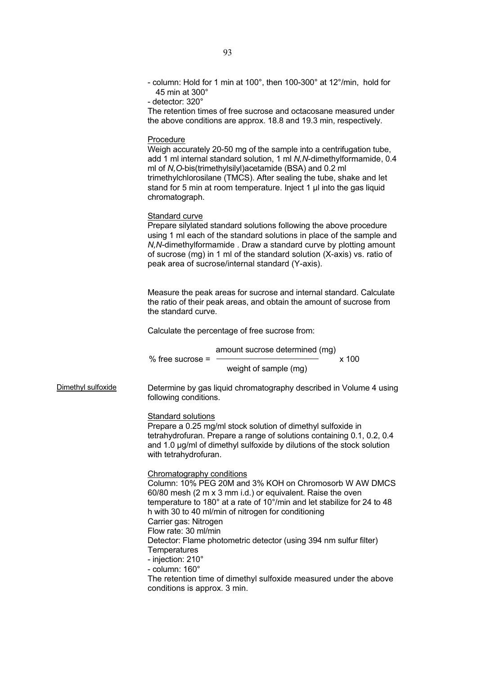|                    | 45 min at 300 $^{\circ}$<br>- detector: 320°<br>The retention times of free sucrose and octacosane measured under<br>the above conditions are approx. 18.8 and 19.3 min, respectively.                                                                                                                                                                                                                                                         |
|--------------------|------------------------------------------------------------------------------------------------------------------------------------------------------------------------------------------------------------------------------------------------------------------------------------------------------------------------------------------------------------------------------------------------------------------------------------------------|
|                    | Procedure<br>Weigh accurately 20-50 mg of the sample into a centrifugation tube,<br>add 1 ml internal standard solution, 1 ml N, N-dimethylformamide, 0.4<br>ml of N, O-bis(trimethylsilyl) acetamide (BSA) and 0.2 ml<br>trimethylchlorosilane (TMCS). After sealing the tube, shake and let<br>stand for 5 min at room temperature. Inject 1 µ into the gas liquid<br>chromatograph.                                                         |
|                    | Standard curve<br>Prepare silylated standard solutions following the above procedure<br>using 1 ml each of the standard solutions in place of the sample and<br>N, N-dimethylformamide. Draw a standard curve by plotting amount<br>of sucrose (mg) in 1 ml of the standard solution (X-axis) vs. ratio of<br>peak area of sucrose/internal standard (Y-axis).                                                                                 |
|                    | Measure the peak areas for sucrose and internal standard. Calculate<br>the ratio of their peak areas, and obtain the amount of sucrose from<br>the standard curve.                                                                                                                                                                                                                                                                             |
|                    | Calculate the percentage of free sucrose from:                                                                                                                                                                                                                                                                                                                                                                                                 |
|                    | amount sucrose determined (mg)<br>$%$ free sucrose =<br>x 100<br>weight of sample (mg)                                                                                                                                                                                                                                                                                                                                                         |
| Dimethyl sulfoxide | Determine by gas liquid chromatography described in Volume 4 using<br>following conditions.                                                                                                                                                                                                                                                                                                                                                    |
|                    | <b>Standard solutions</b><br>Prepare a 0.25 mg/ml stock solution of dimethyl sulfoxide in<br>tetrahydrofuran. Prepare a range of solutions containing 0.1, 0.2, 0.4<br>and 1.0 µg/ml of dimethyl sulfoxide by dilutions of the stock solution<br>with tetrahydrofuran.                                                                                                                                                                         |
|                    | Chromatography conditions<br>Column: 10% PEG 20M and 3% KOH on Chromosorb W AW DMCS<br>60/80 mesh (2 m x 3 mm i.d.) or equivalent. Raise the oven<br>temperature to 180° at a rate of 10°/min and let stabilize for 24 to 48<br>h with 30 to 40 ml/min of nitrogen for conditioning<br>Carrier gas: Nitrogen<br>Flow rate: 30 ml/min<br>Detector: Flame photometric detector (using 394 nm sulfur filter)<br>Temperatures<br>- injection: 210° |
|                    | - column: 160°                                                                                                                                                                                                                                                                                                                                                                                                                                 |

- column: Hold for 1 min at 100°, then 100-300° at 12°/min, hold for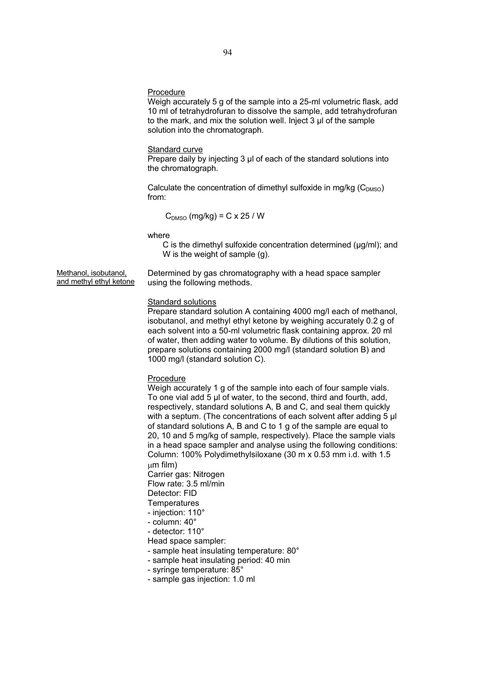#### Procedure

Weigh accurately 5 g of the sample into a 25-ml volumetric flask, add 10 ml of tetrahydrofuran to dissolve the sample, add tetrahydrofuran to the mark, and mix the solution well. Inject 3 μl of the sample solution into the chromatograph.

# Standard curve

Prepare daily by injecting 3 μl of each of the standard solutions into the chromatograph.

Calculate the concentration of dimethyl sulfoxide in mg/kg  $(C_{DMSO})$ from:

$$
C_{\text{DMSO}} (mg/kg) = C \times 25 / W
$$

where

C is the dimethyl sulfoxide concentration determined (μg/ml); and W is the weight of sample (g).

Methanol, isobutanol, and methyl ethyl ketone Determined by gas chromatography with a head space sampler using the following methods.

# **Standard solutions**

Prepare standard solution A containing 4000 mg/l each of methanol, isobutanol, and methyl ethyl ketone by weighing accurately 0.2 g of each solvent into a 50-ml volumetric flask containing approx. 20 ml of water, then adding water to volume. By dilutions of this solution, prepare solutions containing 2000 mg/l (standard solution B) and 1000 mg/l (standard solution C).

# **Procedure**

Weigh accurately 1 g of the sample into each of four sample vials. To one vial add 5 μl of water, to the second, third and fourth, add, respectively, standard solutions A, B and C, and seal them quickly with a septum. (The concentrations of each solvent after adding 5 μl of standard solutions A, B and C to 1 g of the sample are equal to 20, 10 and 5 mg/kg of sample, respectively). Place the sample vials in a head space sampler and analyse using the following conditions: Column: 100% Polydimethylsiloxane (30 m x 0.53 mm i.d. with 1.5  $µm$  film)

Carrier gas: Nitrogen Flow rate: 3.5 ml/min Detector: FID

**Temperatures** 

- injection: 110°
- column: 40°
- detector: 110°
- Head space sampler:
- sample heat insulating temperature: 80°
- sample heat insulating period: 40 min
- syringe temperature: 85°
- sample gas injection: 1.0 ml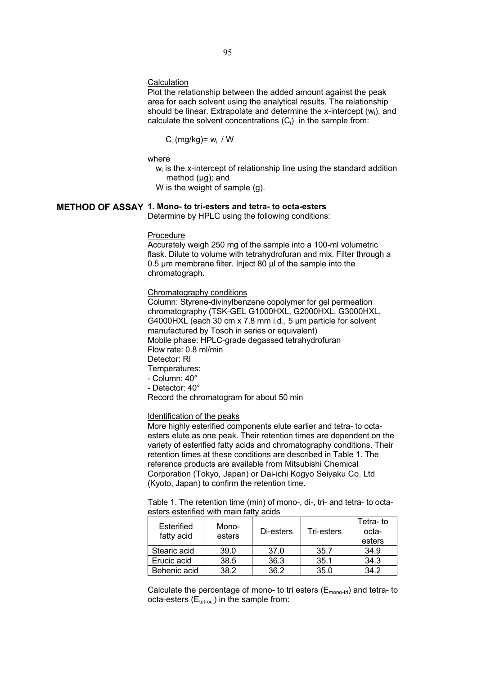# **Calculation**

Plot the relationship between the added amount against the peak area for each solvent using the analytical results. The relationship should be linear. Extrapolate and determine the x-intercept (wi), and calculate the solvent concentrations  $(C_i)$  in the sample from:

$$
C_i (mg/kg) = w_i / W
$$

where

 $w_i$  is the x-intercept of relationship line using the standard addition method (μg); and

W is the weight of sample (g).

# **METHOD OF ASSAY 1. Mono- to tri-esters and tetra- to octa-esters**

Determine by HPLC using the following conditions:

#### Procedure

Accurately weigh 250 mg of the sample into a 100-ml volumetric flask. Dilute to volume with tetrahydrofuran and mix. Filter through a 0.5 μm membrane filter. Inject 80 μl of the sample into the chromatograph.

# Chromatography conditions

Column: Styrene-divinylbenzene copolymer for gel permeation chromatography (TSK-GEL G1000HXL, G2000HXL, G3000HXL, G4000HXL (each 30 cm x 7.8 mm i.d., 5 μm particle for solvent manufactured by Tosoh in series or equivalent) Mobile phase: HPLC-grade degassed tetrahydrofuran Flow rate: 0.8 ml/min Detector: RI Temperatures: - Column: 40°

- Detector: 40°

Record the chromatogram for about 50 min

# Identification of the peaks

More highly esterified components elute earlier and tetra- to octaesters elute as one peak. Their retention times are dependent on the variety of esterified fatty acids and chromatography conditions. Their retention times at these conditions are described in Table 1. The reference products are available from Mitsubishi Chemical Corporation (Tokyo, Japan) or Dai-ichi Kogyo Seiyaku Co. Ltd (Kyoto, Japan) to confirm the retention time.

| Table 1. The retention time (min) of mono-, di-, tri- and tetra- to octa- |  |  |  |
|---------------------------------------------------------------------------|--|--|--|
| esters esterified with main fatty acids                                   |  |  |  |

| Esterified   | Mono-  |           |            | Tetra-to |
|--------------|--------|-----------|------------|----------|
| fatty acid   | esters | Di-esters | Tri-esters | octa-    |
|              |        |           |            | esters   |
| Stearic acid | 39.0   | 37.0      | 35.7       | 34.9     |
| Erucic acid  | 38.5   | 36.3      | 35.1       | 34.3     |
| Behenic acid | 38.2   | 36.2      | 35.0       | 342      |

Calculate the percentage of mono- to tri esters  $(E_{\text{mono-tri}})$  and tetra- to octa-esters  $(E_{\text{tet-oct}})$  in the sample from: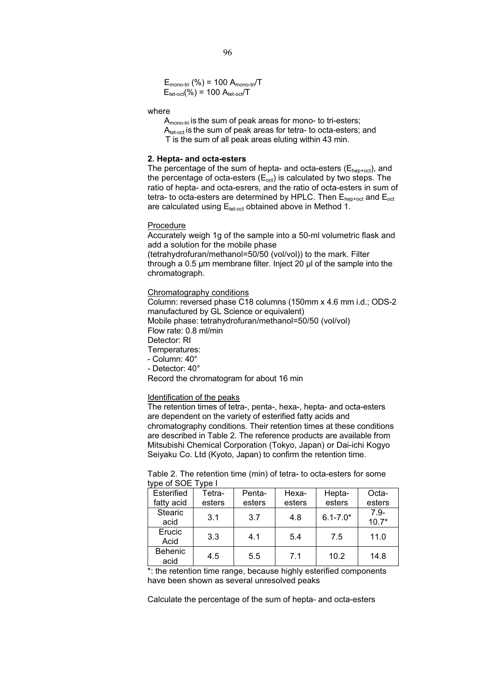$E_{\text{mono-tri}}$  (%) = 100  $A_{\text{mono-tri}}/T$  $E_{\text{tet-oct}}$ (%) = 100  $A_{\text{tet-oct}}/T$ 

# where

 $A_{\text{mono-tri}}$  is the sum of peak areas for mono- to tri-esters;  $A_{\text{tet-oct}}$  is the sum of peak areas for tetra- to octa-esters; and T is the sum of all peak areas eluting within 43 min.

# **2. Hepta- and octa-esters**

The percentage of the sum of hepta- and octa-esters  $(E_{hep+oct})$ , and the percentage of octa-esters  $(E_{\text{oct}})$  is calculated by two steps. The ratio of hepta- and octa-esrers, and the ratio of octa-esters in sum of tetra- to octa-esters are determined by HPLC. Then  $E_{hep+oct}$  and  $E_{oct}$ are calculated using  $E_{\text{tet-oct}}$  obtained above in Method 1.

### Procedure

Accurately weigh 1g of the sample into a 50-ml volumetric flask and add a solution for the mobile phase

(tetrahydrofuran/methanol=50/50 (vol/vol)) to the mark. Filter through a 0.5 μm membrane filter. Inject 20 μl of the sample into the chromatograph.

#### Chromatography conditions

Column: reversed phase C18 columns (150mm x 4.6 mm i.d.; ODS-2 manufactured by GL Science or equivalent) Mobile phase: tetrahydrofuran/methanol=50/50 (vol/vol) Flow rate: 0.8 ml/min Detector: RI Temperatures: - Column: 40° - Detector: 40°

Record the chromatogram for about 16 min

#### Identification of the peaks

The retention times of tetra-, penta-, hexa-, hepta- and octa-esters are dependent on the variety of esterified fatty acids and chromatography conditions. Their retention times at these conditions are described in Table 2. The reference products are available from Mitsubishi Chemical Corporation (Tokyo, Japan) or Dai-ichi Kogyo Seiyaku Co. Ltd (Kyoto, Japan) to confirm the retention time.

Table 2. The retention time (min) of tetra- to octa-esters for some type of SOE Type I

| Esterified             | Tetra- | Penta- | Hexa-  | Hepta-       | Octa-              |
|------------------------|--------|--------|--------|--------------|--------------------|
| fatty acid             | esters | esters | esters | esters       | esters             |
| <b>Stearic</b><br>acid | 3.1    | 3.7    | 4.8    | $6.1 - 7.0*$ | $7.9 -$<br>$10.7*$ |
| Erucic<br>Acid         | 3.3    | 4.1    | 5.4    | 7.5          | 11.0               |
| Behenic<br>acid        | 4.5    | 5.5    | 7.1    | 10.2         | 14.8               |

\*: the retention time range, because highly esterified components have been shown as several unresolved peaks

Calculate the percentage of the sum of hepta- and octa-esters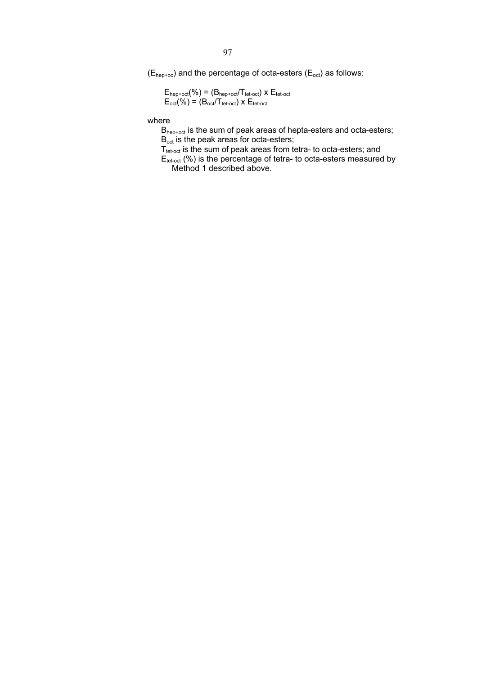$(E<sub>hep+oc</sub>)$  and the percentage of octa-esters  $(E<sub>oct</sub>)$  as follows:

 $E_{\text{hep+oct}}(\%) = (B_{\text{hep+oct}}/T_{\text{tet-oct}}) \times E_{\text{tet-oct}}$  $E_{\text{oct}}(\%) = (B_{\text{oct}}/T_{\text{tet-oct}}) \times E_{\text{tet-oct}}$ 

where

Bhep+oct is the sum of peak areas of hepta-esters and octa-esters; Boct is the peak areas for octa-esters;

 $T_{\text{tet-oct}}$  is the sum of peak areas from tetra- to octa-esters; and

 $E_{\text{tet-oct}}$  (%) is the percentage of tetra- to octa-esters measured by Method 1 described above.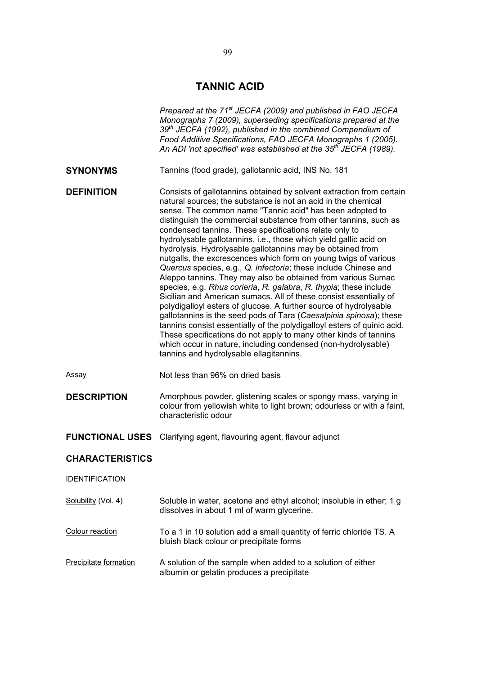# **TANNIC ACID**

|                        | Prepared at the 71 <sup>st</sup> JECFA (2009) and published in FAO JECFA<br>Monographs 7 (2009), superseding specifications prepared at the<br>39 <sup>th</sup> JECFA (1992), published in the combined Compendium of<br>Food Additive Specifications, FAO JECFA Monographs 1 (2005).<br>An ADI 'not specified' was established at the 35 <sup>th</sup> JECFA (1989).                                                                                                                                                                                                                                                                                                                                                                                                                                                                                                                                                                                                                                                                                                                                                                                                                                                    |
|------------------------|--------------------------------------------------------------------------------------------------------------------------------------------------------------------------------------------------------------------------------------------------------------------------------------------------------------------------------------------------------------------------------------------------------------------------------------------------------------------------------------------------------------------------------------------------------------------------------------------------------------------------------------------------------------------------------------------------------------------------------------------------------------------------------------------------------------------------------------------------------------------------------------------------------------------------------------------------------------------------------------------------------------------------------------------------------------------------------------------------------------------------------------------------------------------------------------------------------------------------|
| <b>SYNONYMS</b>        | Tannins (food grade), gallotannic acid, INS No. 181                                                                                                                                                                                                                                                                                                                                                                                                                                                                                                                                                                                                                                                                                                                                                                                                                                                                                                                                                                                                                                                                                                                                                                      |
| <b>DEFINITION</b>      | Consists of gallotannins obtained by solvent extraction from certain<br>natural sources; the substance is not an acid in the chemical<br>sense. The common name "Tannic acid" has been adopted to<br>distinguish the commercial substance from other tannins, such as<br>condensed tannins. These specifications relate only to<br>hydrolysable gallotannins, i.e., those which yield gallic acid on<br>hydrolysis. Hydrolysable gallotannins may be obtained from<br>nutgalls, the excrescences which form on young twigs of various<br>Quercus species, e.g., Q. infectoria; these include Chinese and<br>Aleppo tannins. They may also be obtained from various Sumac<br>species, e.g. Rhus corieria, R. galabra, R. thypia; these include<br>Sicilian and American sumacs. All of these consist essentially of<br>polydigalloyl esters of glucose. A further source of hydrolysable<br>gallotannins is the seed pods of Tara (Caesalpinia spinosa); these<br>tannins consist essentially of the polydigalloyl esters of quinic acid.<br>These specifications do not apply to many other kinds of tannins<br>which occur in nature, including condensed (non-hydrolysable)<br>tannins and hydrolysable ellagitannins. |
| Assay                  | Not less than 96% on dried basis                                                                                                                                                                                                                                                                                                                                                                                                                                                                                                                                                                                                                                                                                                                                                                                                                                                                                                                                                                                                                                                                                                                                                                                         |
| <b>DESCRIPTION</b>     | Amorphous powder, glistening scales or spongy mass, varying in<br>colour from yellowish white to light brown; odourless or with a faint,<br>characteristic odour                                                                                                                                                                                                                                                                                                                                                                                                                                                                                                                                                                                                                                                                                                                                                                                                                                                                                                                                                                                                                                                         |
| <b>FUNCTIONAL USES</b> | Clarifying agent, flavouring agent, flavour adjunct                                                                                                                                                                                                                                                                                                                                                                                                                                                                                                                                                                                                                                                                                                                                                                                                                                                                                                                                                                                                                                                                                                                                                                      |
| <b>CHARACTERISTICS</b> |                                                                                                                                                                                                                                                                                                                                                                                                                                                                                                                                                                                                                                                                                                                                                                                                                                                                                                                                                                                                                                                                                                                                                                                                                          |
| <b>IDENTIFICATION</b>  |                                                                                                                                                                                                                                                                                                                                                                                                                                                                                                                                                                                                                                                                                                                                                                                                                                                                                                                                                                                                                                                                                                                                                                                                                          |
| Solubility (Vol. 4)    | Soluble in water, acetone and ethyl alcohol; insoluble in ether; 1 g<br>dissolves in about 1 ml of warm glycerine.                                                                                                                                                                                                                                                                                                                                                                                                                                                                                                                                                                                                                                                                                                                                                                                                                                                                                                                                                                                                                                                                                                       |
| Colour reaction        | To a 1 in 10 solution add a small quantity of ferric chloride TS. A<br>bluish black colour or precipitate forms                                                                                                                                                                                                                                                                                                                                                                                                                                                                                                                                                                                                                                                                                                                                                                                                                                                                                                                                                                                                                                                                                                          |
| Precipitate formation  | A solution of the sample when added to a solution of either<br>albumin or gelatin produces a precipitate                                                                                                                                                                                                                                                                                                                                                                                                                                                                                                                                                                                                                                                                                                                                                                                                                                                                                                                                                                                                                                                                                                                 |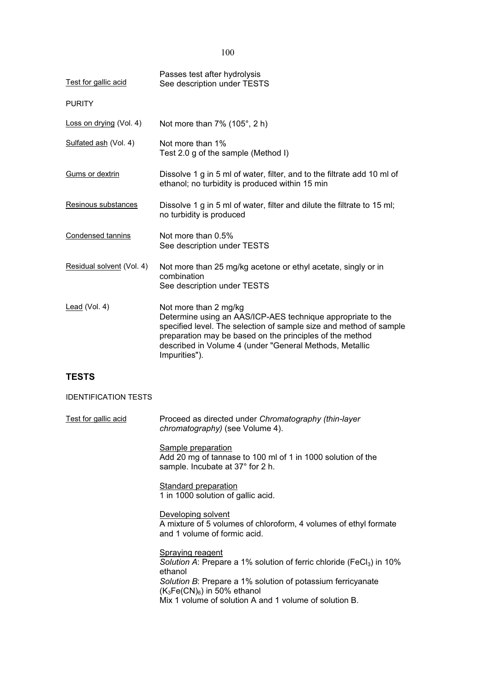100

| Test for gallic acid        | Passes test after hydrolysis<br>See description under TESTS                                                                                                                                                                                                                                        |
|-----------------------------|----------------------------------------------------------------------------------------------------------------------------------------------------------------------------------------------------------------------------------------------------------------------------------------------------|
| <b>PURITY</b>               |                                                                                                                                                                                                                                                                                                    |
| Loss on drying (Vol. 4)     | Not more than 7% (105°, 2 h)                                                                                                                                                                                                                                                                       |
| Sulfated ash (Vol. 4)       | Not more than 1%<br>Test 2.0 g of the sample (Method I)                                                                                                                                                                                                                                            |
| Gums or dextrin             | Dissolve 1 g in 5 ml of water, filter, and to the filtrate add 10 ml of<br>ethanol; no turbidity is produced within 15 min                                                                                                                                                                         |
| Resinous substances         | Dissolve 1 g in 5 ml of water, filter and dilute the filtrate to 15 ml;<br>no turbidity is produced                                                                                                                                                                                                |
| Condensed tannins           | Not more than 0.5%<br>See description under TESTS                                                                                                                                                                                                                                                  |
| Residual solvent (Vol. 4)   | Not more than 25 mg/kg acetone or ethyl acetate, singly or in<br>combination<br>See description under TESTS                                                                                                                                                                                        |
| Lead (Vol. 4)               | Not more than 2 mg/kg<br>Determine using an AAS/ICP-AES technique appropriate to the<br>specified level. The selection of sample size and method of sample<br>preparation may be based on the principles of the method<br>described in Volume 4 (under "General Methods, Metallic<br>Impurities"). |
| <b>TESTS</b>                |                                                                                                                                                                                                                                                                                                    |
| <b>IDENTIFICATION TESTS</b> |                                                                                                                                                                                                                                                                                                    |
| Test for gallic acid        | Proceed as directed under Chromatography (thin-layer<br>chromatography) (see Volume 4).                                                                                                                                                                                                            |
|                             | $\bigcap$ is a set of the contract of the contract of the contract of the contract of the contract of the contract of the contract of the contract of the contract of the contract of the contract of the contract of the contrac                                                                  |

Sample preparation Add 20 mg of tannase to 100 ml of 1 in 1000 solution of the sample. Incubate at 37° for 2 h.

**Standard preparation** 1 in 1000 solution of gallic acid.

Developing solvent A mixture of 5 volumes of chloroform, 4 volumes of ethyl formate and 1 volume of formic acid.

Spraying reagent Solution A: Prepare a 1% solution of ferric chloride (FeCl<sub>3</sub>) in 10% ethanol *Solution B*: Prepare a 1% solution of potassium ferricyanate  $(K_3Fe(CN)_6)$  in 50% ethanol Mix 1 volume of solution A and 1 volume of solution B.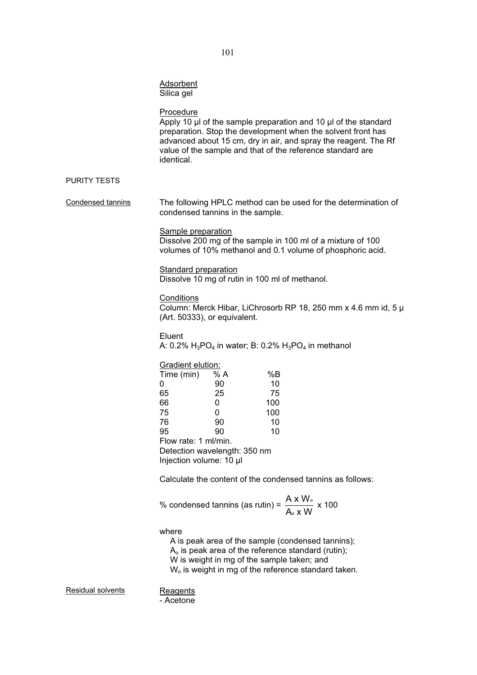|                   | <b>Adsorbent</b><br>Silica gel                                                                                                                        |                                            |                                          |                                                                                                                                                                                                                                                                  |
|-------------------|-------------------------------------------------------------------------------------------------------------------------------------------------------|--------------------------------------------|------------------------------------------|------------------------------------------------------------------------------------------------------------------------------------------------------------------------------------------------------------------------------------------------------------------|
|                   | Procedure<br>identical.                                                                                                                               |                                            |                                          | Apply 10 µl of the sample preparation and 10 µl of the standard<br>preparation. Stop the development when the solvent front has<br>advanced about 15 cm, dry in air, and spray the reagent. The Rf<br>value of the sample and that of the reference standard are |
| PURITY TESTS      |                                                                                                                                                       |                                            |                                          |                                                                                                                                                                                                                                                                  |
| Condensed tannins | condensed tannins in the sample.                                                                                                                      |                                            |                                          | The following HPLC method can be used for the determination of                                                                                                                                                                                                   |
|                   | Sample preparation                                                                                                                                    |                                            |                                          | Dissolve 200 mg of the sample in 100 ml of a mixture of 100<br>volumes of 10% methanol and 0.1 volume of phosphoric acid.                                                                                                                                        |
|                   | <b>Standard preparation</b><br>Dissolve 10 mg of rutin in 100 ml of methanol.                                                                         |                                            |                                          |                                                                                                                                                                                                                                                                  |
|                   | Conditions<br>(Art. 50333), or equivalent.                                                                                                            |                                            |                                          | Column: Merck Hibar, LiChrosorb RP 18, 250 mm x 4.6 mm id, 5 µ                                                                                                                                                                                                   |
|                   | Eluent                                                                                                                                                |                                            |                                          | A: 0.2% $H_3PO_4$ in water; B: 0.2% $H_3PO_4$ in methanol                                                                                                                                                                                                        |
|                   | Gradient elution:<br>Time (min)<br>0<br>65<br>66<br>75<br>76<br>95<br>Flow rate: 1 ml/min.<br>Detection wavelength: 350 nm<br>Injection volume: 10 µl | % A<br>90<br>25<br>0<br>0<br>90<br>90      | %B<br>10<br>75<br>100<br>100<br>10<br>10 |                                                                                                                                                                                                                                                                  |
|                   | Calculate the content of the condensed tannins as follows:                                                                                            |                                            |                                          |                                                                                                                                                                                                                                                                  |
|                   | % condensed tannins (as rutin) = $\frac{A \times W_{\circ}}{A_{\circ} \times W}$ x 100                                                                |                                            |                                          |                                                                                                                                                                                                                                                                  |
|                   | where                                                                                                                                                 | W is weight in mg of the sample taken; and |                                          | A is peak area of the sample (condensed tannins);<br>$Ao$ is peak area of the reference standard (rutin);<br>W <sub>o</sub> is weight in mg of the reference standard taken.                                                                                     |

Residual solvents

Reagents<br>- Acetone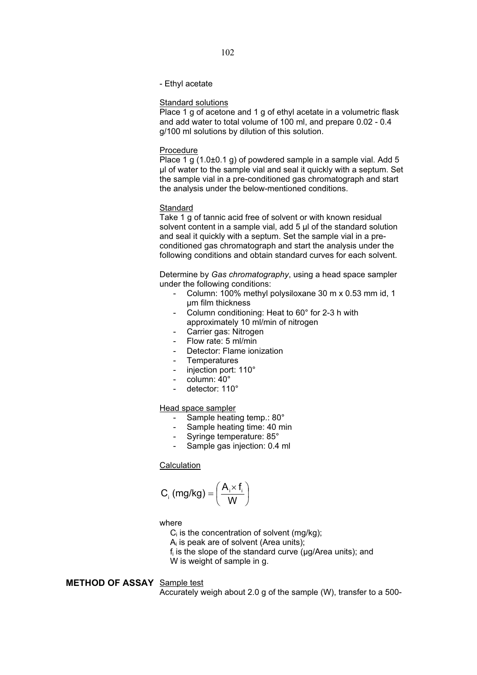#### - Ethyl acetate

#### Standard solutions

Place 1 g of acetone and 1 g of ethyl acetate in a volumetric flask and add water to total volume of 100 ml, and prepare 0.02 - 0.4 g/100 ml solutions by dilution of this solution.

#### Procedure

Place 1 g (1.0±0.1 g) of powdered sample in a sample vial. Add 5 μl of water to the sample vial and seal it quickly with a septum. Set the sample vial in a pre-conditioned gas chromatograph and start the analysis under the below-mentioned conditions.

# **Standard**

Take 1 g of tannic acid free of solvent or with known residual solvent content in a sample vial, add 5 μl of the standard solution and seal it quickly with a septum. Set the sample vial in a preconditioned gas chromatograph and start the analysis under the following conditions and obtain standard curves for each solvent.

Determine by *Gas chromatography*, using a head space sampler under the following conditions:

- Column: 100% methyl polysiloxane 30 m x 0.53 mm id, 1 μm film thickness
- Column conditioning: Heat to 60° for 2-3 h with approximately 10 ml/min of nitrogen
- Carrier gas: Nitrogen
- Flow rate: 5 ml/min
- Detector: Flame ionization
- **Temperatures**
- injection port: 110°
- column: 40°
- detector: 110°

#### Head space sampler

- Sample heating temp.: 80°
- Sample heating time: 40 min
- Syringe temperature: 85°
- Sample gas injection: 0.4 ml

# **Calculation**

$$
C_i (mg/kg) = \left(\frac{A_i \times f_i}{W}\right)
$$

#### where

 $C_i$  is the concentration of solvent (mg/kg);

 $A_i$  is peak are of solvent (Area units);

 $f_i$  is the slope of the standard curve ( $\mu$ g/Area units); and

W is weight of sample in g.

# **METHOD OF ASSAY** Sample test

Accurately weigh about 2.0 g of the sample (W), transfer to a 500-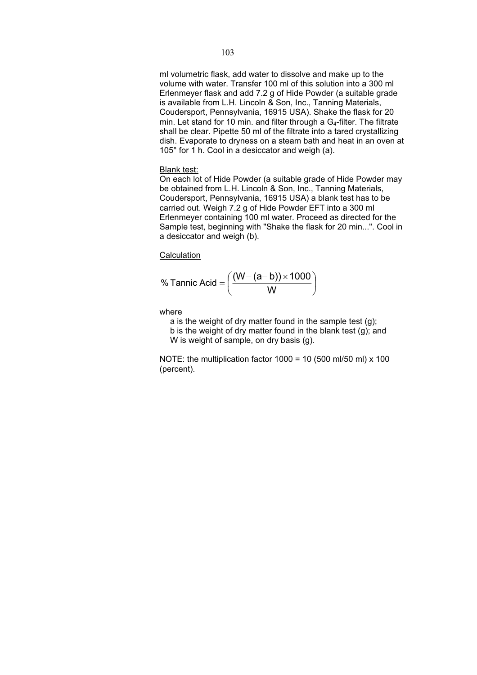# ml volumetric flask, add water to dissolve and make up to the volume with water. Transfer 100 ml of this solution into a 300 ml Erlenmeyer flask and add 7.2 g of Hide Powder (a suitable grade is available from L.H. Lincoln & Son, Inc., Tanning Materials, Coudersport, Pennsylvania, 16915 USA). Shake the flask for 20 min. Let stand for 10 min. and filter through a  $G_4$ -filter. The filtrate shall be clear. Pipette 50 ml of the filtrate into a tared crystallizing dish. Evaporate to dryness on a steam bath and heat in an oven at 105° for 1 h. Cool in a desiccator and weigh (a).

# Blank test:

On each lot of Hide Powder (a suitable grade of Hide Powder may be obtained from L.H. Lincoln & Son, Inc., Tanning Materials, Coudersport, Pennsylvania, 16915 USA) a blank test has to be carried out. Weigh 7.2 g of Hide Powder EFT into a 300 ml Erlenmeyer containing 100 ml water. Proceed as directed for the Sample test, beginning with "Shake the flask for 20 min...". Cool in a desiccator and weigh (b).

**Calculation** 

$$
\% \text{ Tannic Acid} = \left(\frac{(W - (a - b)) \times 1000}{W}\right)
$$

where

a is the weight of dry matter found in the sample test (g);

b is the weight of dry matter found in the blank test (g); and W is weight of sample, on dry basis (g).

NOTE: the multiplication factor  $1000 = 10$  (500 ml/50 ml) x  $100$ (percent).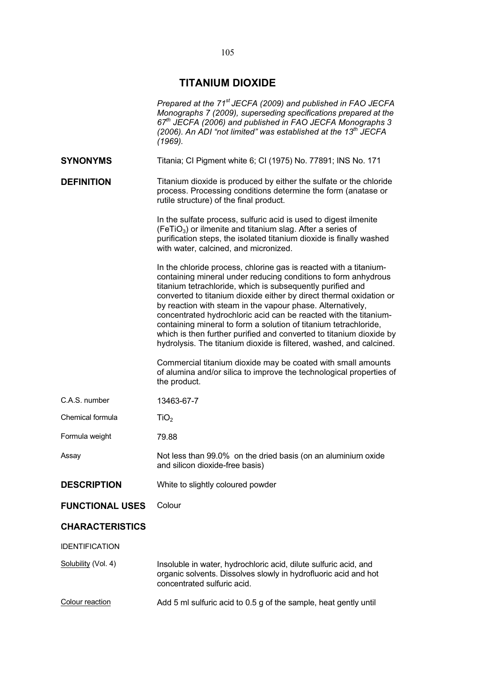# **TITANIUM DIOXIDE**

|                        | Prepared at the 71 <sup>st</sup> JECFA (2009) and published in FAO JECFA<br>Monographs 7 (2009), superseding specifications prepared at the<br>$67th$ JECFA (2006) and published in FAO JECFA Monographs 3<br>(2006). An ADI "not limited" was established at the 13 <sup>th</sup> JECFA<br>(1969).                                                                                                                                                                                                                                                                                                                          |
|------------------------|------------------------------------------------------------------------------------------------------------------------------------------------------------------------------------------------------------------------------------------------------------------------------------------------------------------------------------------------------------------------------------------------------------------------------------------------------------------------------------------------------------------------------------------------------------------------------------------------------------------------------|
| <b>SYNONYMS</b>        | Titania; CI Pigment white 6; CI (1975) No. 77891; INS No. 171                                                                                                                                                                                                                                                                                                                                                                                                                                                                                                                                                                |
| <b>DEFINITION</b>      | Titanium dioxide is produced by either the sulfate or the chloride<br>process. Processing conditions determine the form (anatase or<br>rutile structure) of the final product.                                                                                                                                                                                                                                                                                                                                                                                                                                               |
|                        | In the sulfate process, sulfuric acid is used to digest ilmenite<br>(FeTiO <sub>3</sub> ) or ilmenite and titanium slag. After a series of<br>purification steps, the isolated titanium dioxide is finally washed<br>with water, calcined, and micronized.                                                                                                                                                                                                                                                                                                                                                                   |
|                        | In the chloride process, chlorine gas is reacted with a titanium-<br>containing mineral under reducing conditions to form anhydrous<br>titanium tetrachloride, which is subsequently purified and<br>converted to titanium dioxide either by direct thermal oxidation or<br>by reaction with steam in the vapour phase. Alternatively,<br>concentrated hydrochloric acid can be reacted with the titanium-<br>containing mineral to form a solution of titanium tetrachloride,<br>which is then further purified and converted to titanium dioxide by<br>hydrolysis. The titanium dioxide is filtered, washed, and calcined. |
|                        | Commercial titanium dioxide may be coated with small amounts<br>of alumina and/or silica to improve the technological properties of<br>the product.                                                                                                                                                                                                                                                                                                                                                                                                                                                                          |
| C.A.S. number          | 13463-67-7                                                                                                                                                                                                                                                                                                                                                                                                                                                                                                                                                                                                                   |
| Chemical formula       | TiO <sub>2</sub>                                                                                                                                                                                                                                                                                                                                                                                                                                                                                                                                                                                                             |
| Formula weight         | 79.88                                                                                                                                                                                                                                                                                                                                                                                                                                                                                                                                                                                                                        |
| Assay                  | Not less than 99.0% on the dried basis (on an aluminium oxide<br>and silicon dioxide-free basis)                                                                                                                                                                                                                                                                                                                                                                                                                                                                                                                             |
| <b>DESCRIPTION</b>     | White to slightly coloured powder                                                                                                                                                                                                                                                                                                                                                                                                                                                                                                                                                                                            |
| <b>FUNCTIONAL USES</b> | Colour                                                                                                                                                                                                                                                                                                                                                                                                                                                                                                                                                                                                                       |
| <b>CHARACTERISTICS</b> |                                                                                                                                                                                                                                                                                                                                                                                                                                                                                                                                                                                                                              |
| <b>IDENTIFICATION</b>  |                                                                                                                                                                                                                                                                                                                                                                                                                                                                                                                                                                                                                              |
| Solubility (Vol. 4)    | Insoluble in water, hydrochloric acid, dilute sulfuric acid, and<br>organic solvents. Dissolves slowly in hydrofluoric acid and hot<br>concentrated sulfuric acid.                                                                                                                                                                                                                                                                                                                                                                                                                                                           |
| Colour reaction        | Add 5 ml sulfuric acid to 0.5 g of the sample, heat gently until                                                                                                                                                                                                                                                                                                                                                                                                                                                                                                                                                             |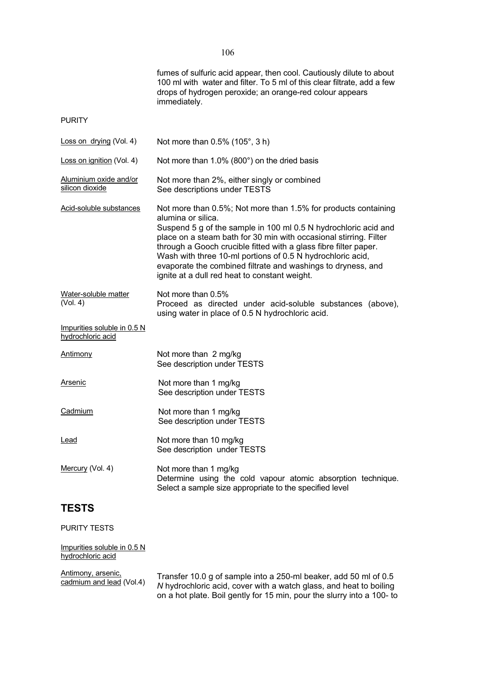|                                                  | fumes of sulfuric acid appear, then cool. Cautiously dilute to about<br>100 ml with water and filter. To 5 ml of this clear filtrate, add a few<br>drops of hydrogen peroxide; an orange-red colour appears<br>immediately.                                                                                                                                                                                                                                                     |
|--------------------------------------------------|---------------------------------------------------------------------------------------------------------------------------------------------------------------------------------------------------------------------------------------------------------------------------------------------------------------------------------------------------------------------------------------------------------------------------------------------------------------------------------|
| <b>PURITY</b>                                    |                                                                                                                                                                                                                                                                                                                                                                                                                                                                                 |
| Loss on drying (Vol. 4)                          | Not more than 0.5% (105°, 3 h)                                                                                                                                                                                                                                                                                                                                                                                                                                                  |
| Loss on ignition (Vol. 4)                        | Not more than 1.0% (800°) on the dried basis                                                                                                                                                                                                                                                                                                                                                                                                                                    |
| Aluminium oxide and/or<br>silicon dioxide        | Not more than 2%, either singly or combined<br>See descriptions under TESTS                                                                                                                                                                                                                                                                                                                                                                                                     |
| Acid-soluble substances                          | Not more than 0.5%; Not more than 1.5% for products containing<br>alumina or silica.<br>Suspend 5 g of the sample in 100 ml 0.5 N hydrochloric acid and<br>place on a steam bath for 30 min with occasional stirring. Filter<br>through a Gooch crucible fitted with a glass fibre filter paper.<br>Wash with three 10-ml portions of 0.5 N hydrochloric acid,<br>evaporate the combined filtrate and washings to dryness, and<br>ignite at a dull red heat to constant weight. |
| Water-soluble matter<br>(Vol. 4)                 | Not more than 0.5%<br>Proceed as directed under acid-soluble substances (above),<br>using water in place of 0.5 N hydrochloric acid.                                                                                                                                                                                                                                                                                                                                            |
| Impurities soluble in 0.5 N<br>hydrochloric acid |                                                                                                                                                                                                                                                                                                                                                                                                                                                                                 |
| <b>Antimony</b>                                  | Not more than 2 mg/kg<br>See description under TESTS                                                                                                                                                                                                                                                                                                                                                                                                                            |
| <b>Arsenic</b>                                   | Not more than 1 mg/kg<br>See description under TESTS                                                                                                                                                                                                                                                                                                                                                                                                                            |
| Cadmium                                          | Not more than 1 mg/kg<br>See description under TESTS                                                                                                                                                                                                                                                                                                                                                                                                                            |
| <u>Lead</u>                                      | Not more than 10 mg/kg<br>See description under TESTS                                                                                                                                                                                                                                                                                                                                                                                                                           |
| Mercury (Vol. 4)                                 | Not more than 1 mg/kg<br>Determine using the cold vapour atomic absorption technique.<br>Select a sample size appropriate to the specified level                                                                                                                                                                                                                                                                                                                                |
| <b>TESTS</b>                                     |                                                                                                                                                                                                                                                                                                                                                                                                                                                                                 |

PURITY TESTS

Impurities soluble in 0.5 N hydrochloric acid

Antimony, arsenic,<br>cadmium and lead (Vol.4)

Antificary, arsenic, Transfer 10.0 g of sample into a 250-ml beaker, add 50 ml of 0.5<br><u>cadmium and lead</u> (Vol.4) M hydrochloric acid, cover with a watch glass, and heat to boiling on a hot plate. Boil gently for 15 min, pour the slurry into a 100- to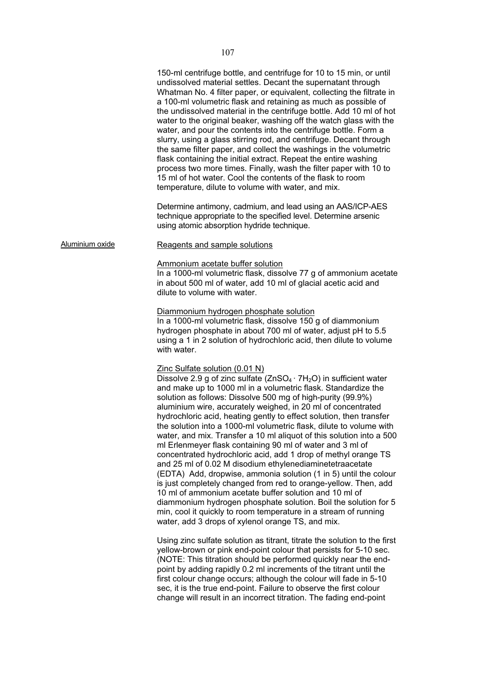150-ml centrifuge bottle, and centrifuge for 10 to 15 min, or until undissolved material settles. Decant the supernatant through Whatman No. 4 filter paper, or equivalent, collecting the filtrate in a 100-ml volumetric flask and retaining as much as possible of the undissolved material in the centrifuge bottle. Add 10 ml of hot water to the original beaker, washing off the watch glass with the water, and pour the contents into the centrifuge bottle. Form a slurry, using a glass stirring rod, and centrifuge. Decant through the same filter paper, and collect the washings in the volumetric flask containing the initial extract. Repeat the entire washing process two more times. Finally, wash the filter paper with 10 to 15 ml of hot water. Cool the contents of the flask to room temperature, dilute to volume with water, and mix. Determine antimony, cadmium, and lead using an AAS/ICP-AES technique appropriate to the specified level. Determine arsenic using atomic absorption hydride technique. Aluminium oxide Reagents and sample solutions Ammonium acetate buffer solution In a 1000-ml volumetric flask, dissolve 77 g of ammonium acetate in about 500 ml of water, add 10 ml of glacial acetic acid and dilute to volume with water. Diammonium hydrogen phosphate solution In a 1000-ml volumetric flask, dissolve 150 g of diammonium hydrogen phosphate in about 700 ml of water, adjust pH to 5.5 using a 1 in 2 solution of hydrochloric acid, then dilute to volume with water. Zinc Sulfate solution (0.01 N) Dissolve 2.9 g of zinc sulfate  $(ZnSO_4 \cdot 7H_2O)$  in sufficient water and make up to 1000 ml in a volumetric flask. Standardize the solution as follows: Dissolve 500 mg of high-purity (99.9%) aluminium wire, accurately weighed, in 20 ml of concentrated hydrochloric acid, heating gently to effect solution, then transfer the solution into a 1000-ml volumetric flask, dilute to volume with water, and mix. Transfer a 10 ml aliquot of this solution into a 500 ml Erlenmeyer flask containing 90 ml of water and 3 ml of concentrated hydrochloric acid, add 1 drop of methyl orange TS and 25 ml of 0.02 M disodium ethylenediaminetetraacetate (EDTA) Add, dropwise, ammonia solution (1 in 5) until the colour is just completely changed from red to orange-yellow. Then, add 10 ml of ammonium acetate buffer solution and 10 ml of diammonium hydrogen phosphate solution. Boil the solution for 5 min, cool it quickly to room temperature in a stream of running water, add 3 drops of xylenol orange TS, and mix. Using zinc sulfate solution as titrant, titrate the solution to the first yellow-brown or pink end-point colour that persists for 5-10 sec. (NOTE: This titration should be performed quickly near the endpoint by adding rapidly 0.2 ml increments of the titrant until the first colour change occurs; although the colour will fade in 5-10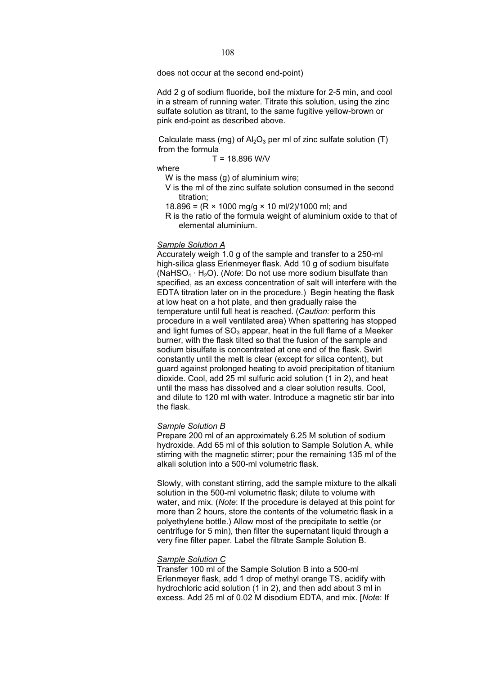does not occur at the second end-point)

Add 2 g of sodium fluoride, boil the mixture for 2-5 min, and cool in a stream of running water. Titrate this solution, using the zinc sulfate solution as titrant, to the same fugitive yellow-brown or pink end-point as described above.

Calculate mass (mg) of  $\text{Al}_2\text{O}_3$  per ml of zinc sulfate solution (T) from the formula

$$
T = 18.896
$$
 W/V

where

W is the mass (g) of aluminium wire;

- V is the ml of the zinc sulfate solution consumed in the second titration;
- 18.896 =  $(R \times 1000 \text{ mg/q} \times 10 \text{ ml}/2)/1000 \text{ ml}$ ; and

R is the ratio of the formula weight of aluminium oxide to that of elemental aluminium.

#### *Sample Solution A*

Accurately weigh 1.0 g of the sample and transfer to a 250-ml high-silica glass Erlenmeyer flask. Add 10 g of sodium bisulfate (NaHSO<sub>4</sub>  $\cdot$  H<sub>2</sub>O). (*Note*: Do not use more sodium bisulfate than specified, as an excess concentration of salt will interfere with the EDTA titration later on in the procedure.) Begin heating the flask at low heat on a hot plate, and then gradually raise the temperature until full heat is reached. (*Caution:* perform this procedure in a well ventilated area) When spattering has stopped and light fumes of  $SO_3$  appear, heat in the full flame of a Meeker burner, with the flask tilted so that the fusion of the sample and sodium bisulfate is concentrated at one end of the flask. Swirl constantly until the melt is clear (except for silica content), but guard against prolonged heating to avoid precipitation of titanium dioxide. Cool, add 25 ml sulfuric acid solution (1 in 2), and heat until the mass has dissolved and a clear solution results. Cool, and dilute to 120 ml with water. Introduce a magnetic stir bar into the flask.

#### *Sample Solution B*

Prepare 200 ml of an approximately 6.25 M solution of sodium hydroxide. Add 65 ml of this solution to Sample Solution A, while stirring with the magnetic stirrer; pour the remaining 135 ml of the alkali solution into a 500-ml volumetric flask.

Slowly, with constant stirring, add the sample mixture to the alkali solution in the 500-ml volumetric flask; dilute to volume with water, and mix. (*Note*: If the procedure is delayed at this point for more than 2 hours, store the contents of the volumetric flask in a polyethylene bottle.) Allow most of the precipitate to settle (or centrifuge for 5 min), then filter the supernatant liquid through a very fine filter paper. Label the filtrate Sample Solution B.

#### *Sample Solution C*

Transfer 100 ml of the Sample Solution B into a 500-ml Erlenmeyer flask, add 1 drop of methyl orange TS, acidify with hydrochloric acid solution (1 in 2), and then add about 3 ml in excess. Add 25 ml of 0.02 M disodium EDTA, and mix. [*Note*: If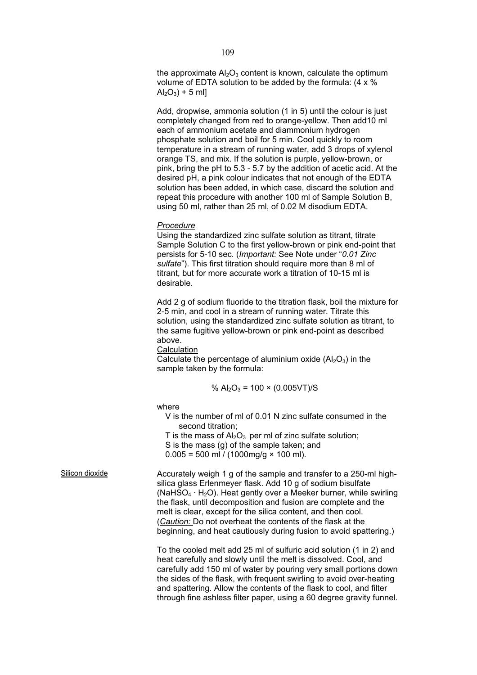the approximate  $A_2O_3$  content is known, calculate the optimum volume of EDTA solution to be added by the formula: (4 x %  $Al_2O_3$ ) + 5 ml]

Add, dropwise, ammonia solution (1 in 5) until the colour is just completely changed from red to orange-yellow. Then add10 ml each of ammonium acetate and diammonium hydrogen phosphate solution and boil for 5 min. Cool quickly to room temperature in a stream of running water, add 3 drops of xylenol orange TS, and mix. If the solution is purple, yellow-brown, or pink, bring the pH to 5.3 - 5.7 by the addition of acetic acid. At the desired pH, a pink colour indicates that not enough of the EDTA solution has been added, in which case, discard the solution and repeat this procedure with another 100 ml of Sample Solution B, using 50 ml, rather than 25 ml, of 0.02 M disodium EDTA.

#### *Procedure*

Using the standardized zinc sulfate solution as titrant, titrate Sample Solution C to the first yellow-brown or pink end-point that persists for 5-10 sec. (*Important:* See Note under "*0.01 Zinc sulfate*"). This first titration should require more than 8 ml of titrant, but for more accurate work a titration of 10-15 ml is desirable.

Add 2 g of sodium fluoride to the titration flask, boil the mixture for 2-5 min, and cool in a stream of running water. Titrate this solution, using the standardized zinc sulfate solution as titrant, to the same fugitive yellow-brown or pink end-point as described above.

**Calculation** 

Calculate the percentage of aluminium oxide  $(A|_2O_3)$  in the sample taken by the formula:

% Al2O3 = 100 × (0.005VT)/S

where

V is the number of ml of 0.01 N zinc sulfate consumed in the second titration;

T is the mass of  $Al_2O_3$  per ml of zinc sulfate solution;

S is the mass (g) of the sample taken; and

 $0.005 = 500$  ml / (1000mg/g  $\times$  100 ml).

Silicon dioxide **Accurately weigh 1 g of the sample and transfer to a 250-mi high**silica glass Erlenmeyer flask. Add 10 g of sodium bisulfate (NaHSO<sub>4</sub>  $\cdot$  H<sub>2</sub>O). Heat gently over a Meeker burner, while swirling the flask, until decomposition and fusion are complete and the melt is clear, except for the silica content, and then cool. (*Caution:* Do not overheat the contents of the flask at the beginning, and heat cautiously during fusion to avoid spattering.)

> To the cooled melt add 25 ml of sulfuric acid solution (1 in 2) and heat carefully and slowly until the melt is dissolved. Cool, and carefully add 150 ml of water by pouring very small portions down the sides of the flask, with frequent swirling to avoid over-heating and spattering. Allow the contents of the flask to cool, and filter through fine ashless filter paper, using a 60 degree gravity funnel.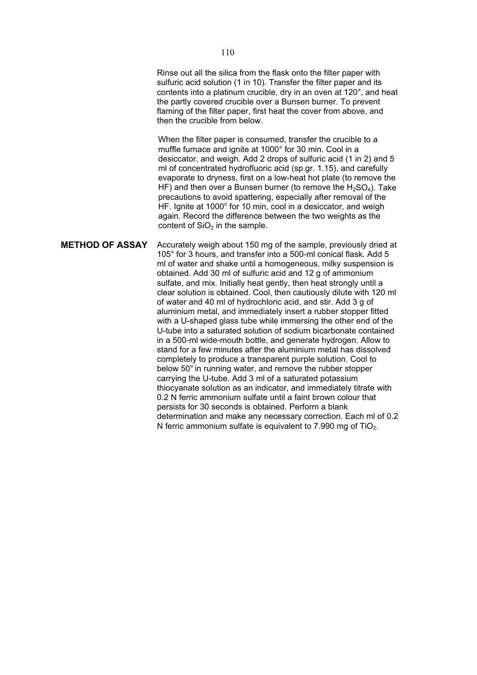Rinse out all the silica from the flask onto the filter paper with sulfuric acid solution (1 in 10). Transfer the filter paper and its contents into a platinum crucible, dry in an oven at 120°, and heat the partly covered crucible over a Bunsen burner. To prevent flaming of the filter paper, first heat the cover from above, and then the crucible from below.

When the filter paper is consumed, transfer the crucible to a muffle furnace and ignite at 1000° for 30 min. Cool in a desiccator, and weigh. Add 2 drops of sulfuric acid (1 in 2) and 5 ml of concentrated hydrofluoric acid (sp.gr. 1.15), and carefully evaporate to dryness, first on a low-heat hot plate (to remove the HF) and then over a Bunsen burner (to remove the  $H_2SO_4$ ). Take precautions to avoid spattering, especially after removal of the HF. Ignite at 1000° for 10 min, cool in a desiccator, and weigh again. Record the difference between the two weights as the content of  $SiO<sub>2</sub>$  in the sample.

**METHOD OF ASSAY** Accurately weigh about 150 mg of the sample, previously dried at 105° for 3 hours, and transfer into a 500-ml conical flask. Add 5 ml of water and shake until a homogeneous, milky suspension is obtained. Add 30 ml of sulfuric acid and 12 g of ammonium sulfate, and mix. Initially heat gently, then heat strongly until a clear solution is obtained. Cool, then cautiously dilute with 120 ml of water and 40 ml of hydrochloric acid, and stir. Add 3 g of aluminium metal, and immediately insert a rubber stopper fitted with a U-shaped glass tube while immersing the other end of the U-tube into a saturated solution of sodium bicarbonate contained in a 500-ml wide-mouth bottle, and generate hydrogen. Allow to stand for a few minutes after the aluminium metal has dissolved completely to produce a transparent purple solution. Cool to below 50° in running water, and remove the rubber stopper carrying the U-tube. Add 3 ml of a saturated potassium thiocyanate solution as an indicator, and immediately titrate with 0.2 N ferric ammonium sulfate until a faint brown colour that persists for 30 seconds is obtained. Perform a blank determination and make any necessary correction. Each ml of 0.2 N ferric ammonium sulfate is equivalent to  $7.990$  mg of  $TiO<sub>2</sub>$ .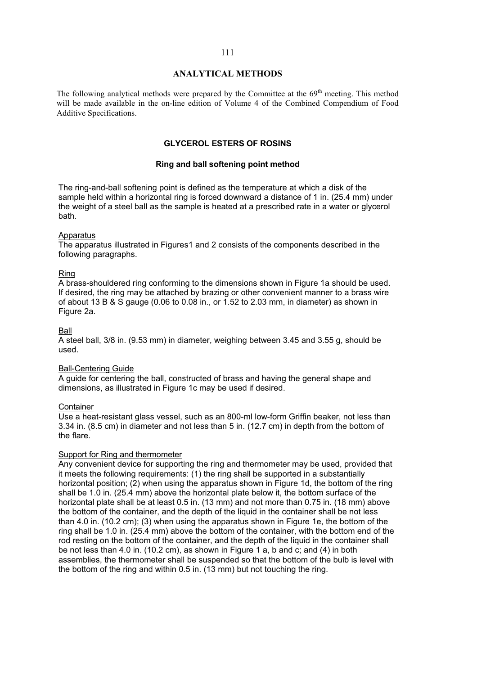# **ANALYTICAL METHODS**

The following analytical methods were prepared by the Committee at the  $69<sup>th</sup>$  meeting. This method will be made available in the on-line edition of Volume 4 of the Combined Compendium of Food Additive Specifications.

# **GLYCEROL ESTERS OF ROSINS**

#### **Ring and ball softening point method**

The ring-and-ball softening point is defined as the temperature at which a disk of the sample held within a horizontal ring is forced downward a distance of 1 in. (25.4 mm) under the weight of a steel ball as the sample is heated at a prescribed rate in a water or glycerol bath.

#### **Apparatus**

The apparatus illustrated in Figures1 and 2 consists of the components described in the following paragraphs.

#### Ring

A brass-shouldered ring conforming to the dimensions shown in Figure 1a should be used. If desired, the ring may be attached by brazing or other convenient manner to a brass wire of about 13 B & S gauge (0.06 to 0.08 in., or 1.52 to 2.03 mm, in diameter) as shown in Figure 2a.

#### Ball

A steel ball, 3/8 in. (9.53 mm) in diameter, weighing between 3.45 and 3.55 g, should be used.

#### Ball-Centering Guide

A guide for centering the ball, constructed of brass and having the general shape and dimensions, as illustrated in Figure 1c may be used if desired.

### **Container**

Use a heat-resistant glass vessel, such as an 800-ml low-form Griffin beaker, not less than 3.34 in. (8.5 cm) in diameter and not less than 5 in. (12.7 cm) in depth from the bottom of the flare.

#### Support for Ring and thermometer

Any convenient device for supporting the ring and thermometer may be used, provided that it meets the following requirements: (1) the ring shall be supported in a substantially horizontal position; (2) when using the apparatus shown in Figure 1d, the bottom of the ring shall be 1.0 in. (25.4 mm) above the horizontal plate below it, the bottom surface of the horizontal plate shall be at least 0.5 in. (13 mm) and not more than 0.75 in. (18 mm) above the bottom of the container, and the depth of the liquid in the container shall be not less than 4.0 in. (10.2 cm); (3) when using the apparatus shown in Figure 1e, the bottom of the ring shall be 1.0 in. (25.4 mm) above the bottom of the container, with the bottom end of the rod resting on the bottom of the container, and the depth of the liquid in the container shall be not less than 4.0 in. (10.2 cm), as shown in Figure 1 a, b and c; and (4) in both assemblies, the thermometer shall be suspended so that the bottom of the bulb is level with the bottom of the ring and within 0.5 in. (13 mm) but not touching the ring.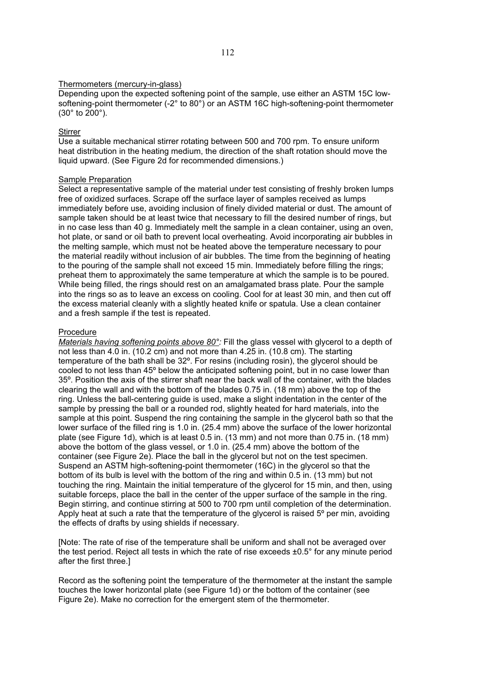### Thermometers (mercury-in-glass)

Depending upon the expected softening point of the sample, use either an ASTM 15C lowsoftening-point thermometer (-2° to 80°) or an ASTM 16C high-softening-point thermometer (30° to 200°).

# **Stirrer**

Use a suitable mechanical stirrer rotating between 500 and 700 rpm. To ensure uniform heat distribution in the heating medium, the direction of the shaft rotation should move the liquid upward. (See Figure 2d for recommended dimensions.)

### Sample Preparation

Select a representative sample of the material under test consisting of freshly broken lumps free of oxidized surfaces. Scrape off the surface layer of samples received as lumps immediately before use, avoiding inclusion of finely divided material or dust. The amount of sample taken should be at least twice that necessary to fill the desired number of rings, but in no case less than 40 g. Immediately melt the sample in a clean container, using an oven, hot plate, or sand or oil bath to prevent local overheating. Avoid incorporating air bubbles in the melting sample, which must not be heated above the temperature necessary to pour the material readily without inclusion of air bubbles. The time from the beginning of heating to the pouring of the sample shall not exceed 15 min. Immediately before filling the rings; preheat them to approximately the same temperature at which the sample is to be poured. While being filled, the rings should rest on an amalgamated brass plate. Pour the sample into the rings so as to leave an excess on cooling. Cool for at least 30 min, and then cut off the excess material cleanly with a slightly heated knife or spatula. Use a clean container and a fresh sample if the test is repeated.

### Procedure

*Materials having softening points above 80°:* Fill the glass vessel with glycerol to a depth of not less than 4.0 in. (10.2 cm) and not more than 4.25 in. (10.8 cm). The starting temperature of the bath shall be 32º. For resins (including rosin), the glycerol should be cooled to not less than 45º below the anticipated softening point, but in no case lower than 35º. Position the axis of the stirrer shaft near the back wall of the container, with the blades clearing the wall and with the bottom of the blades 0.75 in. (18 mm) above the top of the ring. Unless the ball-centering guide is used, make a slight indentation in the center of the sample by pressing the ball or a rounded rod, slightly heated for hard materials, into the sample at this point. Suspend the ring containing the sample in the glycerol bath so that the lower surface of the filled ring is 1.0 in. (25.4 mm) above the surface of the lower horizontal plate (see Figure 1d), which is at least 0.5 in. (13 mm) and not more than 0.75 in. (18 mm) above the bottom of the glass vessel, or 1.0 in. (25.4 mm) above the bottom of the container (see Figure 2e). Place the ball in the glycerol but not on the test specimen. Suspend an ASTM high-softening-point thermometer (16C) in the glycerol so that the bottom of its bulb is level with the bottom of the ring and within 0.5 in. (13 mm) but not touching the ring. Maintain the initial temperature of the glycerol for 15 min, and then, using suitable forceps, place the ball in the center of the upper surface of the sample in the ring. Begin stirring, and continue stirring at 500 to 700 rpm until completion of the determination. Apply heat at such a rate that the temperature of the glycerol is raised  $5^\circ$  per min, avoiding the effects of drafts by using shields if necessary.

[Note: The rate of rise of the temperature shall be uniform and shall not be averaged over the test period. Reject all tests in which the rate of rise exceeds ±0.5° for any minute period after the first three.]

Record as the softening point the temperature of the thermometer at the instant the sample touches the lower horizontal plate (see Figure 1d) or the bottom of the container (see Figure 2e). Make no correction for the emergent stem of the thermometer.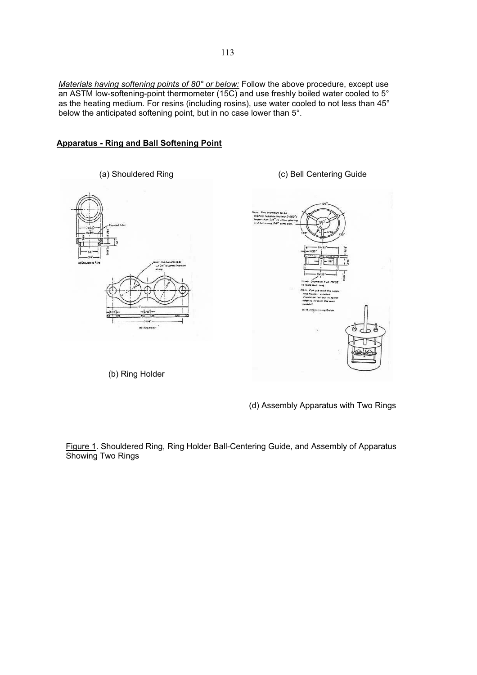*Materials having softening points of 80° or below:* Follow the above procedure, except use an ASTM low-softening-point thermometer (15C) and use freshly boiled water cooled to 5 $^{\circ}$ as the heating medium. For resins (including rosins), use water cooled to not less than 45° below the anticipated softening point, but in no case lower than 5°.

# **Apparatus - Ring and Ball Softening Point**



(b) Ring Holder

(d) Assembly Apparatus with Two Rings

Figure 1. Shouldered Ring, Ring Holder Ball-Centering Guide, and Assembly of Apparatus Showing Two Rings

(c) Bell Centering Guide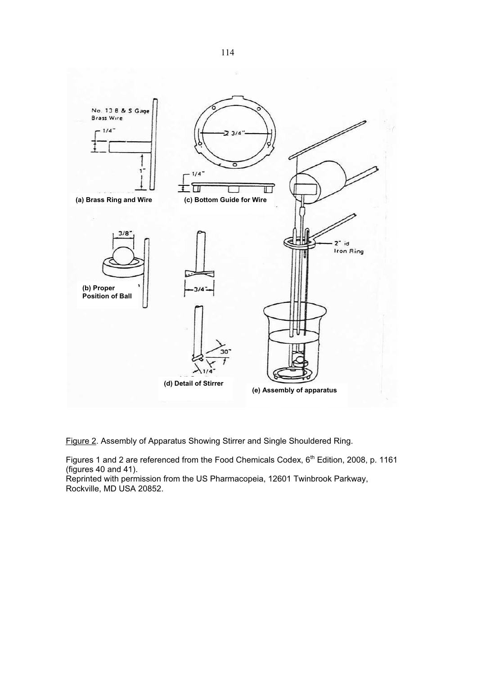

Figure 2. Assembly of Apparatus Showing Stirrer and Single Shouldered Ring.

Figures 1 and 2 are referenced from the Food Chemicals Codex, 6<sup>th</sup> Edition, 2008, p. 1161 (figures 40 and 41).

Reprinted with permission from the US Pharmacopeia, 12601 Twinbrook Parkway, Rockville, MD USA 20852.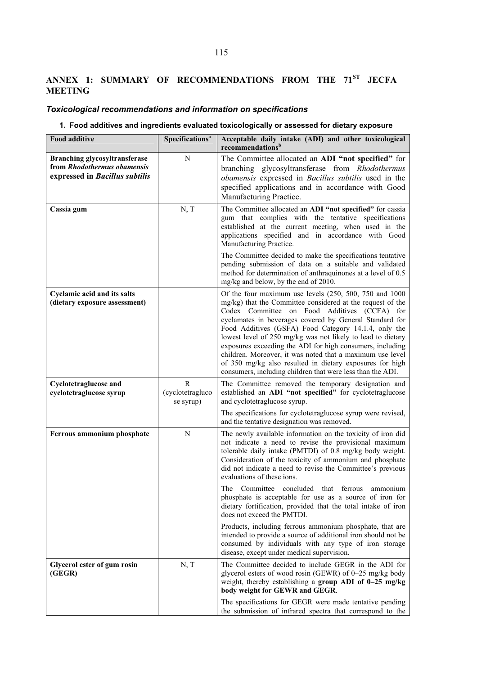# **ANNEX 1: SUMMARY OF RECOMMENDATIONS FROM THE 71ST JECFA MEETING**

# *Toxicological recommendations and information on specifications*

# **1. Food additives and ingredients evaluated toxicologically or assessed for dietary exposure**

| <b>Food additive</b>                                                                           | Specifications <sup>a</sup>                   | Acceptable daily intake (ADI) and other toxicological<br>recommendations <sup>b</sup>                                                                                                                                                                                                                                                                                                                                                                                                                                                                                                                      |  |  |  |  |
|------------------------------------------------------------------------------------------------|-----------------------------------------------|------------------------------------------------------------------------------------------------------------------------------------------------------------------------------------------------------------------------------------------------------------------------------------------------------------------------------------------------------------------------------------------------------------------------------------------------------------------------------------------------------------------------------------------------------------------------------------------------------------|--|--|--|--|
| Branching glycosyltransferase<br>from Rhodothermus obamensis<br>expressed in Bacillus subtilis | N                                             | The Committee allocated an ADI "not specified" for<br>branching glycosyltransferase from Rhodothermus<br>obamensis expressed in Bacillus subtilis used in the<br>specified applications and in accordance with Good<br>Manufacturing Practice.                                                                                                                                                                                                                                                                                                                                                             |  |  |  |  |
| Cassia gum                                                                                     | N, T                                          | The Committee allocated an ADI "not specified" for cassia<br>gum that complies with the tentative specifications<br>established at the current meeting, when used in the<br>applications specified and in accordance with Good<br>Manufacturing Practice.                                                                                                                                                                                                                                                                                                                                                  |  |  |  |  |
|                                                                                                |                                               | The Committee decided to make the specifications tentative<br>pending submission of data on a suitable and validated<br>method for determination of anthraquinones at a level of 0.5<br>mg/kg and below, by the end of 2010.                                                                                                                                                                                                                                                                                                                                                                               |  |  |  |  |
| Cyclamic acid and its salts<br>(dietary exposure assessment)                                   |                                               | Of the four maximum use levels (250, 500, 750 and 1000<br>mg/kg) that the Committee considered at the request of the<br>Codex Committee on Food Additives (CCFA) for<br>cyclamates in beverages covered by General Standard for<br>Food Additives (GSFA) Food Category 14.1.4, only the<br>lowest level of 250 mg/kg was not likely to lead to dietary<br>exposures exceeding the ADI for high consumers, including<br>children. Moreover, it was noted that a maximum use level<br>of 350 mg/kg also resulted in dietary exposures for high<br>consumers, including children that were less than the ADI. |  |  |  |  |
| <b>Cyclotetraglucose and</b><br>cyclotetraglucose syrup                                        | $\mathbb{R}$<br>(cyclotetragluco<br>se syrup) | The Committee removed the temporary designation and<br>established an ADI "not specified" for cyclotetraglucose<br>and cyclotetraglucose syrup.                                                                                                                                                                                                                                                                                                                                                                                                                                                            |  |  |  |  |
|                                                                                                |                                               | The specifications for cyclotetraglucose syrup were revised,<br>and the tentative designation was removed.                                                                                                                                                                                                                                                                                                                                                                                                                                                                                                 |  |  |  |  |
| Ferrous ammonium phosphate                                                                     | ${\bf N}$                                     | The newly available information on the toxicity of iron did<br>not indicate a need to revise the provisional maximum<br>tolerable daily intake (PMTDI) of 0.8 mg/kg body weight.<br>Consideration of the toxicity of ammonium and phosphate<br>did not indicate a need to revise the Committee's previous<br>evaluations of these ions.<br>The Committee concluded that ferrous<br>ammonium                                                                                                                                                                                                                |  |  |  |  |
|                                                                                                |                                               | phosphate is acceptable for use as a source of iron for<br>dietary fortification, provided that the total intake of iron<br>does not exceed the PMTDI.                                                                                                                                                                                                                                                                                                                                                                                                                                                     |  |  |  |  |
|                                                                                                |                                               | Products, including ferrous ammonium phosphate, that are<br>intended to provide a source of additional iron should not be<br>consumed by individuals with any type of iron storage<br>disease, except under medical supervision.                                                                                                                                                                                                                                                                                                                                                                           |  |  |  |  |
| Glycerol ester of gum rosin<br>(GEGR)                                                          | N, T                                          | The Committee decided to include GEGR in the ADI for<br>glycerol esters of wood rosin (GEWR) of 0-25 mg/kg body<br>weight, thereby establishing a group ADI of 0-25 mg/kg<br>body weight for GEWR and GEGR.                                                                                                                                                                                                                                                                                                                                                                                                |  |  |  |  |
|                                                                                                |                                               | The specifications for GEGR were made tentative pending<br>the submission of infrared spectra that correspond to the                                                                                                                                                                                                                                                                                                                                                                                                                                                                                       |  |  |  |  |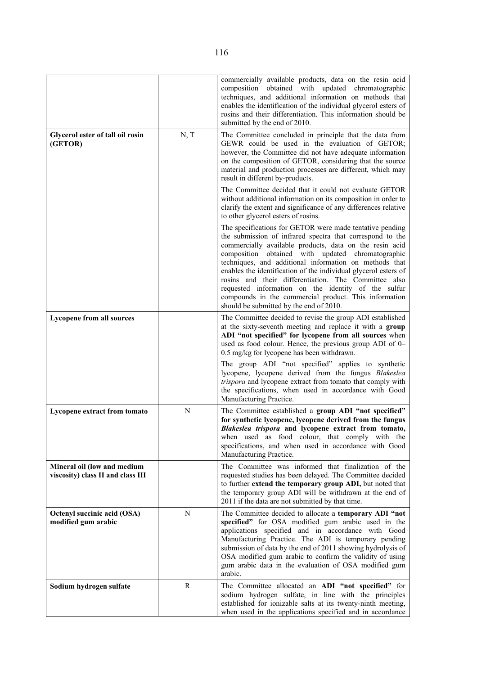|                                                                  |              | commercially available products, data on the resin acid<br>composition obtained with updated chromatographic<br>techniques, and additional information on methods that<br>enables the identification of the individual glycerol esters of<br>rosins and their differentiation. This information should be<br>submitted by the end of 2010.                                                                                                                                                                                                                                            |  |  |  |  |  |
|------------------------------------------------------------------|--------------|---------------------------------------------------------------------------------------------------------------------------------------------------------------------------------------------------------------------------------------------------------------------------------------------------------------------------------------------------------------------------------------------------------------------------------------------------------------------------------------------------------------------------------------------------------------------------------------|--|--|--|--|--|
| Glycerol ester of tall oil rosin<br>(GETOR)                      | N, T         | The Committee concluded in principle that the data from<br>GEWR could be used in the evaluation of GETOR;<br>however, the Committee did not have adequate information<br>on the composition of GETOR, considering that the source<br>material and production processes are different, which may<br>result in different by-products.                                                                                                                                                                                                                                                   |  |  |  |  |  |
|                                                                  |              | The Committee decided that it could not evaluate GETOR<br>without additional information on its composition in order to<br>clarify the extent and significance of any differences relative<br>to other glycerol esters of rosins.                                                                                                                                                                                                                                                                                                                                                     |  |  |  |  |  |
|                                                                  |              | The specifications for GETOR were made tentative pending<br>the submission of infrared spectra that correspond to the<br>commercially available products, data on the resin acid<br>composition obtained with updated chromatographic<br>techniques, and additional information on methods that<br>enables the identification of the individual glycerol esters of<br>rosins and their differentiation. The Committee also<br>requested information on the identity of the sulfur<br>compounds in the commercial product. This information<br>should be submitted by the end of 2010. |  |  |  |  |  |
| <b>Lycopene from all sources</b>                                 |              | The Committee decided to revise the group ADI established<br>at the sixty-seventh meeting and replace it with a group<br>ADI "not specified" for lycopene from all sources when<br>used as food colour. Hence, the previous group ADI of 0-<br>0.5 mg/kg for lycopene has been withdrawn.                                                                                                                                                                                                                                                                                             |  |  |  |  |  |
|                                                                  |              | The group ADI "not specified" applies to synthetic<br>lycopene, lycopene derived from the fungus Blakeslea<br>trispora and lycopene extract from tomato that comply with<br>the specifications, when used in accordance with Good<br>Manufacturing Practice.                                                                                                                                                                                                                                                                                                                          |  |  |  |  |  |
| Lycopene extract from tomato                                     | ${\bf N}$    | The Committee established a group ADI "not specified"<br>for synthetic lycopene, lycopene derived from the fungus<br>Blakeslea trispora and lycopene extract from tomato,<br>when used as food colour, that comply with the<br>specifications, and when used in accordance with Good<br>Manufacturing Practice.                                                                                                                                                                                                                                                                       |  |  |  |  |  |
| Mineral oil (low and medium<br>viscosity) class II and class III |              | The Committee was informed that finalization of the<br>requested studies has been delayed. The Committee decided<br>to further extend the temporary group ADI, but noted that<br>the temporary group ADI will be withdrawn at the end of<br>2011 if the data are not submitted by that time.                                                                                                                                                                                                                                                                                          |  |  |  |  |  |
| Octenyl succinic acid (OSA)<br>modified gum arabic               | ${\bf N}$    | The Committee decided to allocate a temporary ADI "not<br>specified" for OSA modified gum arabic used in the<br>applications specified and in accordance with Good<br>Manufacturing Practice. The ADI is temporary pending<br>submission of data by the end of 2011 showing hydrolysis of<br>OSA modified gum arabic to confirm the validity of using<br>gum arabic data in the evaluation of OSA modified gum<br>arabic.                                                                                                                                                             |  |  |  |  |  |
| Sodium hydrogen sulfate                                          | $\mathbb{R}$ | The Committee allocated an ADI "not specified" for<br>sodium hydrogen sulfate, in line with the principles<br>established for ionizable salts at its twenty-ninth meeting,<br>when used in the applications specified and in accordance                                                                                                                                                                                                                                                                                                                                               |  |  |  |  |  |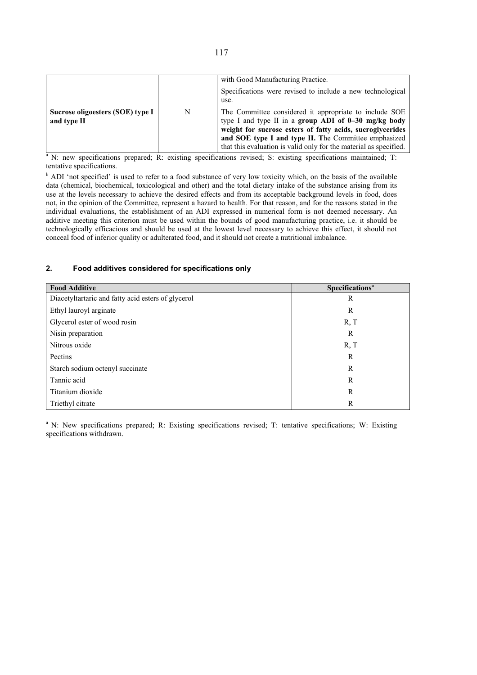|                                                 |   | with Good Manufacturing Practice.<br>Specifications were revised to include a new technological<br>use.                                                                                                                                                                                                    |
|-------------------------------------------------|---|------------------------------------------------------------------------------------------------------------------------------------------------------------------------------------------------------------------------------------------------------------------------------------------------------------|
| Sucrose oligoesters (SOE) type I<br>and type II | N | The Committee considered it appropriate to include SOE<br>type I and type II in a group ADI of $0-30$ mg/kg body<br>weight for sucrose esters of fatty acids, sucroglycerides<br>and SOE type I and type II. The Committee emphasized<br>that this evaluation is valid only for the material as specified. |

<sup>a</sup> N: new specifications prepared; R: existing specifications revised; S: existing specifications maintained; T: tentative specifications.

<sup>b</sup> ADI 'not specified' is used to refer to a food substance of very low toxicity which, on the basis of the available data (chemical, biochemical, toxicological and other) and the total dietary intake of the substance arising from its use at the levels necessary to achieve the desired effects and from its acceptable background levels in food, does not, in the opinion of the Committee, represent a hazard to health. For that reason, and for the reasons stated in the individual evaluations, the establishment of an ADI expressed in numerical form is not deemed necessary. An additive meeting this criterion must be used within the bounds of good manufacturing practice, i.e. it should be technologically efficacious and should be used at the lowest level necessary to achieve this effect, it should not conceal food of inferior quality or adulterated food, and it should not create a nutritional imbalance.

### **2. Food additives considered for specifications only**

| <b>Food Additive</b>                               | Specifications <sup>a</sup> |
|----------------------------------------------------|-----------------------------|
| Diacetyltartaric and fatty acid esters of glycerol | R                           |
| Ethyl lauroyl arginate                             | R                           |
| Glycerol ester of wood rosin                       | R, T                        |
| Nisin preparation                                  | R                           |
| Nitrous oxide                                      | R, T                        |
| Pectins                                            | R                           |
| Starch sodium octenyl succinate                    | R                           |
| Tannic acid                                        | R                           |
| Titanium dioxide                                   | R                           |
| Triethyl citrate                                   | R                           |

<sup>a</sup> N: New specifications prepared; R: Existing specifications revised; T: tentative specifications; W: Existing specifications withdrawn.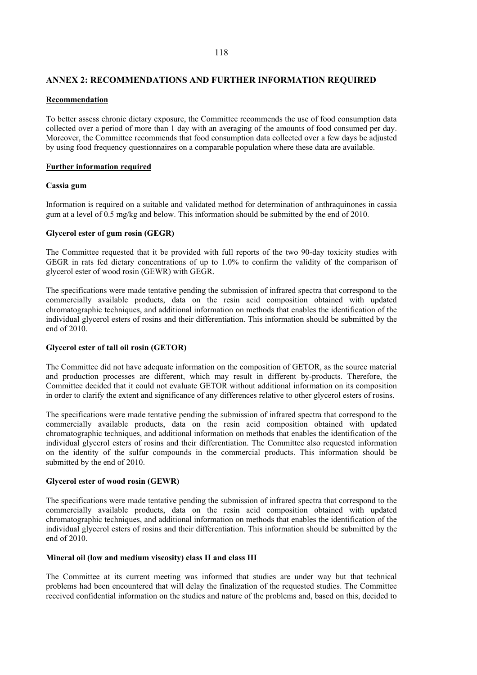# **ANNEX 2: RECOMMENDATIONS AND FURTHER INFORMATION REQUIRED**

#### **Recommendation**

To better assess chronic dietary exposure, the Committee recommends the use of food consumption data collected over a period of more than 1 day with an averaging of the amounts of food consumed per day. Moreover, the Committee recommends that food consumption data collected over a few days be adjusted by using food frequency questionnaires on a comparable population where these data are available.

#### **Further information required**

#### **Cassia gum**

Information is required on a suitable and validated method for determination of anthraquinones in cassia gum at a level of 0.5 mg/kg and below. This information should be submitted by the end of 2010.

#### **Glycerol ester of gum rosin (GEGR)**

The Committee requested that it be provided with full reports of the two 90-day toxicity studies with GEGR in rats fed dietary concentrations of up to 1.0% to confirm the validity of the comparison of glycerol ester of wood rosin (GEWR) with GEGR.

The specifications were made tentative pending the submission of infrared spectra that correspond to the commercially available products, data on the resin acid composition obtained with updated chromatographic techniques, and additional information on methods that enables the identification of the individual glycerol esters of rosins and their differentiation. This information should be submitted by the end of 2010.

#### **Glycerol ester of tall oil rosin (GETOR)**

The Committee did not have adequate information on the composition of GETOR, as the source material and production processes are different, which may result in different by-products. Therefore, the Committee decided that it could not evaluate GETOR without additional information on its composition in order to clarify the extent and significance of any differences relative to other glycerol esters of rosins.

The specifications were made tentative pending the submission of infrared spectra that correspond to the commercially available products, data on the resin acid composition obtained with updated chromatographic techniques, and additional information on methods that enables the identification of the individual glycerol esters of rosins and their differentiation. The Committee also requested information on the identity of the sulfur compounds in the commercial products. This information should be submitted by the end of 2010.

#### **Glycerol ester of wood rosin (GEWR)**

The specifications were made tentative pending the submission of infrared spectra that correspond to the commercially available products, data on the resin acid composition obtained with updated chromatographic techniques, and additional information on methods that enables the identification of the individual glycerol esters of rosins and their differentiation. This information should be submitted by the end of 2010.

#### **Mineral oil (low and medium viscosity) class II and class III**

The Committee at its current meeting was informed that studies are under way but that technical problems had been encountered that will delay the finalization of the requested studies. The Committee received confidential information on the studies and nature of the problems and, based on this, decided to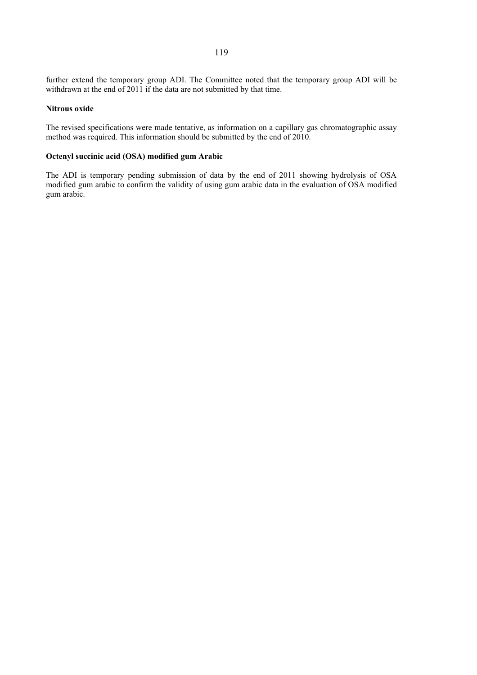further extend the temporary group ADI. The Committee noted that the temporary group ADI will be withdrawn at the end of 2011 if the data are not submitted by that time.

#### **Nitrous oxide**

The revised specifications were made tentative, as information on a capillary gas chromatographic assay method was required. This information should be submitted by the end of 2010.

# **Octenyl succinic acid (OSA) modified gum Arabic**

The ADI is temporary pending submission of data by the end of 2011 showing hydrolysis of OSA modified gum arabic to confirm the validity of using gum arabic data in the evaluation of OSA modified gum arabic.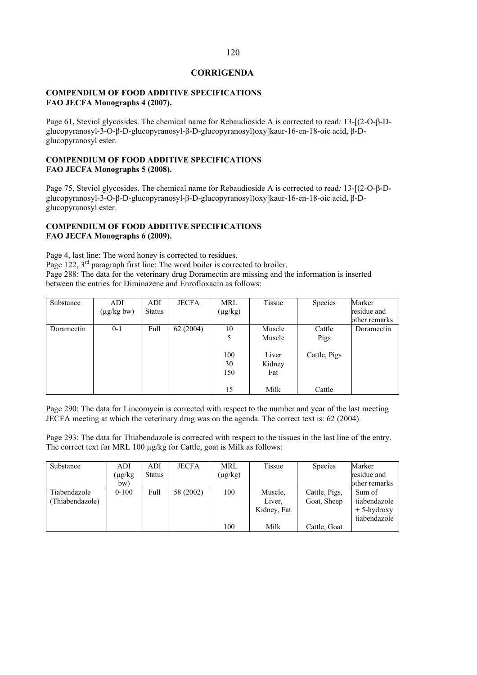# **CORRIGENDA**

# **COMPENDIUM OF FOOD ADDITIVE SPECIFICATIONS FAO JECFA Monographs 4 (2007).**

Page 61, Steviol glycosides. The chemical name for Rebaudioside A is corrected to read: 13-[(2-O-β-Dglucopyranosyl-3-O- $\beta$ -D-glucopyranosyl- $\beta$ -D-glucopyranosyl)oxy]kaur-16-en-18-oic acid,  $\beta$ -Dglucopyranosyl ester.

# **COMPENDIUM OF FOOD ADDITIVE SPECIFICATIONS FAO JECFA Monographs 5 (2008).**

Page 75, Steviol glycosides. The chemical name for Rebaudioside A is corrected to read: 13-[(2-O- $\beta$ -Dglucopyranosyl-3-O- $\beta$ -D-glucopyranosyl- $\beta$ -D-glucopyranosyl)oxy]kaur-16-en-18-oic acid,  $\beta$ -Dglucopyranosyl ester.

# **COMPENDIUM OF FOOD ADDITIVE SPECIFICATIONS FAO JECFA Monographs 6 (2009).**

Page 4, last line: The word honey is corrected to residues.

Page 122, 3<sup>rd</sup> paragraph first line: The word boiler is corrected to broiler. Page 288: The data for the veterinary drug Doramectin are missing and the information is inserted between the entries for Diminazene and Enrofloxacin as follows:

| Substance  | ADI             | ADI           | <b>JECFA</b> | MRL          | Tissue | <b>Species</b> | Marker        |
|------------|-----------------|---------------|--------------|--------------|--------|----------------|---------------|
|            | $(\mu g/kg bw)$ | <b>Status</b> |              | $(\mu g/kg)$ |        |                | residue and   |
|            |                 |               |              |              |        |                | other remarks |
| Doramectin | $0 - 1$         | Full          | 62 (2004)    | 10           | Muscle | Cattle         | Doramectin    |
|            |                 |               |              | 5            | Muscle | Pigs           |               |
|            |                 |               |              | 100          | Liver  | Cattle, Pigs   |               |
|            |                 |               |              | 30           | Kidney |                |               |
|            |                 |               |              | 150          | Fat    |                |               |
|            |                 |               |              | 15           | Milk   | Cattle         |               |

Page 290: The data for Lincomycin is corrected with respect to the number and year of the last meeting JECFA meeting at which the veterinary drug was on the agenda. The correct text is: 62 (2004).

Page 293: The data for Thiabendazole is corrected with respect to the tissues in the last line of the entry. The correct text for MRL 100 μg/kg for Cattle, goat is Milk as follows:

| Substance       | ADI          | ADI           | <b>JECFA</b> | MRL          | Tissue      | <b>Species</b> | Marker         |
|-----------------|--------------|---------------|--------------|--------------|-------------|----------------|----------------|
|                 | $(\mu g/kg)$ | <b>Status</b> |              | $(\mu g/kg)$ |             |                | residue and    |
|                 | bw)          |               |              |              |             |                | other remarks  |
| Tiabendazole    | $0 - 100$    | Full          | 58 (2002)    | 100          | Muscle,     | Cattle, Pigs,  | Sum of         |
| (Thiabendazole) |              |               |              |              | Liver,      | Goat, Sheep    | tiabendazole   |
|                 |              |               |              |              | Kidney, Fat |                | $+ 5$ -hydroxy |
|                 |              |               |              |              |             |                | tiabendazole   |
|                 |              |               |              | 100          | Milk        | Cattle, Goat   |                |

#### 120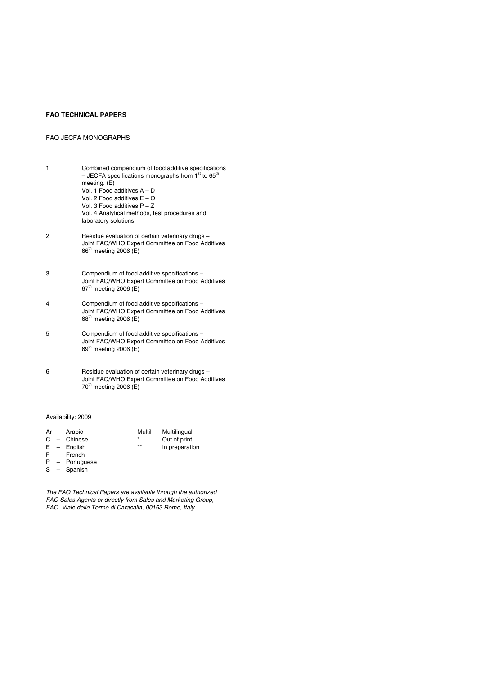#### **FAO TECHNICAL PAPERS**

#### FAO JECFA MONOGRAPHS

- 1 Combined compendium of food additive specifications – JECFA specifications monographs from  $1<sup>st</sup>$  to 65<sup>th</sup> meeting. (E) Vol. 1 Food additives A – D Vol. 2 Food additives E – O Vol. 3 Food additives P – Z Vol. 4 Analytical methods, test procedures and laboratory solutions
- 2 Residue evaluation of certain veterinary drugs Joint FAO/WHO Expert Committee on Food Additives 66<sup>th</sup> meeting 2006 (E)
- 3 Compendium of food additive specifications Joint FAO/WHO Expert Committee on Food Additives  $67<sup>th</sup>$  meeting 2006 (E)
- 4 Compendium of food additive specifications Joint FAO/WHO Expert Committee on Food Additives 68<sup>th</sup> meeting 2006 (E)
- 5 Compendium of food additive specifications Joint FAO/WHO Expert Committee on Food Additives  $69<sup>th</sup>$  meeting 2006 (E)
- 6 Residue evaluation of certain veterinary drugs Joint FAO/WHO Expert Committee on Food Additives  $70<sup>th</sup>$  meeting 2006 (E)

#### Availability: 2009

- Ar Arabic Multil Multilingual C – Chinese \* Out of print E – English **\*\*** In preparation
- F French
- P Portuguese S – Spanish
- 

The FAO Technical Papers are available through the authorized FAO Sales Agents or directly from Sales and Marketing Group, FAO, Viale delle Terme di Caracalla, 00153 Rome, Italy.